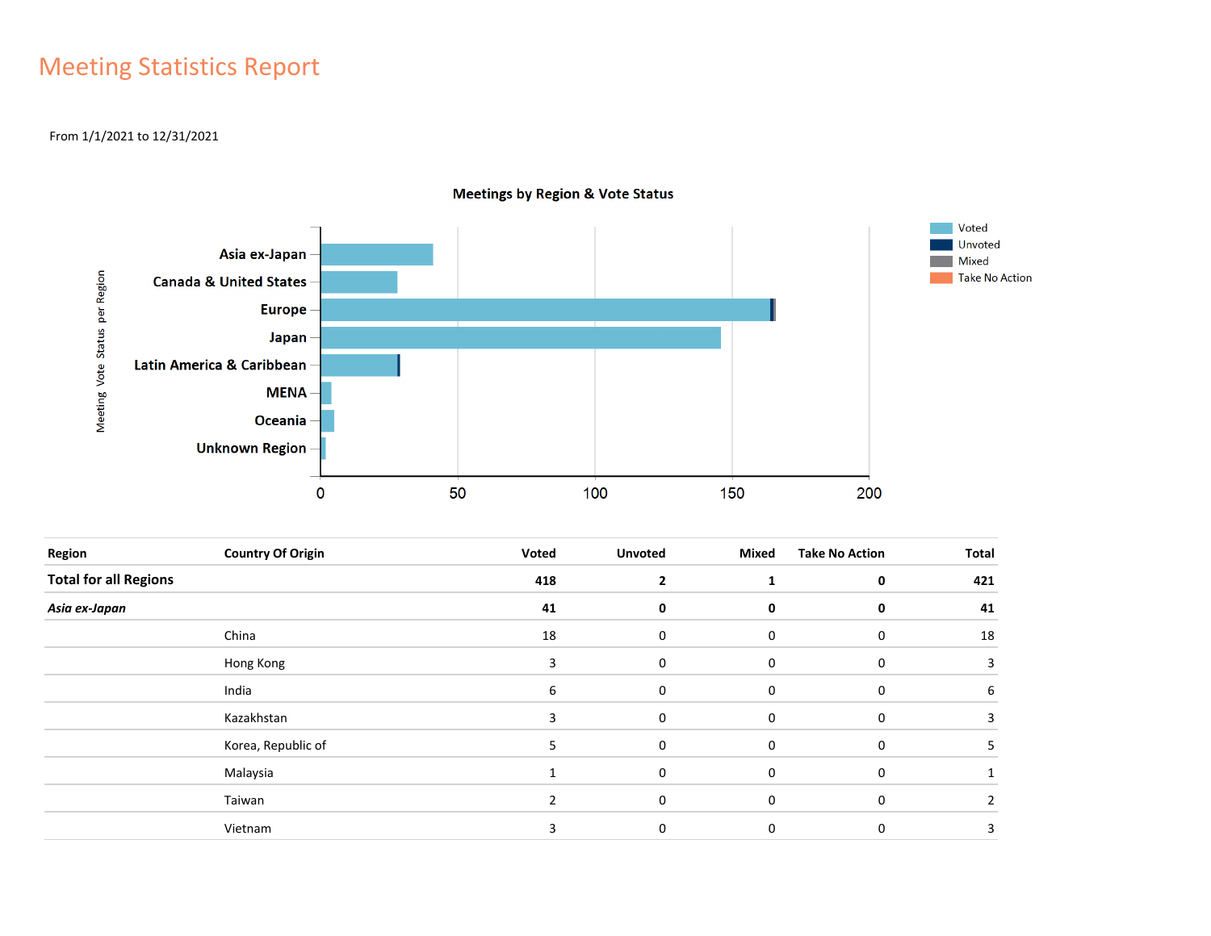## Meeting Statistics Report

### From 1/1/2021 to 12/31/2021



**Meetings by Region & Vote Status** 

| Region                       | <b>Country Of Origin</b> | Voted | <b>Unvoted</b> | Mixed       | <b>Take No Action</b> | Total |
|------------------------------|--------------------------|-------|----------------|-------------|-----------------------|-------|
| <b>Total for all Regions</b> |                          | 418   | $\overline{2}$ |             | $\mathbf 0$           | 421   |
| Asia ex-Japan                |                          | 41    | 0              | 0           | 0                     | 41    |
|                              | China                    | 18    | 0              | 0           | 0                     | 18    |
|                              | Hong Kong                | 3     | 0              | 0           | 0                     | 3     |
|                              | India                    | 6     | $\mathbf 0$    | $\mathbf 0$ | $\mathbf 0$           | 6     |
|                              | Kazakhstan               | 3     | 0              | 0           | 0                     | 3     |
|                              | Korea, Republic of       | 5.    | $\mathbf 0$    | $\mathbf 0$ | $\mathbf 0$           |       |
|                              | Malaysia                 |       | 0              | 0           | 0                     |       |
|                              | Taiwan                   |       | 0              | $\Omega$    | $\mathbf 0$           |       |
|                              | Vietnam                  | ς     | 0              | $\Omega$    | 0                     | 3     |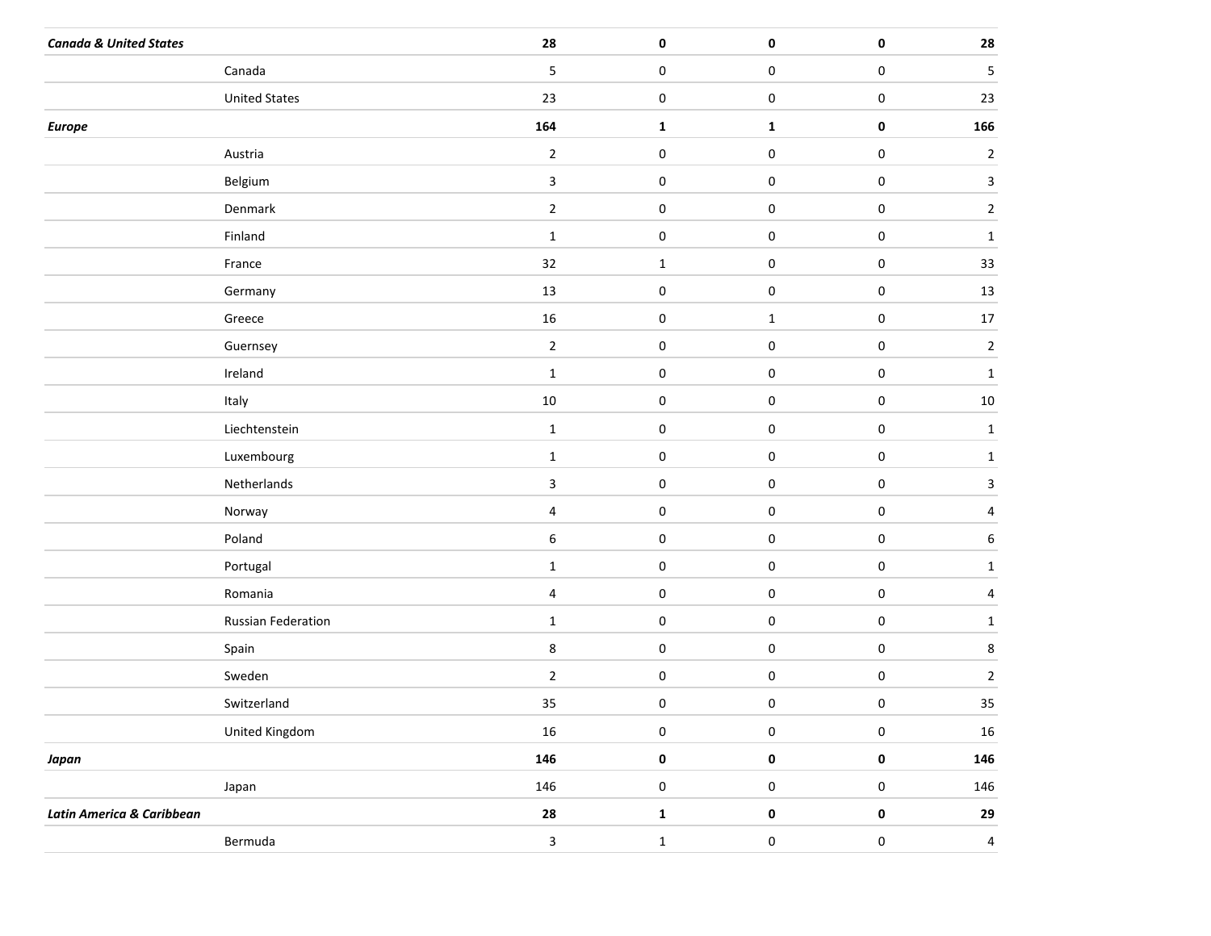| <b>Canada &amp; United States</b> |                      | 28             | $\pmb{0}$        | $\pmb{0}$    | $\pmb{0}$   | ${\bf 28}$              |
|-----------------------------------|----------------------|----------------|------------------|--------------|-------------|-------------------------|
|                                   | Canada               | 5              | $\mathbf 0$      | $\pmb{0}$    | $\pmb{0}$   | 5                       |
|                                   | <b>United States</b> | 23             | $\boldsymbol{0}$ | 0            | $\pmb{0}$   | $23\,$                  |
| <b>Europe</b>                     |                      | 164            | $\mathbf 1$      | $\mathbf{1}$ | $\pmb{0}$   | 166                     |
|                                   | Austria              | $\overline{2}$ | $\boldsymbol{0}$ | $\pmb{0}$    | $\pmb{0}$   | $\overline{c}$          |
|                                   | Belgium              | $\mathbf{3}$   | $\mathbf 0$      | $\pmb{0}$    | $\pmb{0}$   | $\overline{\mathbf{3}}$ |
|                                   | Denmark              | $\overline{2}$ | $\pmb{0}$        | $\pmb{0}$    | $\pmb{0}$   | $\overline{a}$          |
|                                   | Finland              | $\mathbf{1}$   | $\mathbf 0$      | $\pmb{0}$    | $\pmb{0}$   | $1\,$                   |
|                                   | France               | 32             | $\mathbf{1}$     | $\pmb{0}$    | $\pmb{0}$   | 33                      |
|                                   | Germany              | 13             | $\mathbf 0$      | $\pmb{0}$    | $\pmb{0}$   | $13\,$                  |
|                                   | Greece               | 16             | $\pmb{0}$        | $\mathbf{1}$ | $\pmb{0}$   | $17\,$                  |
|                                   | Guernsey             | $\overline{2}$ | $\mathbf 0$      | $\pmb{0}$    | $\pmb{0}$   | $\mathbf 2$             |
|                                   | Ireland              | $\mathbf{1}$   | $\pmb{0}$        | $\pmb{0}$    | $\pmb{0}$   | $\mathbf{1}$            |
|                                   | Italy                | $10\,$         | $\mathbf 0$      | $\pmb{0}$    | $\pmb{0}$   | $10\,$                  |
|                                   | Liechtenstein        | $\mathbf{1}$   | $\pmb{0}$        | $\pmb{0}$    | $\pmb{0}$   | $\mathbf 1$             |
|                                   | Luxembourg           | $\mathbf{1}$   | $\mathbf 0$      | $\pmb{0}$    | $\pmb{0}$   | $\mathbf{1}$            |
|                                   | Netherlands          | $\mathbf{3}$   | $\pmb{0}$        | $\pmb{0}$    | $\pmb{0}$   | $\mathbf{3}$            |
|                                   | Norway               | $\overline{4}$ | $\mathbf 0$      | $\pmb{0}$    | $\pmb{0}$   | $\overline{4}$          |
|                                   | Poland               | 6              | $\pmb{0}$        | $\pmb{0}$    | $\pmb{0}$   | 6                       |
|                                   | Portugal             | $\mathbf{1}$   | $\mathbf 0$      | $\pmb{0}$    | $\pmb{0}$   | $\mathbf 1$             |
|                                   | Romania              | $\overline{4}$ | $\pmb{0}$        | $\pmb{0}$    | $\pmb{0}$   | $\overline{a}$          |
|                                   | Russian Federation   | $\mathbf{1}$   | $\mathbf 0$      | $\pmb{0}$    | $\pmb{0}$   | $\mathbf{1}$            |
|                                   | Spain                | 8              | $\pmb{0}$        | $\pmb{0}$    | $\pmb{0}$   | 8                       |
|                                   | Sweden               | $\overline{2}$ | $\mathbf 0$      | $\pmb{0}$    | $\pmb{0}$   | $\overline{\mathbf{c}}$ |
|                                   | Switzerland          | 35             | $\pmb{0}$        | 0            | $\pmb{0}$   | 35                      |
|                                   | United Kingdom       | 16             | $\pmb{0}$        | $\pmb{0}$    | $\pmb{0}$   | $16\,$                  |
| Japan                             |                      | 146            | $\pmb{0}$        | $\pmb{0}$    | $\mathbf 0$ | 146                     |
|                                   | Japan                | 146            | $\pmb{0}$        | $\pmb{0}$    | $\pmb{0}$   | 146                     |
| Latin America & Caribbean         |                      | 28             | $\mathbf 1$      | $\pmb{0}$    | $\pmb{0}$   | 29                      |
|                                   | Bermuda              | $\mathbf{3}$   | $\mathbf 1$      | $\pmb{0}$    | $\pmb{0}$   | $\overline{4}$          |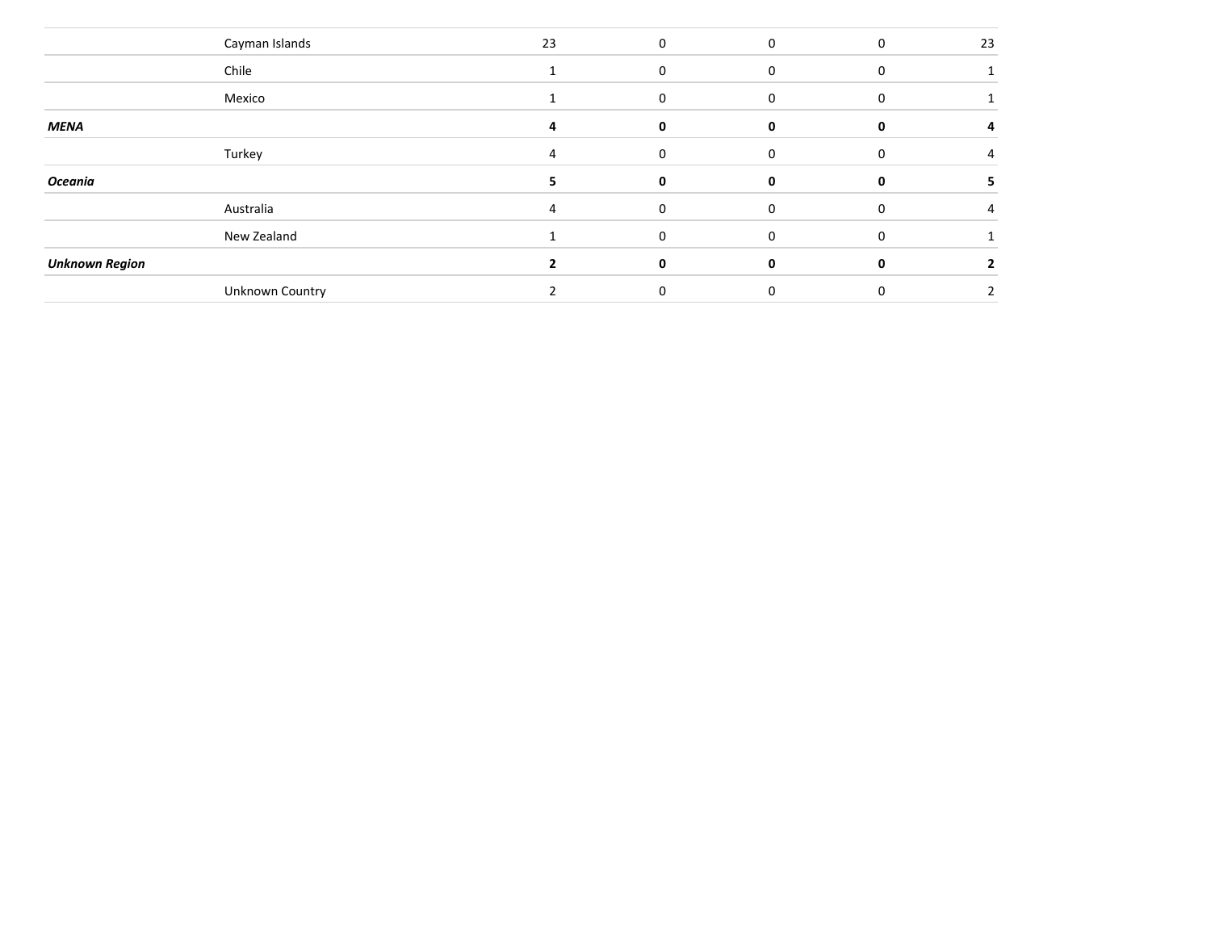|                       | Cayman Islands  | 23 | $\Omega$ | $\mathbf 0$  | 0        | 23 |
|-----------------------|-----------------|----|----------|--------------|----------|----|
|                       | Chile           |    | 0        | $\Omega$     |          |    |
|                       | Mexico          |    | O        | $\Omega$     |          |    |
| <b>MENA</b>           |                 | 4  | 0        | $\Omega$     | 0        | 4  |
|                       | Turkey          | 4  | $\Omega$ | $\Omega$     | $\Omega$ | 4  |
| Oceania               |                 |    | 0        | $\mathbf{0}$ | 0        |    |
|                       | Australia       |    | 0        | $\Omega$     |          |    |
|                       | New Zealand     |    | 0        | 0            | $\Omega$ |    |
| <b>Unknown Region</b> |                 |    | 0        | $\Omega$     | 0        | 2  |
|                       | Unknown Country |    | 0        | $\mathbf 0$  |          | 2  |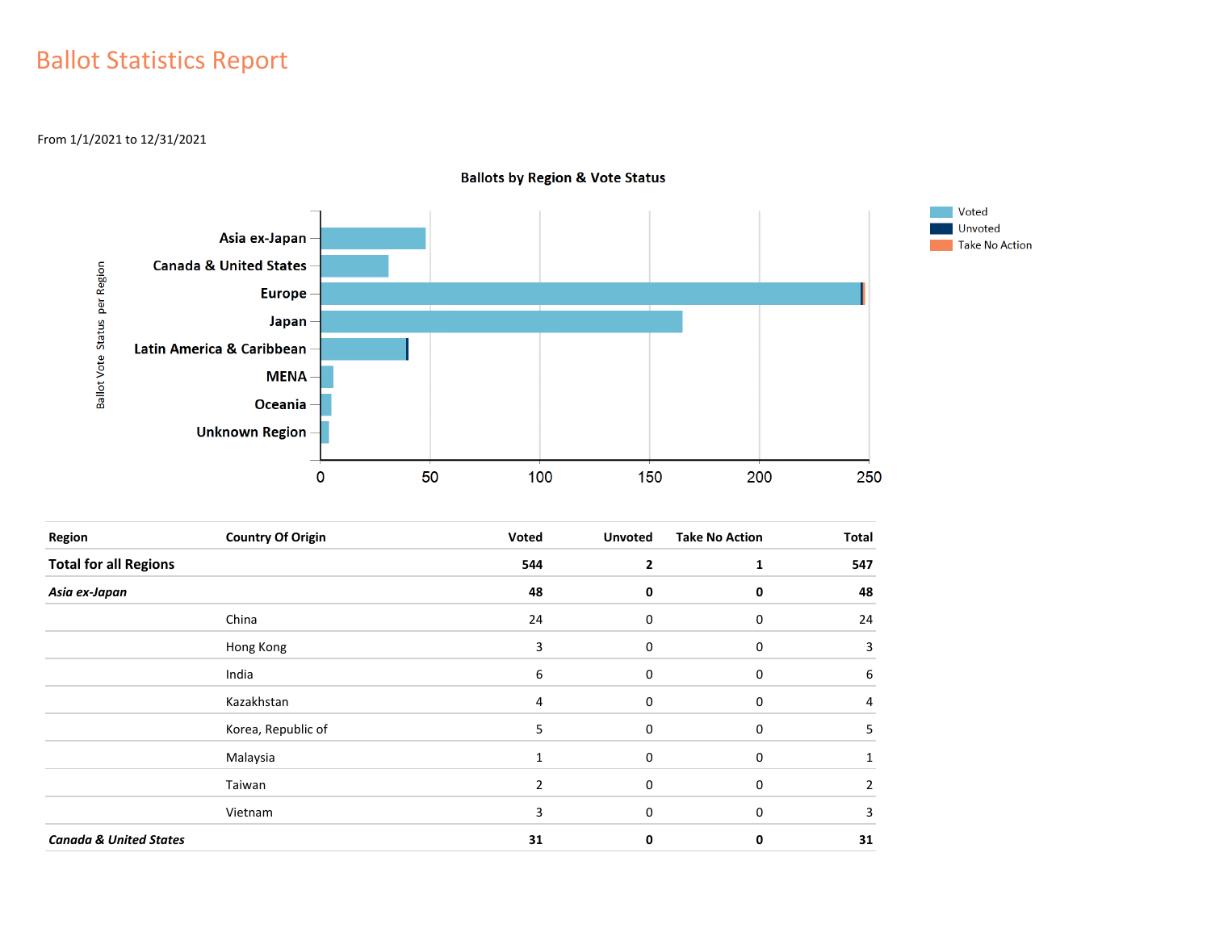## Ballot Statistics Report

From 1/1/2021 to 12/31/2021



**Ballots by Region & Vote Status** 

| Region                            | <b>Country Of Origin</b> | Voted | <b>Unvoted</b> | <b>Take No Action</b> | <b>Total</b> |
|-----------------------------------|--------------------------|-------|----------------|-----------------------|--------------|
| <b>Total for all Regions</b>      |                          | 544   | $\overline{2}$ |                       | 547          |
| Asia ex-Japan                     |                          | 48    | 0              | 0                     | 48           |
|                                   | China                    | 24    | 0              | 0                     | 24           |
|                                   | Hong Kong                | 3     | 0              | 0                     | 3            |
|                                   | India                    | 6     | 0              | 0                     | 6            |
|                                   | Kazakhstan               | 4     | 0              | 0                     | 4            |
|                                   | Korea, Republic of       | 5     | 0              | 0                     | 5.           |
|                                   | Malaysia                 |       | 0              | 0                     |              |
|                                   | Taiwan                   | 2     | 0              | 0                     | 2            |
|                                   | Vietnam                  | 3     | $\Omega$       | 0                     | 3            |
| <b>Canada &amp; United States</b> |                          | 31    | 0              | 0                     | 31           |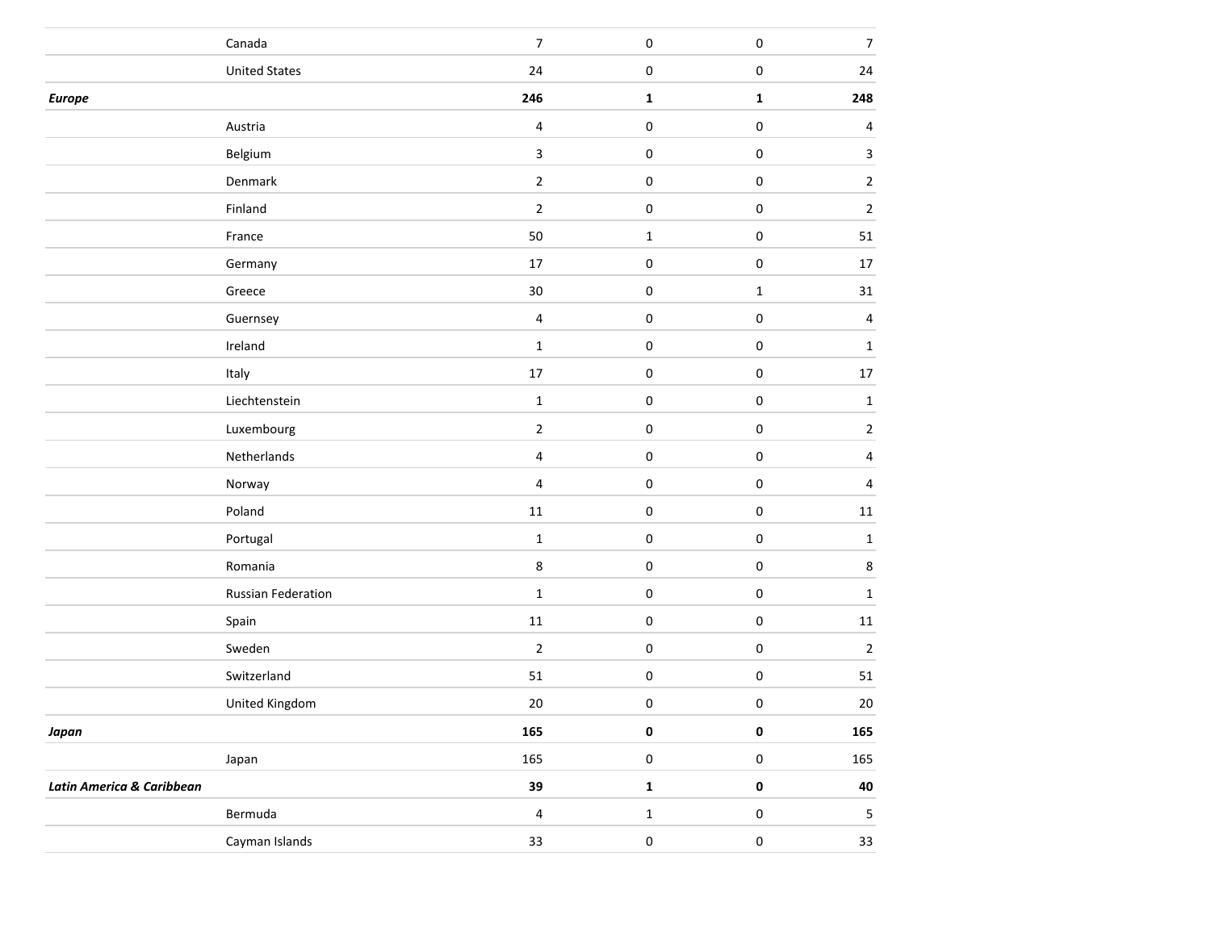|                           | Canada               | $\boldsymbol{7}$ | $\pmb{0}$   | $\pmb{0}$   | $\boldsymbol{7}$        |
|---------------------------|----------------------|------------------|-------------|-------------|-------------------------|
|                           | <b>United States</b> | 24               | 0           | $\pmb{0}$   | ${\bf 24}$              |
| <b>Europe</b>             |                      | 246              | $\mathbf 1$ | $\mathbf 1$ | 248                     |
|                           | Austria              | $\overline{4}$   | $\pmb{0}$   | $\pmb{0}$   | $\overline{\mathbf{4}}$ |
|                           | Belgium              | $\mathbf{3}$     | $\pmb{0}$   | $\pmb{0}$   | $\mathbf{3}$            |
|                           | Denmark              | $\mathbf 2$      | $\pmb{0}$   | $\pmb{0}$   | $\sqrt{2}$              |
|                           | Finland              | $\mathbf 2$      | $\pmb{0}$   | $\pmb{0}$   | $\sqrt{2}$              |
|                           | France               | 50               | $\mathbf 1$ | $\pmb{0}$   | ${\bf 51}$              |
|                           | Germany              | $17\,$           | 0           | $\pmb{0}$   | $17\,$                  |
|                           | Greece               | $30\,$           | $\pmb{0}$   | $\mathbf 1$ | $31\,$                  |
|                           | Guernsey             | $\sqrt{4}$       | $\pmb{0}$   | $\pmb{0}$   | $\overline{4}$          |
|                           | Ireland              | $\mathbf 1$      | $\pmb{0}$   | $\pmb{0}$   | $\mathbf 1$             |
|                           | Italy                | $17\,$           | 0           | $\pmb{0}$   | $17\,$                  |
|                           | Liechtenstein        | $\mathbf 1$      | $\pmb{0}$   | $\pmb{0}$   | $\mathbf 1$             |
|                           | Luxembourg           | $\mathbf 2$      | 0           | $\pmb{0}$   | $\sqrt{2}$              |
|                           | Netherlands          | $\overline{4}$   | $\pmb{0}$   | $\pmb{0}$   | $\overline{4}$          |
|                           | Norway               | $\sqrt{4}$       | $\pmb{0}$   | $\pmb{0}$   | $\overline{4}$          |
|                           | Poland               | $11\,$           | $\pmb{0}$   | $\pmb{0}$   | $11\,$                  |
|                           | Portugal             | $\mathbf 1$      | 0           | $\pmb{0}$   | $\mathbf 1$             |
|                           | Romania              | $\bf 8$          | $\pmb{0}$   | $\pmb{0}$   | $\bf 8$                 |
|                           | Russian Federation   | $\mathbf 1$      | 0           | $\pmb{0}$   | $\mathbf 1$             |
|                           | Spain                | $11\,$           | $\pmb{0}$   | $\pmb{0}$   | $11\,$                  |
|                           | Sweden               | $\mathbf 2$      | 0           | $\pmb{0}$   | $\sqrt{2}$              |
|                           | Switzerland          | $51\,$           | $\pmb{0}$   | $\pmb{0}$   | ${\bf 51}$              |
|                           | United Kingdom       | $20\,$           | 0           | 0           | $20\,$                  |
| Japan                     |                      | 165              | 0           | $\pmb{0}$   | 165                     |
|                           | Japan                | 165              | $\pmb{0}$   | $\mathbf 0$ | 165                     |
| Latin America & Caribbean |                      | 39               | $\mathbf 1$ | $\pmb{0}$   | 40                      |
|                           | Bermuda              | $\overline{4}$   | $\mathbf 1$ | $\pmb{0}$   | $\sqrt{5}$              |
|                           | Cayman Islands       | $33\,$           | $\pmb{0}$   | $\pmb{0}$   | 33                      |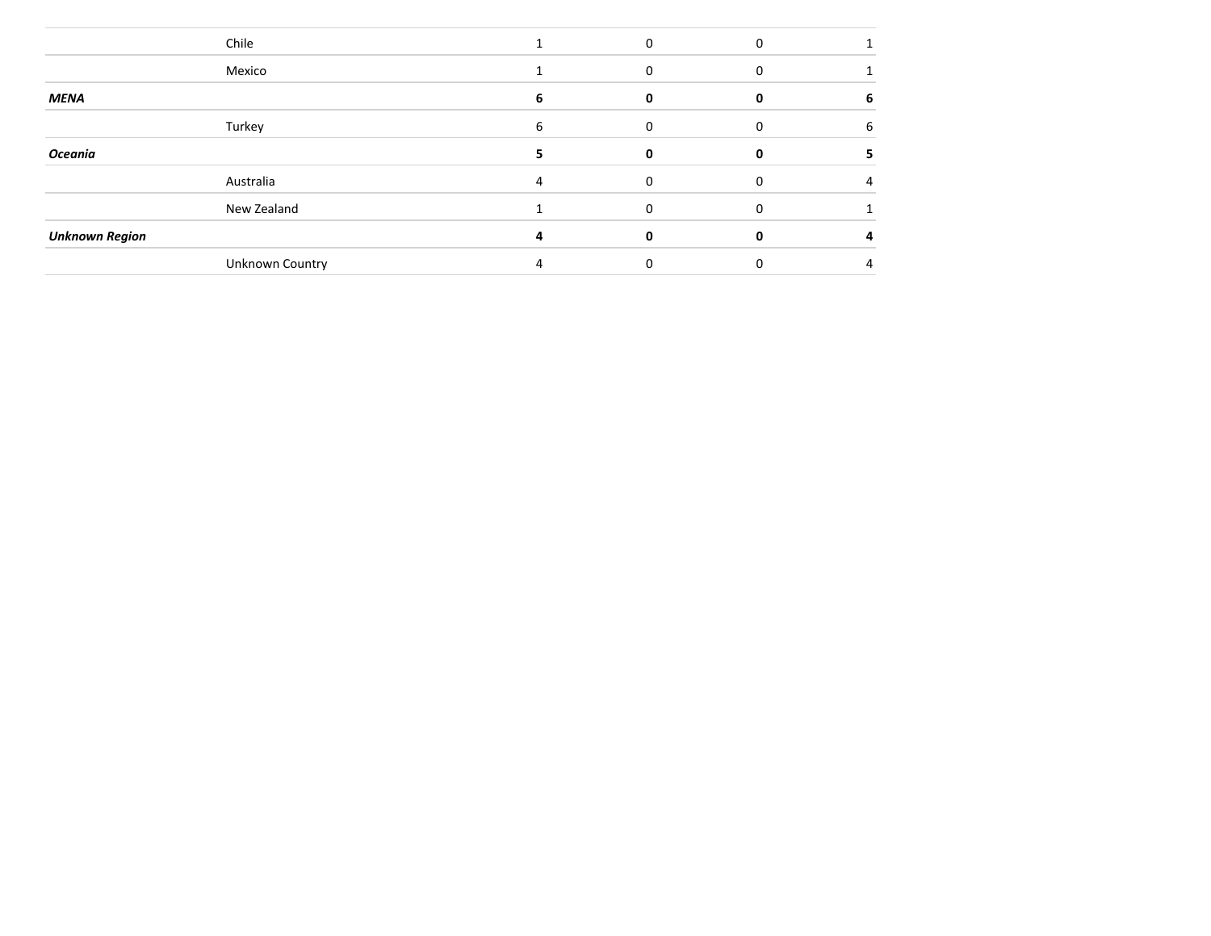|                       | Chile           |   |              |          |   |
|-----------------------|-----------------|---|--------------|----------|---|
|                       | Mexico          |   |              |          |   |
| <b>MENA</b>           |                 |   |              |          | ь |
|                       | Turkey          | 6 | 0            |          | 6 |
| Oceania               |                 |   | n            | $\Omega$ |   |
|                       | Australia       |   | <sup>0</sup> |          |   |
|                       | New Zealand     |   |              |          |   |
| <b>Unknown Region</b> |                 |   |              |          |   |
|                       | Unknown Country |   |              |          |   |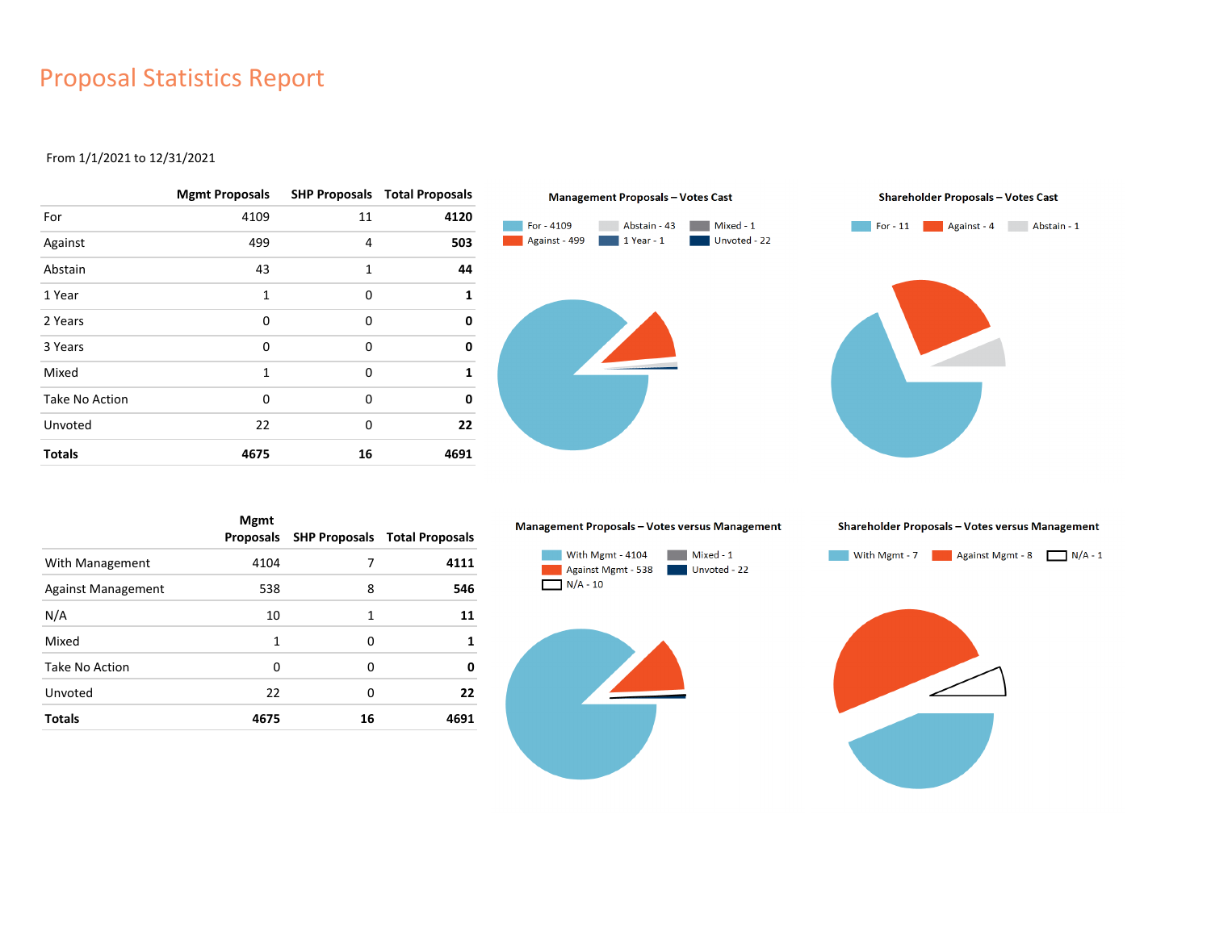## Proposal Statistics Report

#### From 1/1/2021 to 12/31/2021

|                       | <b>Mgmt Proposals</b> |          | <b>SHP Proposals Total Proposals</b> |
|-----------------------|-----------------------|----------|--------------------------------------|
| For                   | 4109                  | 11       | 4120                                 |
| Against               | 499                   | 4        | 503                                  |
| Abstain               | 43                    | 1        | 44                                   |
| 1 Year                | $\mathbf{1}$          | 0        | 1                                    |
| 2 Years               | 0                     | 0        | 0                                    |
| 3 Years               | 0                     | 0        | 0                                    |
| Mixed                 | $\mathbf{1}$          | $\Omega$ | 1                                    |
| <b>Take No Action</b> | $\Omega$              | $\Omega$ | 0                                    |
| Unvoted               | 22                    | 0        | 22                                   |
| <b>Totals</b>         | 4675                  | 16       | 4691                                 |



|                           | <b>Mgmt</b><br>Proposals |    | <b>SHP Proposals Total Proposals</b> |
|---------------------------|--------------------------|----|--------------------------------------|
| With Management           | 4104                     | 7  | 4111                                 |
| <b>Against Management</b> | 538                      | 8  | 546                                  |
| N/A                       | 10                       | 1  | 11                                   |
| Mixed                     | 1                        | 0  | 1                                    |
| Take No Action            | 0                        | 0  | 0                                    |
| Unvoted                   | 22                       | 0  | 22                                   |
| <b>Totals</b>             | 4675                     | 16 | 4691                                 |

#### Management Proposals - Votes versus Management







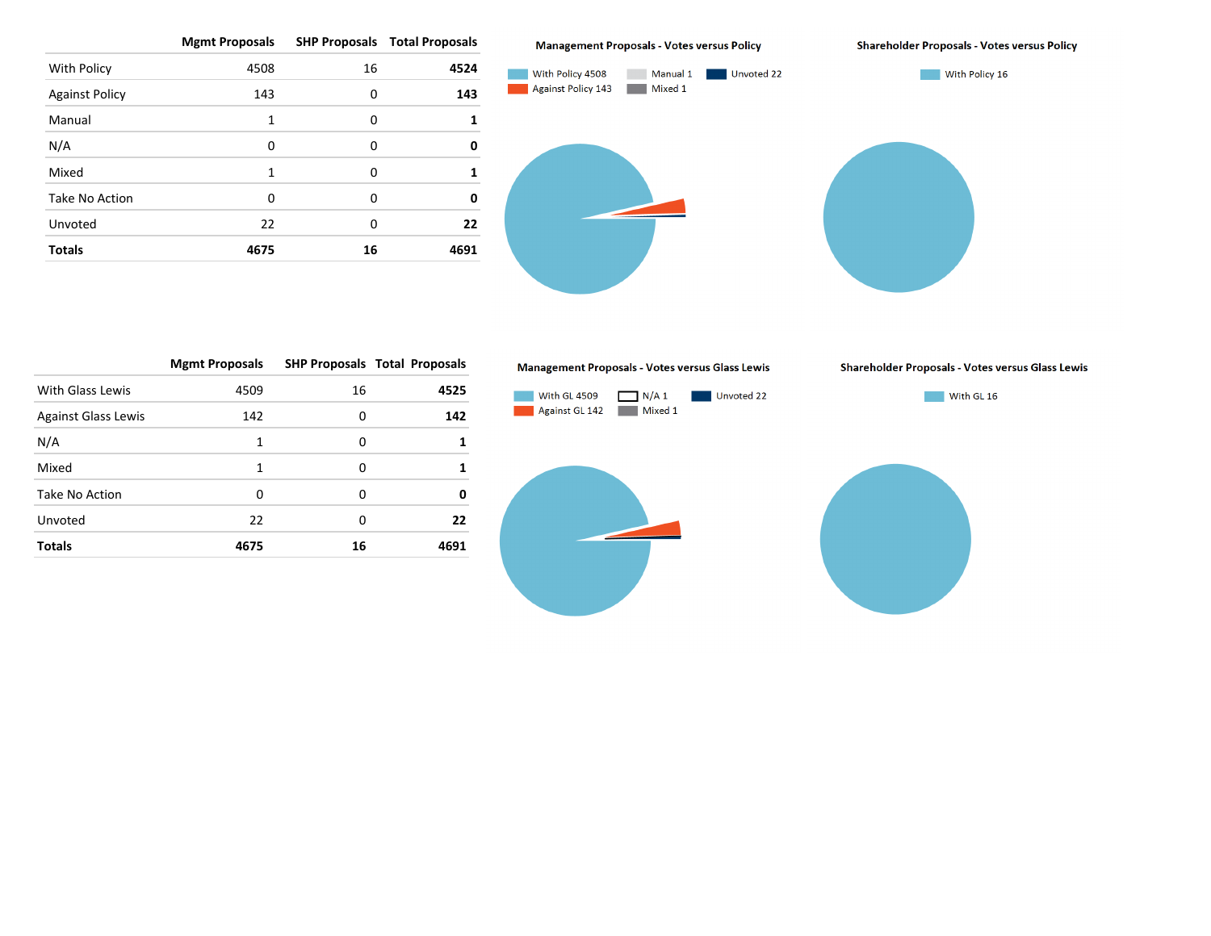**Mgmt Proposals SHP Proposals Total Proposals** With Policy **4508** 16 **4524** Against Policy 143 0 **143** Manual 1 0 **1** N/A 0 0 **0** Mixed 1 0 1 Take No Action 0 0 **0** Unvoted 22 0 **22 Totals 4675 16 4691**

#### **Management Proposals - Votes versus Policy**



|                            | <b>Mgmt Proposals</b> |    | <b>SHP Proposals Total Proposals</b> |
|----------------------------|-----------------------|----|--------------------------------------|
| With Glass Lewis           | 4509                  | 16 | 4525                                 |
| <b>Against Glass Lewis</b> | 142                   | 0  | 142                                  |
| N/A                        | 1                     | 0  |                                      |
| Mixed                      | 1                     | 0  |                                      |
| Take No Action             | 0                     | 0  | 0                                    |
| Unvoted                    | 22                    | 0  | 22                                   |
| <b>Totals</b>              | 4675                  | 16 | 4691                                 |

#### Management Proposals - Votes versus Glass Lewis



#### **Shareholder Proposals - Votes versus Policy**

Shareholder Proposals - Votes versus Glass Lewis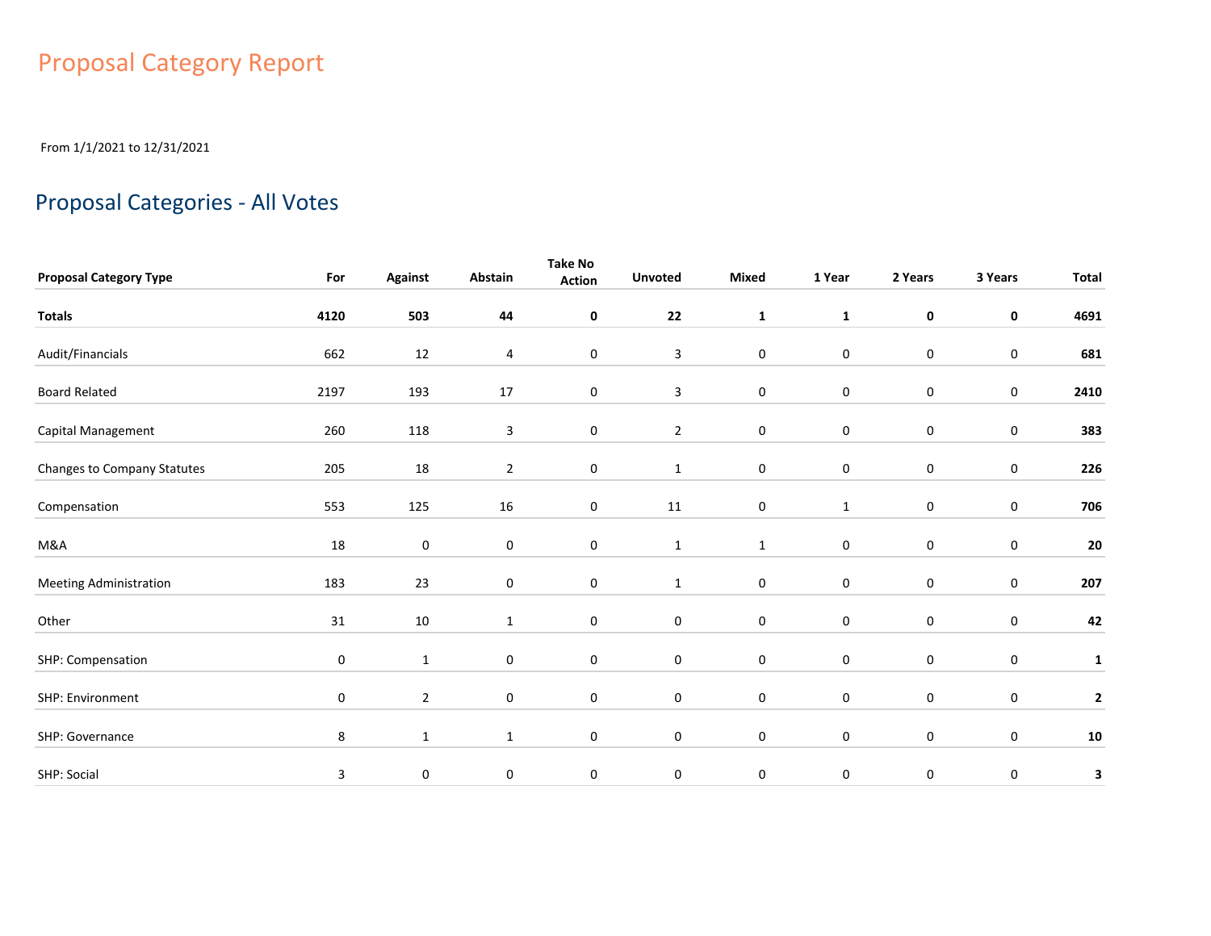# Proposal Category Report

From 1/1/2021 to 12/31/2021

## Proposal Categories - All Votes

|                               |             |                |                | <b>Take No</b> |                |                  |              |                  |                  |              |
|-------------------------------|-------------|----------------|----------------|----------------|----------------|------------------|--------------|------------------|------------------|--------------|
| <b>Proposal Category Type</b> | For         | <b>Against</b> | Abstain        | <b>Action</b>  | <b>Unvoted</b> | Mixed            | 1 Year       | 2 Years          | 3 Years          | <b>Total</b> |
| <b>Totals</b>                 | 4120        | 503            | 44             | 0              | 22             | $\mathbf{1}$     | $\mathbf{1}$ | $\mathbf 0$      | 0                | 4691         |
| Audit/Financials              | 662         | $12\,$         | 4              | $\pmb{0}$      | $\mathbf{3}$   | $\pmb{0}$        | $\pmb{0}$    | $\mathbf 0$      | $\pmb{0}$        | 681          |
| <b>Board Related</b>          | 2197        | 193            | 17             | 0              | $\mathbf{3}$   | $\pmb{0}$        | $\pmb{0}$    | $\mathbf 0$      | $\pmb{0}$        | 2410         |
| Capital Management            | 260         | 118            | 3              | 0              | $\overline{2}$ | $\pmb{0}$        | $\pmb{0}$    | $\mathbf 0$      | $\pmb{0}$        | 383          |
| Changes to Company Statutes   | 205         | 18             | $\overline{2}$ | 0              | $\mathbf{1}$   | $\pmb{0}$        | $\pmb{0}$    | $\mathbf 0$      | $\pmb{0}$        | 226          |
| Compensation                  | 553         | 125            | 16             | 0              | 11             | $\pmb{0}$        | $1\,$        | $\mathbf 0$      | $\pmb{0}$        | 706          |
| M&A                           | 18          | $\mathbf 0$    | $\mathbf 0$    | 0              | $\mathbf{1}$   | $\mathbf{1}$     | $\pmb{0}$    | 0                | 0                | ${\bf 20}$   |
| <b>Meeting Administration</b> | 183         | 23             | 0              | 0              | $\mathbf{1}$   | $\pmb{0}$        | $\pmb{0}$    | $\mathbf 0$      | $\boldsymbol{0}$ | 207          |
| Other                         | $31\,$      | 10             | $\mathbf{1}$   | 0              | $\pmb{0}$      | $\pmb{0}$        | $\mathbf 0$  | $\boldsymbol{0}$ | 0                | 42           |
| SHP: Compensation             | $\mathbf 0$ | $\mathbf{1}$   | 0              | 0              | $\bf{0}$       | $\pmb{0}$        | $\pmb{0}$    | $\mathbf 0$      | $\pmb{0}$        | $\mathbf{1}$ |
| SHP: Environment              | $\mathbf 0$ | $\overline{2}$ | $\mathbf 0$    | $\mathbf 0$    | $\mathbf 0$    | $\pmb{0}$        | $\pmb{0}$    | $\mathbf 0$      | 0                | $\mathbf{2}$ |
| SHP: Governance               | 8           | $\mathbf{1}$   | $\mathbf{1}$   | $\mathbf 0$    | $\mathbf 0$    | $\boldsymbol{0}$ | $\pmb{0}$    | $\mathbf 0$      | $\pmb{0}$        | ${\bf 10}$   |
| SHP: Social                   | 3           | $\pmb{0}$      | 0              | 0              | $\bf{0}$       | $\pmb{0}$        | $\pmb{0}$    | $\pmb{0}$        | 0                | 3            |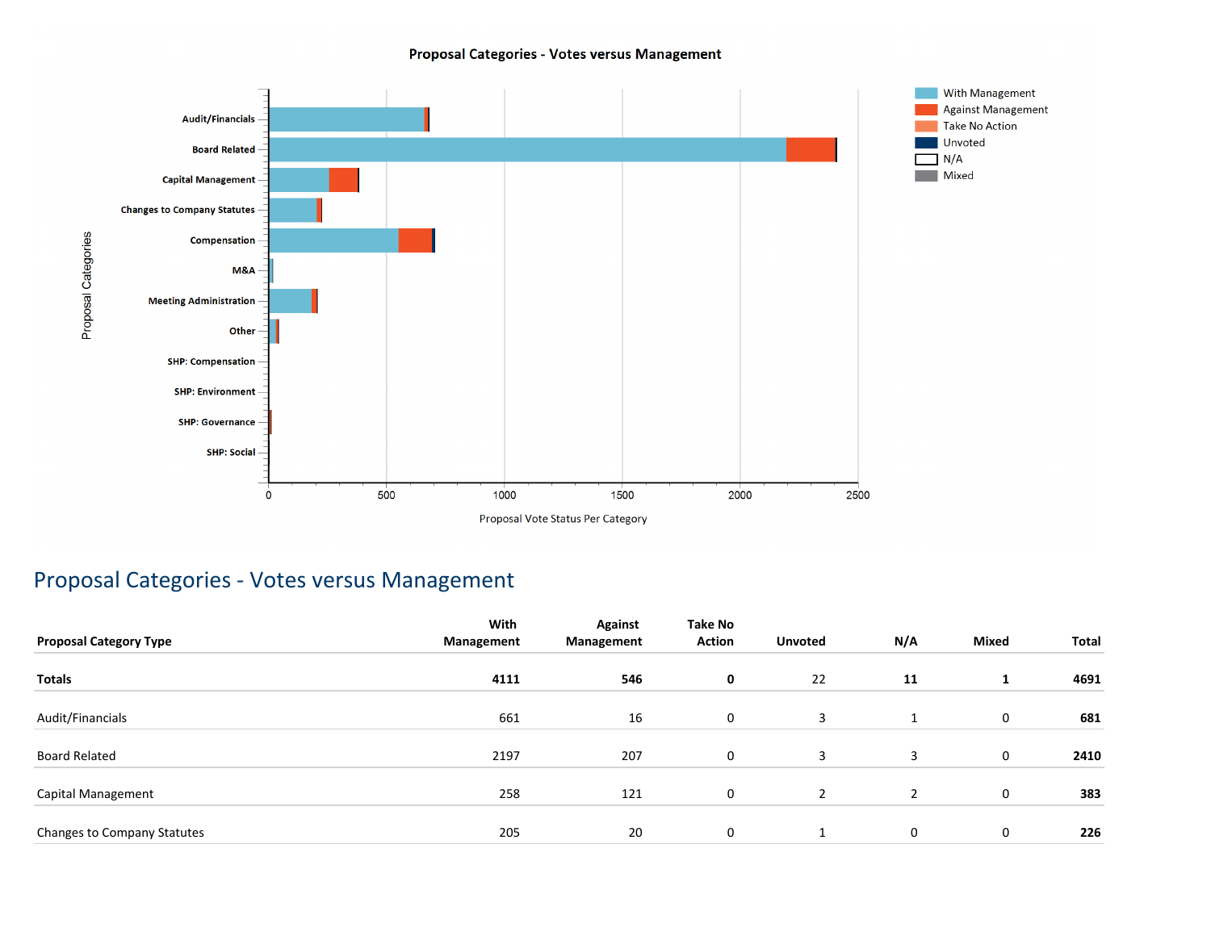### Proposal Categories - Votes versus Management



## Proposal Categories - Votes versus Management

| <b>Proposal Category Type</b> | With<br>Management | <b>Against</b><br>Management | Take No<br><b>Action</b> | <b>Unvoted</b> | N/A | Mixed       | Total |
|-------------------------------|--------------------|------------------------------|--------------------------|----------------|-----|-------------|-------|
|                               |                    |                              |                          |                |     |             |       |
| Totals                        | 4111               | 546                          | 0                        | 22             | 11  | л.          | 4691  |
| Audit/Financials              | 661                | 16                           | 0                        | 3              | 1   | $\mathbf 0$ | 681   |
| Board Related                 | 2197               | 207                          | 0                        | 3              | 3   | 0           | 2410  |
| Capital Management            | 258                | 121                          | 0                        | 2              | 2   | 0           | 383   |
| Changes to Company Statutes   | 205                | 20                           | 0                        |                | 0   | 0           | 226   |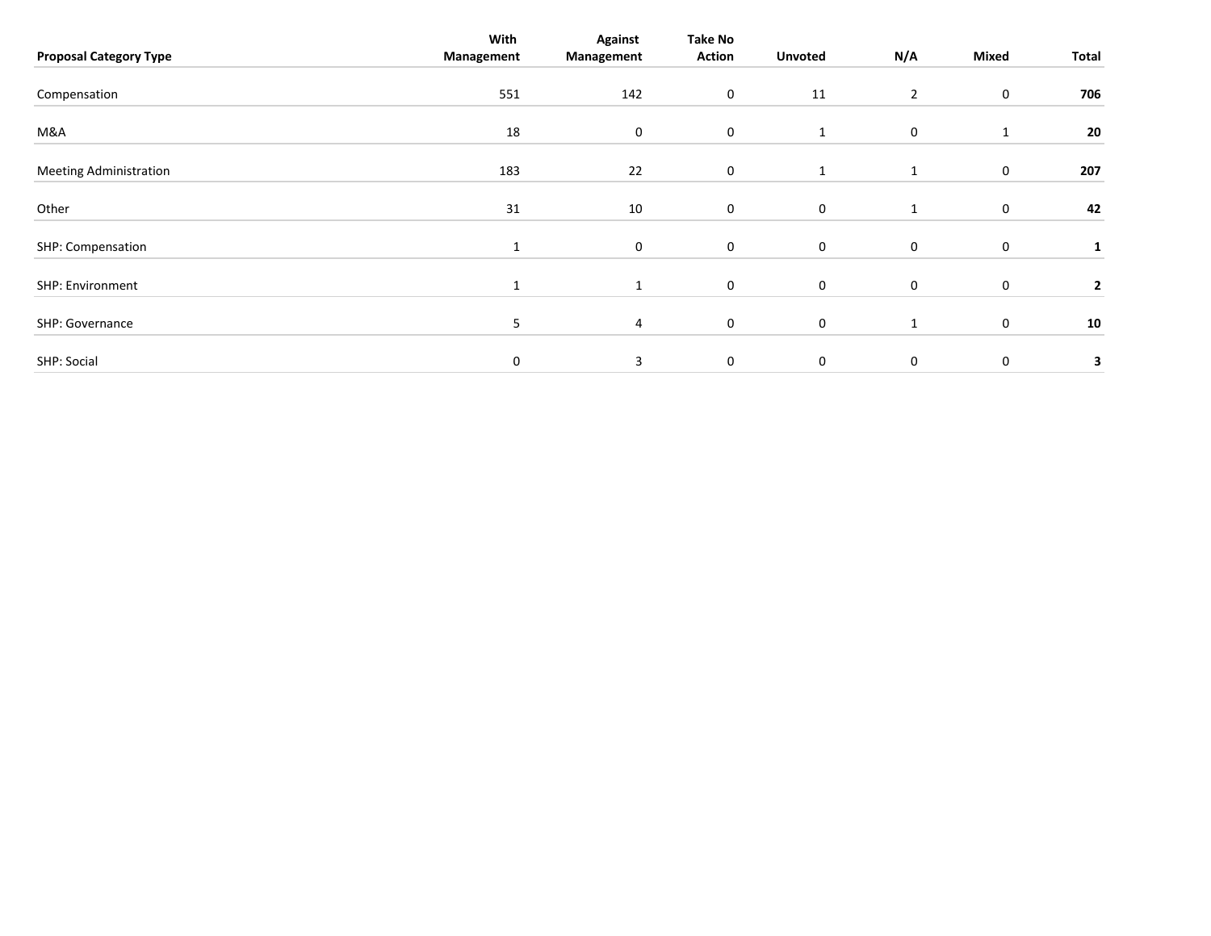| <b>Proposal Category Type</b> | With<br>Management | <b>Against</b><br>Management | Take No<br><b>Action</b> | <b>Unvoted</b> | N/A            | Mixed       | Total        |
|-------------------------------|--------------------|------------------------------|--------------------------|----------------|----------------|-------------|--------------|
| Compensation                  | 551                | 142                          | 0                        | 11             | $\overline{2}$ | 0           | 706          |
| M&A                           | 18                 | 0                            | $\mathbf 0$              | 1              | 0              | 1           | 20           |
| <b>Meeting Administration</b> | 183                | 22                           | $\mathbf 0$              | $\mathbf{1}$   | $\mathbf{1}$   | 0           | 207          |
| Other                         | 31                 | 10                           | 0                        | $\mathbf 0$    |                | 0           | 42           |
| SHP: Compensation             | $\mathbf{1}$       | 0                            | 0                        | $\mathbf 0$    | 0              | $\mathbf 0$ | 1            |
| SHP: Environment              | 1                  | 1                            | $\mathbf 0$              | $\mathbf 0$    | 0              | $\pmb{0}$   | $\mathbf{2}$ |
| SHP: Governance               | 5                  | 4                            | $\mathbf 0$              | $\mathbf 0$    | $\mathbf{1}$   | $\pmb{0}$   | 10           |
| SHP: Social                   | 0                  | 3                            | 0                        | $\mathbf 0$    | $\mathbf 0$    | 0           | 3            |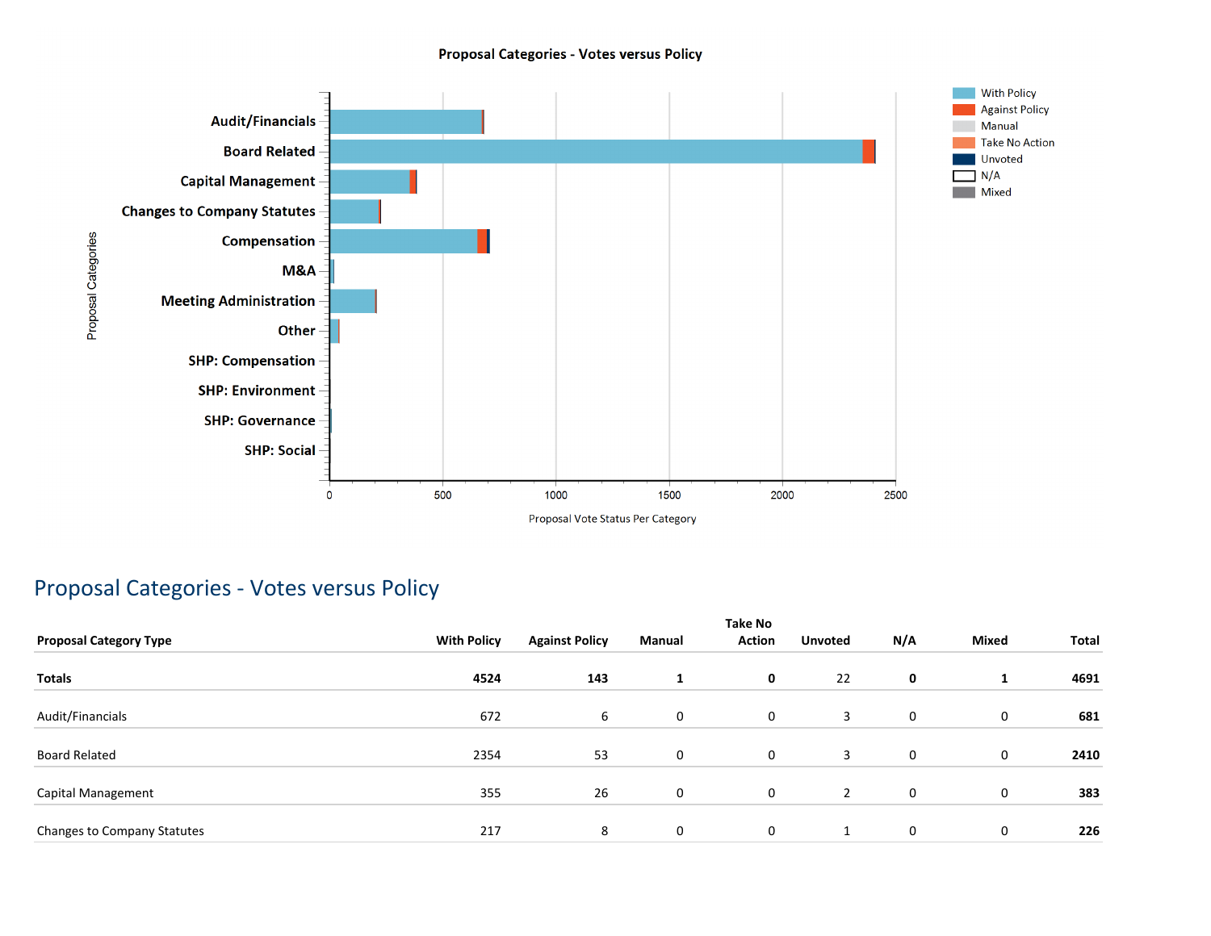### **Proposal Categories - Votes versus Policy**



## Proposal Categories - Votes versus Policy

|                               |                    |                       |              | <b>Take No</b> |                   |     |              |       |
|-------------------------------|--------------------|-----------------------|--------------|----------------|-------------------|-----|--------------|-------|
| <b>Proposal Category Type</b> | <b>With Policy</b> | <b>Against Policy</b> | Manual       | <b>Action</b>  | <b>Unvoted</b>    | N/A | <b>Mixed</b> | Total |
| <b>Totals</b>                 | 4524               | 143                   | 1            | $\mathbf 0$    | 22                | 0   | л.           | 4691  |
| Audit/Financials              | 672                | 6                     | 0            | 0              | 3                 | 0   | 0            | 681   |
| <b>Board Related</b>          | 2354               | 53                    | 0            | 0              | 3                 | 0   | 0            | 2410  |
| Capital Management            | 355                | 26                    | $\mathbf{0}$ | 0              | $\overline{2}$    | 0   | 0            | 383   |
| Changes to Company Statutes   | 217                | 8                     | 0            | 0              | $\mathbf{1}$<br>Ŧ | 0   | 0            | 226   |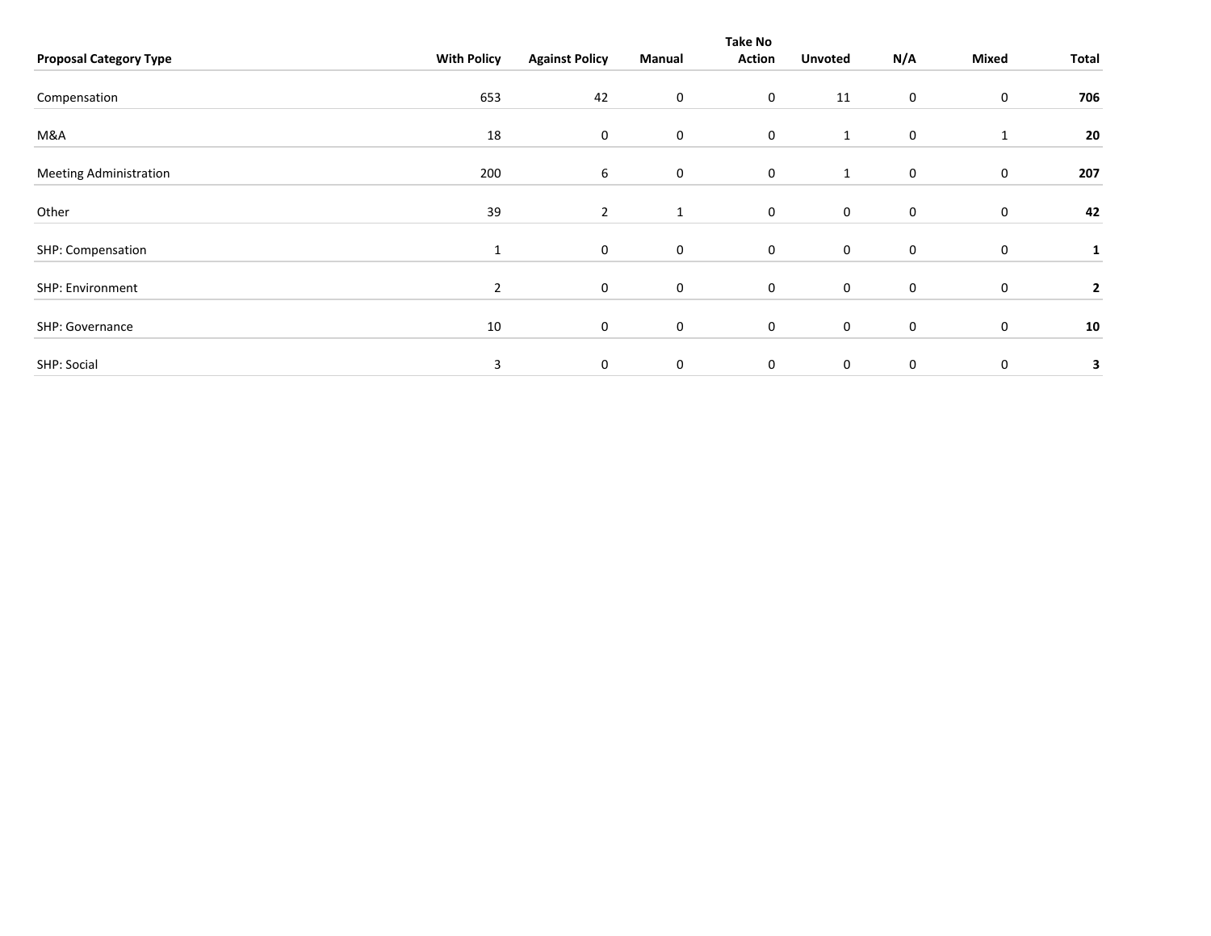|                               |                    |                       |             | Take No             |                |     |              |              |
|-------------------------------|--------------------|-----------------------|-------------|---------------------|----------------|-----|--------------|--------------|
| <b>Proposal Category Type</b> | <b>With Policy</b> | <b>Against Policy</b> | Manual      | <b>Action</b>       | <b>Unvoted</b> | N/A | <b>Mixed</b> | Total        |
| Compensation                  | 653                | 42                    | 0           | $\mathbf 0$         | 11             | 0   | 0            | 706          |
| M&A                           | 18                 | 0                     | $\mathbf 0$ | $\mathsf{O}\xspace$ | $\mathbf{1}$   | 0   | $\mathbf{1}$ | 20           |
| <b>Meeting Administration</b> | 200                | 6                     | $\mathbf 0$ | $\mathbf 0$         | $\mathbf{1}$   | 0   | $\mathbf 0$  | 207          |
| Other                         | 39                 | $\overline{2}$        | 1           | $\mathbf 0$         | $\mathbf 0$    | 0   | $\mathbf 0$  | 42           |
| SHP: Compensation             | 1                  | 0                     | $\mathbf 0$ | $\mathbf 0$         | $\mathbf 0$    | 0   | 0            | $\mathbf{1}$ |
| SHP: Environment              | $\overline{2}$     | $\mathbf 0$           | 0           | $\mathbf 0$         | $\mathbf 0$    | 0   | $\mathbf 0$  | $\mathbf{2}$ |
| SHP: Governance               | 10                 | 0                     | $\mathbf 0$ | $\mathbf 0$         | $\mathbf 0$    | 0   | 0            | 10           |
| SHP: Social                   | 3                  | $\mathbf 0$           | $\mathbf 0$ | $\mathbf 0$         | $\mathbf 0$    | 0   | 0            | 3            |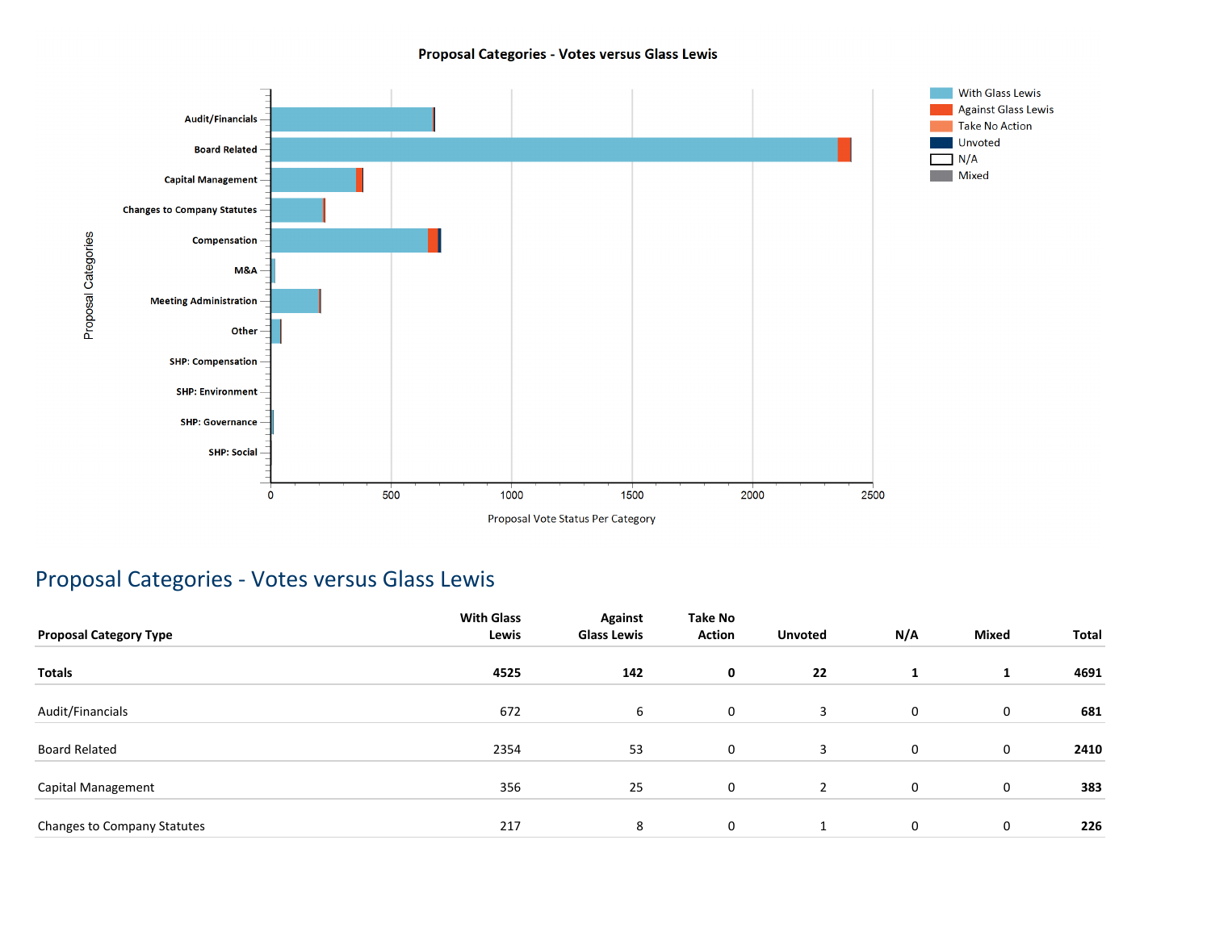### Proposal Categories - Votes versus Glass Lewis



## Proposal Categories - Votes versus Glass Lewis

| <b>Proposal Category Type</b> | <b>With Glass</b><br>Lewis | <b>Against</b><br><b>Glass Lewis</b> | Take No<br><b>Action</b> | <b>Unvoted</b> | N/A | <b>Mixed</b> | Total |
|-------------------------------|----------------------------|--------------------------------------|--------------------------|----------------|-----|--------------|-------|
| <b>Totals</b>                 | 4525                       | 142                                  | $\mathbf 0$              | 22             | 1   | 1            | 4691  |
| Audit/Financials              | 672                        | 6                                    | $\mathbf 0$              | 3              | 0   | 0            | 681   |
| <b>Board Related</b>          | 2354                       | 53                                   | $\mathbf 0$              | 3              | 0   | 0            | 2410  |
| Capital Management            | 356                        | 25                                   | $\mathbf 0$              | $\overline{2}$ | 0   | $\mathbf 0$  | 383   |
| Changes to Company Statutes   | 217                        | 8                                    | $\mathbf 0$              |                | 0   | 0            | 226   |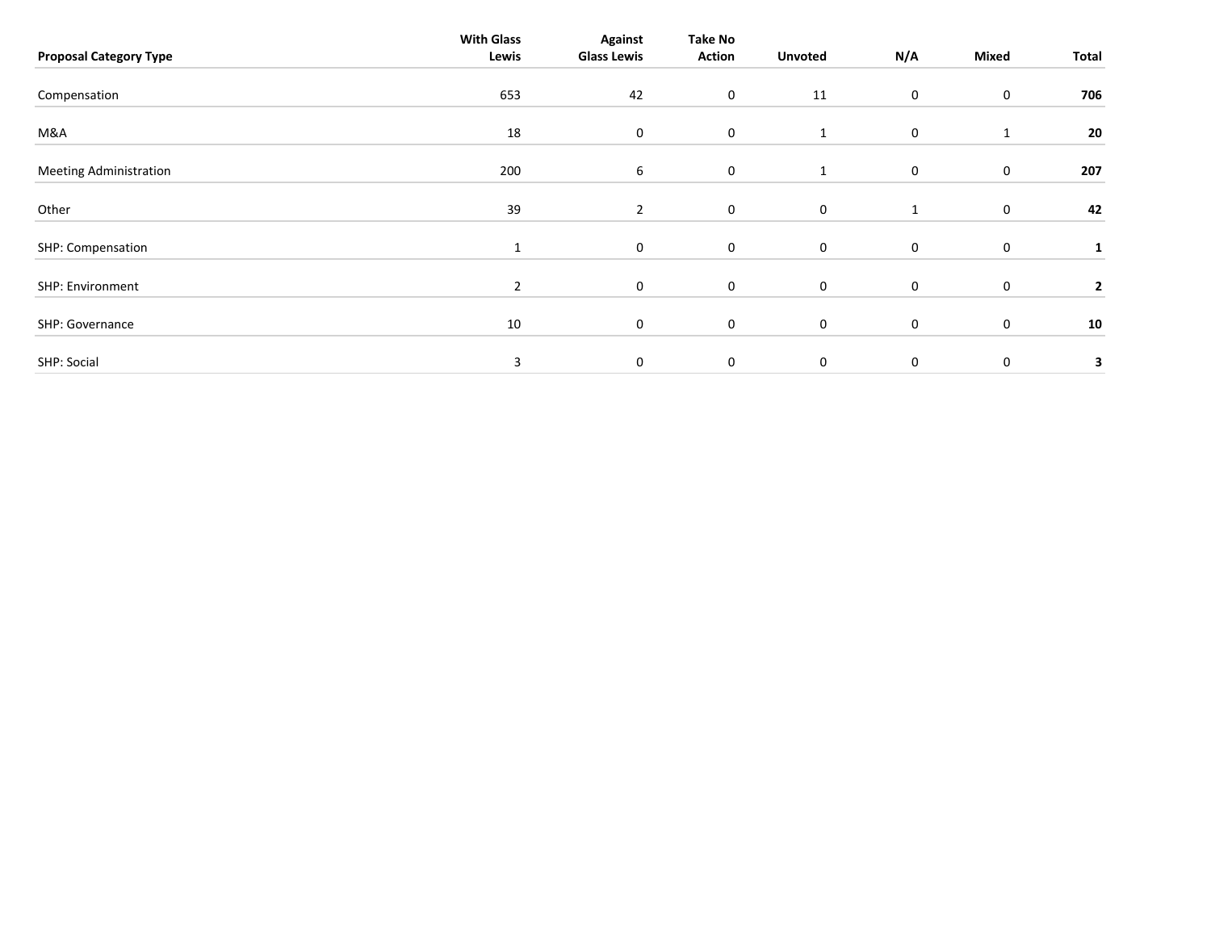| <b>Proposal Category Type</b> | <b>With Glass</b><br>Lewis | <b>Against</b><br><b>Glass Lewis</b> | Take No<br><b>Action</b> | <b>Unvoted</b> | N/A         | Mixed        | Total        |
|-------------------------------|----------------------------|--------------------------------------|--------------------------|----------------|-------------|--------------|--------------|
| Compensation                  | 653                        | 42                                   | 0                        | 11             | 0           | $\mathbf 0$  | 706          |
| M&A                           | 18                         | $\mathbf 0$                          | 0                        | 1              | 0           | $\mathbf{1}$ | 20           |
| <b>Meeting Administration</b> | 200                        | 6                                    | 0                        | $\mathbf{1}$   | $\mathbf 0$ | $\mathbf 0$  | 207          |
| Other                         | 39                         | $\overline{2}$                       | 0                        | $\mathbf 0$    | 1           | $\mathbf 0$  | 42           |
| SHP: Compensation             | $\mathbf{1}$               | $\mathbf 0$                          | 0                        | $\mathbf 0$    | 0           | $\mathbf 0$  | 1            |
| SHP: Environment              | $\overline{2}$             | 0                                    | $\mathbf 0$              | $\mathbf 0$    | 0           | $\mathbf 0$  | $\mathbf{2}$ |
| SHP: Governance               | 10                         | 0                                    | 0                        | 0              | 0           | $\mathbf 0$  | 10           |
| SHP: Social                   | 3                          | 0                                    | 0                        | $\mathbf 0$    | 0           | $\mathbf 0$  | 3            |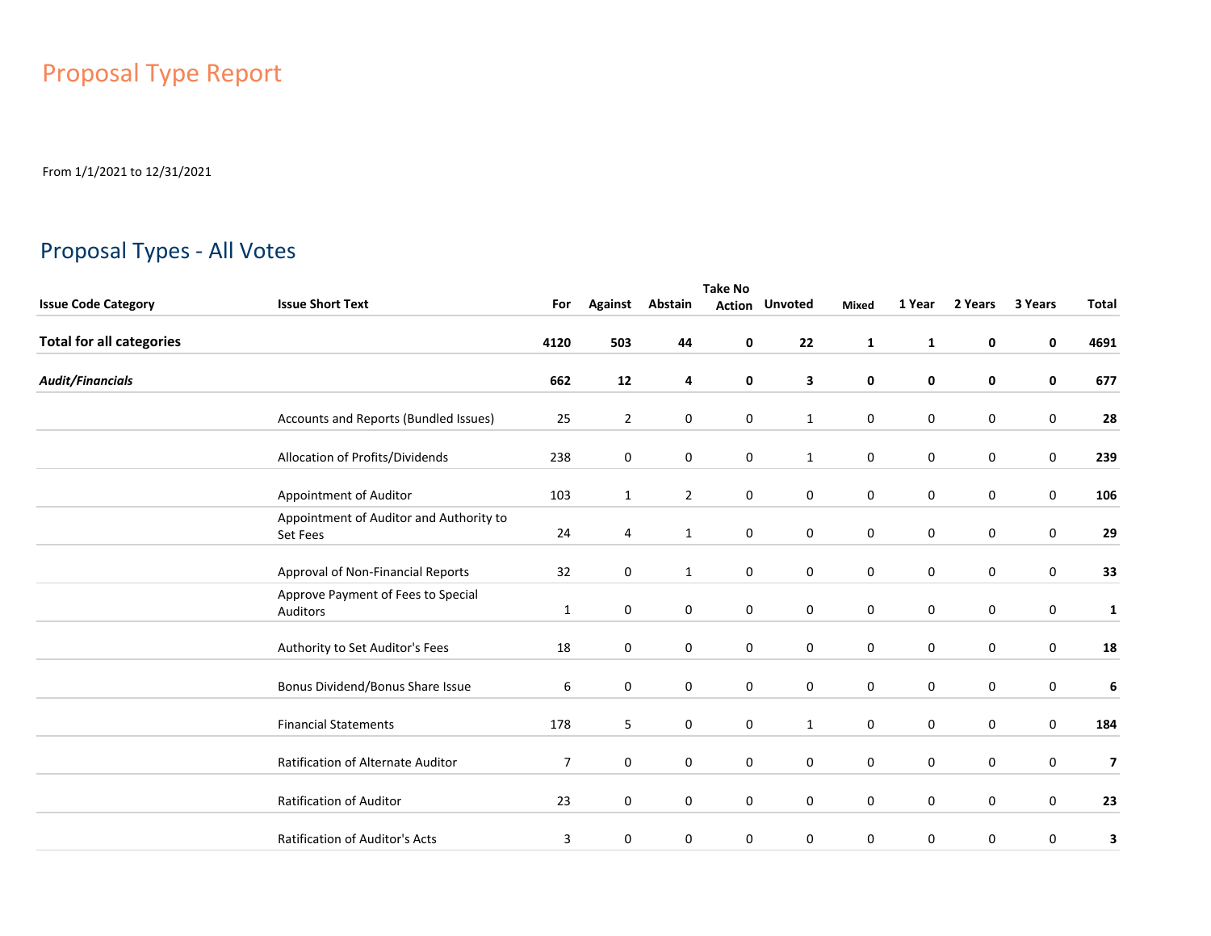# Proposal Type Report

From 1/1/2021 to 12/31/2021

## Proposal Types - All Votes

|                                 | <b>Take No</b>                                      |      |                |                |   |                       |              |             |             |         |                         |  |  |
|---------------------------------|-----------------------------------------------------|------|----------------|----------------|---|-----------------------|--------------|-------------|-------------|---------|-------------------------|--|--|
| <b>Issue Code Category</b>      | <b>Issue Short Text</b>                             | For  | <b>Against</b> | Abstain        |   | <b>Action Unvoted</b> | <b>Mixed</b> | 1 Year      | 2 Years     | 3 Years | <b>Total</b>            |  |  |
| <b>Total for all categories</b> |                                                     | 4120 | 503            | 44             | 0 | 22                    | $\mathbf{1}$ | 1           | $\mathbf 0$ | 0       | 4691                    |  |  |
| <b>Audit/Financials</b>         |                                                     | 662  | 12             | 4              | 0 | 3                     | 0            | 0           | 0           | 0       | 677                     |  |  |
|                                 | Accounts and Reports (Bundled Issues)               | 25   | $\overline{2}$ | 0              | 0 | $\mathbf{1}$          | 0            | 0           | 0           | 0       | 28                      |  |  |
|                                 | Allocation of Profits/Dividends                     | 238  | 0              | 0              | 0 | $\mathbf{1}$          | 0            | $\mathbf 0$ | 0           | 0       | 239                     |  |  |
|                                 | Appointment of Auditor                              | 103  | $\mathbf{1}$   | $\overline{2}$ | 0 | $\mathbf 0$           | $\mathbf 0$  | 0           | $\mathbf 0$ | 0       | 106                     |  |  |
|                                 | Appointment of Auditor and Authority to<br>Set Fees | 24   | 4              | $\mathbf{1}$   | 0 | $\mathbf 0$           | $\mathbf 0$  | $\mathbf 0$ | $\mathbf 0$ | 0       | 29                      |  |  |
|                                 | Approval of Non-Financial Reports                   | 32   | $\mathbf 0$    | $\mathbf{1}$   | 0 | $\mathbf 0$           | $\mathbf 0$  | $\pmb{0}$   | $\mathbf 0$ | 0       | 33                      |  |  |
|                                 | Approve Payment of Fees to Special<br>Auditors      | 1    | $\mathbf 0$    | 0              | 0 | $\mathbf 0$           | $\mathbf 0$  | $\pmb{0}$   | $\mathbf 0$ | 0       | $\mathbf{1}$            |  |  |
|                                 | Authority to Set Auditor's Fees                     | 18   | $\mathbf 0$    | 0              | 0 | $\mathbf 0$           | $\mathbf 0$  | $\pmb{0}$   | $\mathbf 0$ | 0       | 18                      |  |  |
|                                 | Bonus Dividend/Bonus Share Issue                    | 6    | 0              | 0              | 0 | $\mathbf 0$           | 0            | $\pmb{0}$   | $\mathbf 0$ | 0       | 6                       |  |  |
|                                 | <b>Financial Statements</b>                         | 178  | 5              | 0              | 0 | $\mathbf{1}$          | $\mathbf 0$  | $\pmb{0}$   | $\mathbf 0$ | 0       | 184                     |  |  |
|                                 | Ratification of Alternate Auditor                   | 7    | $\mathbf 0$    | 0              | 0 | $\mathbf 0$           | 0            | 0           | $\mathbf 0$ | 0       | $\overline{\mathbf{z}}$ |  |  |
|                                 | Ratification of Auditor                             | 23   | $\mathbf 0$    | 0              | 0 | $\mathbf 0$           | 0            | $\mathbf 0$ | $\mathbf 0$ | 0       | 23                      |  |  |
|                                 | Ratification of Auditor's Acts                      | 3    | $\mathbf 0$    | $\mathbf 0$    | 0 | $\mathbf 0$           | 0            | $\mathbf 0$ | 0           | 0       | 3                       |  |  |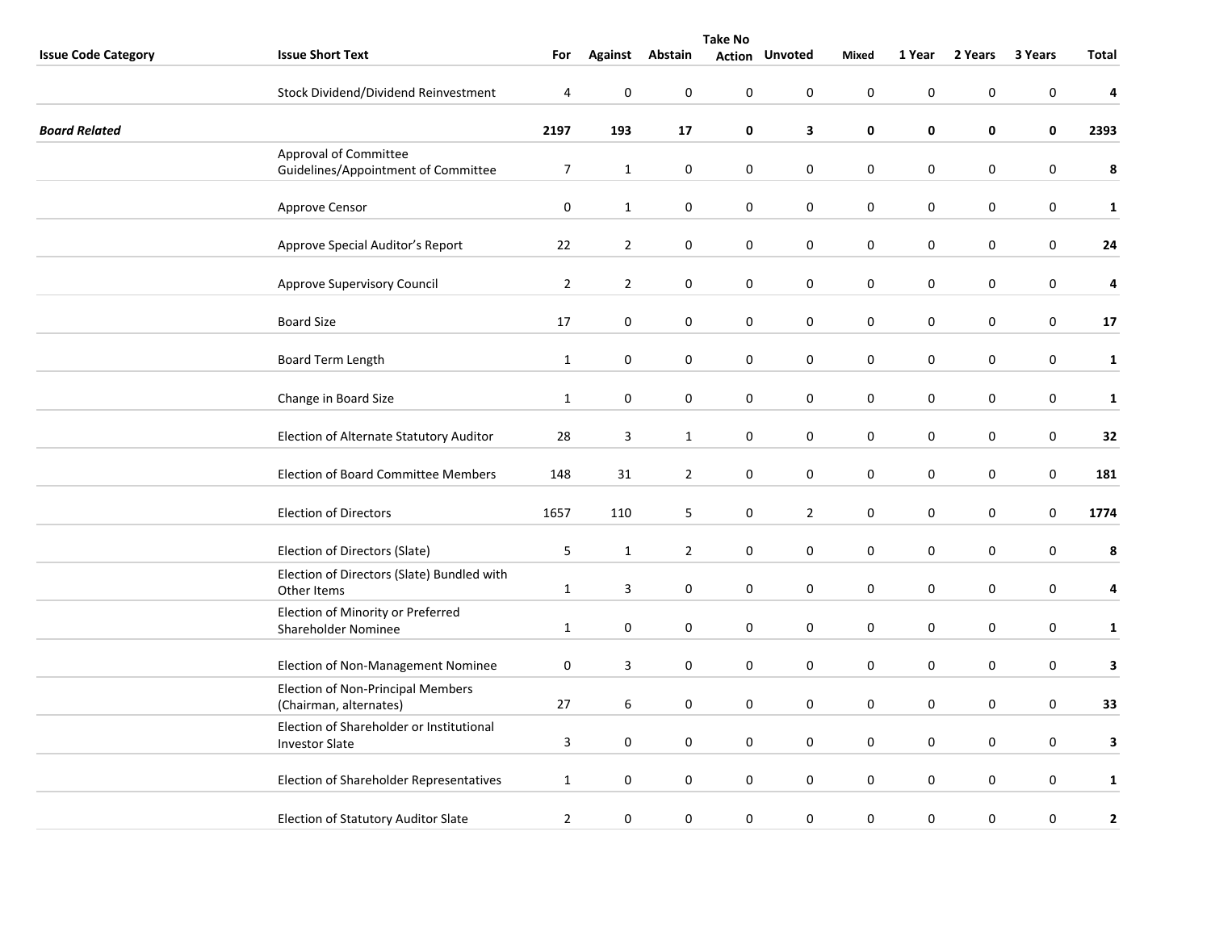|                            | <b>Take No</b>                                                     |                |                |                  |                  |                       |                  |                  |             |                  |              |
|----------------------------|--------------------------------------------------------------------|----------------|----------------|------------------|------------------|-----------------------|------------------|------------------|-------------|------------------|--------------|
| <b>Issue Code Category</b> | <b>Issue Short Text</b>                                            | For            |                | Against Abstain  |                  | <b>Action Unvoted</b> | <b>Mixed</b>     | 1 Year           | 2 Years     | 3 Years          | Total        |
|                            | Stock Dividend/Dividend Reinvestment                               | 4              | $\pmb{0}$      | $\pmb{0}$        | $\boldsymbol{0}$ | $\pmb{0}$             | $\mathbf 0$      | $\pmb{0}$        | 0           | $\mathbf 0$      | 4            |
| <b>Board Related</b>       |                                                                    | 2197           | 193            | 17               | 0                | 3                     | $\pmb{0}$        | 0                | 0           | $\pmb{0}$        | 2393         |
|                            | Approval of Committee<br>Guidelines/Appointment of Committee       | $\overline{7}$ | $\mathbf{1}$   | 0                | 0                | $\mathbf 0$           | 0                | $\mathbf 0$      | 0           | $\mathbf 0$      | 8            |
|                            | Approve Censor                                                     | $\pmb{0}$      | $\mathbf{1}$   | 0                | 0                | $\pmb{0}$             | $\mathbf 0$      | $\pmb{0}$        | 0           | $\mathbf 0$      | $\mathbf{1}$ |
|                            | Approve Special Auditor's Report                                   | 22             | $\overline{2}$ | $\pmb{0}$        | $\pmb{0}$        | $\pmb{0}$             | $\mathbf 0$      | $\pmb{0}$        | 0           | $\boldsymbol{0}$ | 24           |
|                            | Approve Supervisory Council                                        | $\overline{2}$ | $\overline{2}$ | 0                | 0                | $\pmb{0}$             | $\pmb{0}$        | $\pmb{0}$        | 0           | $\pmb{0}$        | 4            |
|                            | <b>Board Size</b>                                                  | 17             | $\pmb{0}$      | 0                | 0                | $\pmb{0}$             | $\pmb{0}$        | $\boldsymbol{0}$ | 0           | $\pmb{0}$        | 17           |
|                            | Board Term Length                                                  | $\mathbf{1}$   | $\pmb{0}$      | $\pmb{0}$        | $\boldsymbol{0}$ | $\pmb{0}$             | $\mathbf 0$      | $\boldsymbol{0}$ | 0           | $\boldsymbol{0}$ | $\mathbf{1}$ |
|                            | Change in Board Size                                               | $\mathbf{1}$   | $\mathbf 0$    | $\boldsymbol{0}$ | 0                | $\pmb{0}$             | $\pmb{0}$        | $\mathbf 0$      | $\mathbf 0$ | $\pmb{0}$        | $\mathbf{1}$ |
|                            | Election of Alternate Statutory Auditor                            | 28             | 3              | $\mathbf{1}$     | $\pmb{0}$        | $\pmb{0}$             | $\boldsymbol{0}$ | $\boldsymbol{0}$ | 0           | $\mathbf 0$      | 32           |
|                            | Election of Board Committee Members                                | 148            | 31             | $\overline{2}$   | 0                | $\bf{0}$              | $\boldsymbol{0}$ | $\pmb{0}$        | 0           | $\boldsymbol{0}$ | 181          |
|                            | <b>Election of Directors</b>                                       | 1657           | 110            | 5                | 0                | $\overline{2}$        | 0                | $\mathbf 0$      | 0           | $\mathbf 0$      | 1774         |
|                            | Election of Directors (Slate)                                      | 5              | $\mathbf{1}$   | $\overline{2}$   | $\boldsymbol{0}$ | $\bf{0}$              | $\pmb{0}$        | $\boldsymbol{0}$ | 0           | $\pmb{0}$        | 8            |
|                            | Election of Directors (Slate) Bundled with<br>Other Items          | $\mathbf{1}$   | $\overline{3}$ | 0                | 0                | $\bf{0}$              | $\pmb{0}$        | 0                | 0           | $\mathbf 0$      | 4            |
|                            | Election of Minority or Preferred<br>Shareholder Nominee           | $\mathbf{1}$   | $\pmb{0}$      | $\pmb{0}$        | $\pmb{0}$        | $\pmb{0}$             | $\boldsymbol{0}$ | $\boldsymbol{0}$ | 0           | $\mathbf 0$      | $\mathbf{1}$ |
|                            | Election of Non-Management Nominee                                 | $\pmb{0}$      | $\mathsf 3$    | 0                | 0                | $\pmb{0}$             | $\pmb{0}$        | $\pmb{0}$        | 0           | $\pmb{0}$        | $\mathbf{3}$ |
|                            | <b>Election of Non-Principal Members</b><br>(Chairman, alternates) | 27             | 6              | 0                | 0                | $\bf{0}$              | $\boldsymbol{0}$ | $\mathbf 0$      | 0           | $\boldsymbol{0}$ | 33           |
|                            | Election of Shareholder or Institutional<br><b>Investor Slate</b>  | 3              | $\mathbf 0$    | $\pmb{0}$        | 0                | $\pmb{0}$             | $\mathbf 0$      | $\boldsymbol{0}$ | 0           | $\boldsymbol{0}$ | 3            |
|                            | Election of Shareholder Representatives                            | $\mathbf{1}$   | $\pmb{0}$      | 0                | 0                | $\bf{0}$              | $\pmb{0}$        | $\pmb{0}$        | 0           | $\pmb{0}$        | $\mathbf{1}$ |
|                            | Election of Statutory Auditor Slate                                | $\overline{2}$ | $\pmb{0}$      | 0                | $\boldsymbol{0}$ | $\bf{0}$              | $\boldsymbol{0}$ | $\pmb{0}$        | 0           | 0                | $\mathbf{2}$ |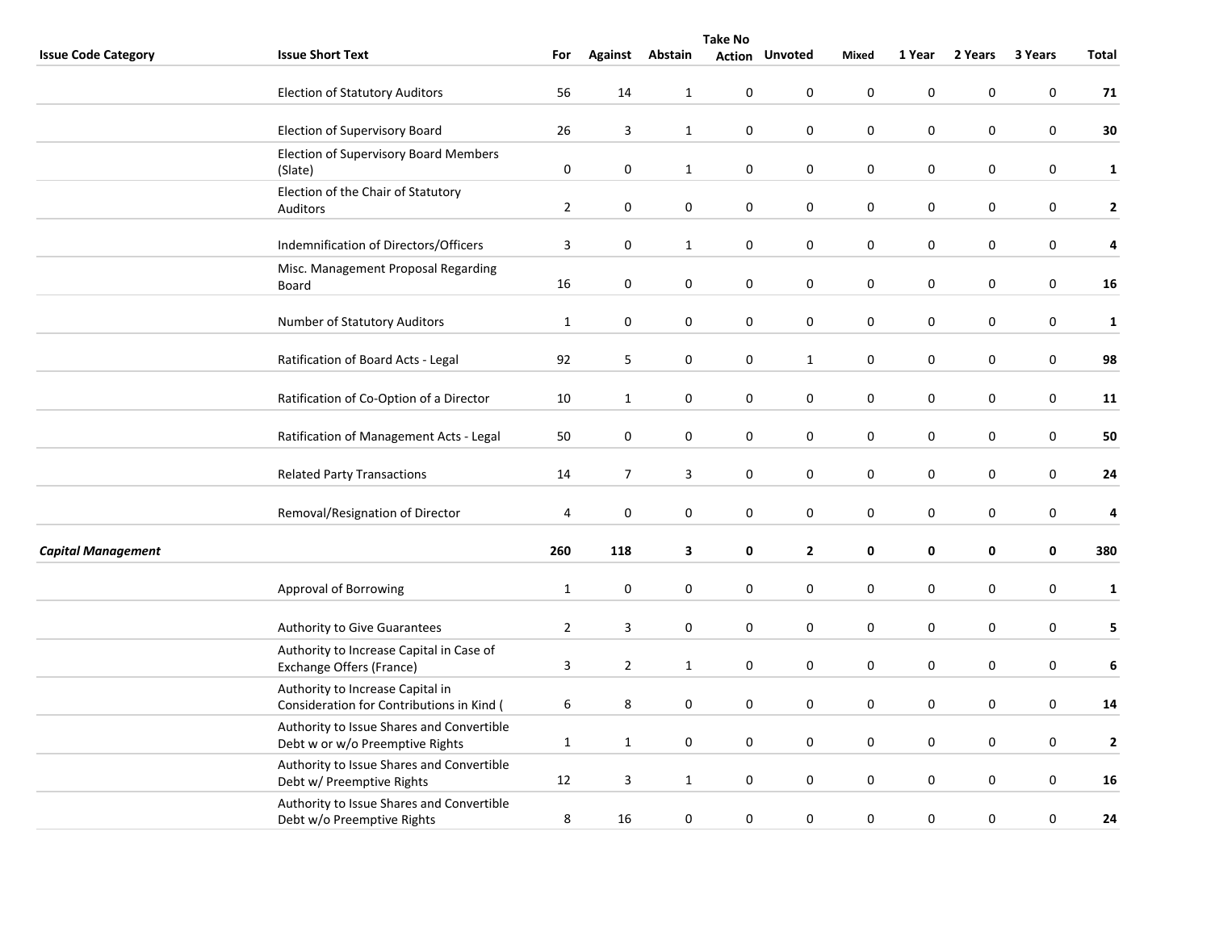|                            | <b>Take No</b>                                                                |                |                     |              |                  |                       |                  |             |           |                  |                         |  |
|----------------------------|-------------------------------------------------------------------------------|----------------|---------------------|--------------|------------------|-----------------------|------------------|-------------|-----------|------------------|-------------------------|--|
| <b>Issue Code Category</b> | <b>Issue Short Text</b>                                                       | For            | <b>Against</b>      | Abstain      |                  | <b>Action Unvoted</b> | <b>Mixed</b>     | 1 Year      | 2 Years   | 3 Years          | Total                   |  |
|                            | <b>Election of Statutory Auditors</b>                                         | 56             | 14                  | $\mathbf{1}$ | 0                | 0                     | $\mathbf 0$      | $\pmb{0}$   | 0         | 0                | 71                      |  |
|                            | Election of Supervisory Board                                                 | 26             | 3                   | $\mathbf{1}$ | 0                | $\boldsymbol{0}$      | $\pmb{0}$        | $\pmb{0}$   | $\pmb{0}$ | 0                | 30                      |  |
|                            | <b>Election of Supervisory Board Members</b><br>(Slate)                       | 0              | 0                   | $\mathbf{1}$ | 0                | 0                     | 0                | 0           | 0         | $\boldsymbol{0}$ | $\mathbf{1}$            |  |
|                            | Election of the Chair of Statutory<br>Auditors                                | $\mathbf 2$    | $\mathbf 0$         | $\mathbf 0$  | 0                | 0                     | $\mathbf 0$      | $\mathbf 0$ | 0         | $\mathbf 0$      | $\mathbf{2}$            |  |
|                            | Indemnification of Directors/Officers                                         | 3              | $\mathbf 0$         | $\mathbf{1}$ | $\boldsymbol{0}$ | $\boldsymbol{0}$      | $\mathbf 0$      | $\pmb{0}$   | $\pmb{0}$ | $\boldsymbol{0}$ | $\pmb{4}$               |  |
|                            | Misc. Management Proposal Regarding<br>Board                                  | 16             | 0                   | 0            | 0                | 0                     | $\mathbf 0$      | $\pmb{0}$   | 0         | 0                | 16                      |  |
|                            | Number of Statutory Auditors                                                  | $\mathbf{1}$   | $\pmb{0}$           | $\pmb{0}$    | $\boldsymbol{0}$ | $\mathsf 0$           | $\boldsymbol{0}$ | $\pmb{0}$   | 0         | $\boldsymbol{0}$ | $\mathbf{1}$            |  |
|                            | Ratification of Board Acts - Legal                                            | 92             | 5                   | 0            | 0                | $\mathbf{1}$          | $\mathbf 0$      | $\mathbf 0$ | 0         | $\mathbf 0$      | 98                      |  |
|                            | Ratification of Co-Option of a Director                                       | 10             | $\mathbf{1}$        | 0            | 0                | 0                     | $\mathbf 0$      | $\pmb{0}$   | $\pmb{0}$ | 0                | 11                      |  |
|                            | Ratification of Management Acts - Legal                                       | 50             | $\mathsf{O}\xspace$ | $\pmb{0}$    | $\boldsymbol{0}$ | $\boldsymbol{0}$      | $\pmb{0}$        | $\pmb{0}$   | 0         | $\boldsymbol{0}$ | 50                      |  |
|                            | <b>Related Party Transactions</b>                                             | 14             | $\overline{7}$      | 3            | 0                | 0                     | $\mathbf 0$      | $\mathbf 0$ | 0         | $\mathbf 0$      | 24                      |  |
|                            | Removal/Resignation of Director                                               | 4              | 0                   | 0            | 0                | 0                     | $\mathbf 0$      | $\pmb{0}$   | 0         | 0                | $\overline{\mathbf{4}}$ |  |
| <b>Capital Management</b>  |                                                                               | 260            | 118                 | 3            | 0                | $\mathbf{2}$          | $\pmb{0}$        | $\pmb{0}$   | 0         | $\pmb{0}$        | 380                     |  |
|                            | Approval of Borrowing                                                         | $\mathbf{1}$   | $\pmb{0}$           | $\pmb{0}$    | $\boldsymbol{0}$ | $\mathsf 0$           | $\boldsymbol{0}$ | $\pmb{0}$   | $\pmb{0}$ | $\boldsymbol{0}$ | $\mathbf{1}$            |  |
|                            | Authority to Give Guarantees                                                  | $\overline{2}$ | $\mathbf{3}$        | 0            | 0                | $\mathbf 0$           | $\mathbf 0$      | $\mathbf 0$ | 0         | $\pmb{0}$        | 5                       |  |
|                            | Authority to Increase Capital in Case of<br>Exchange Offers (France)          | $\mathsf{3}$   | $\overline{2}$      | $\mathbf{1}$ | $\pmb{0}$        | 0                     | $\pmb{0}$        | $\pmb{0}$   | 0         | 0                | 6                       |  |
|                            | Authority to Increase Capital in<br>Consideration for Contributions in Kind ( | 6              | 8                   | $\pmb{0}$    | $\mathsf 0$      | 0                     | $\pmb{0}$        | $\pmb{0}$   | 0         | $\boldsymbol{0}$ | 14                      |  |
|                            | Authority to Issue Shares and Convertible<br>Debt w or w/o Preemptive Rights  | $\mathbf{1}$   | $\mathbf{1}$        | 0            | 0                | 0                     | $\mathbf 0$      | $\pmb{0}$   | 0         | 0                | $\overline{2}$          |  |
|                            | Authority to Issue Shares and Convertible<br>Debt w/ Preemptive Rights        | 12             | 3                   | $\mathbf{1}$ | 0                | 0                     | $\mathbf 0$      | $\pmb{0}$   | $\pmb{0}$ | $\mathbf 0$      | 16                      |  |
|                            | Authority to Issue Shares and Convertible<br>Debt w/o Preemptive Rights       | 8              | 16                  | 0            | $\boldsymbol{0}$ | 0                     | $\pmb{0}$        | $\pmb{0}$   | 0         | 0                | 24                      |  |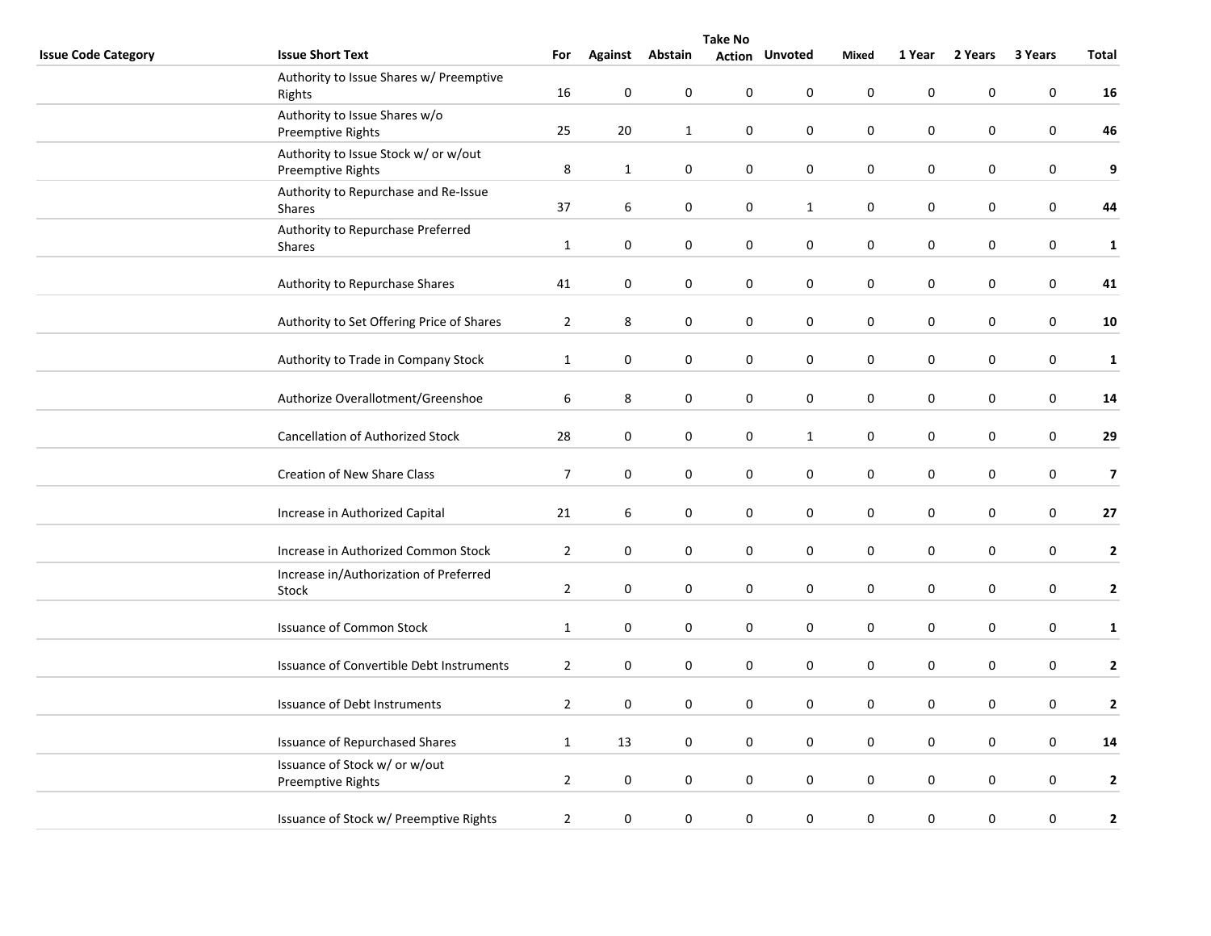|                            | <b>Take No</b>                                            |                  |                  |                 |             |                       |                  |             |           |                  |                  |  |  |
|----------------------------|-----------------------------------------------------------|------------------|------------------|-----------------|-------------|-----------------------|------------------|-------------|-----------|------------------|------------------|--|--|
| <b>Issue Code Category</b> | <b>Issue Short Text</b>                                   | For              |                  | Against Abstain |             | <b>Action Unvoted</b> | Mixed            | 1 Year      | 2 Years   | 3 Years          | Total            |  |  |
|                            | Authority to Issue Shares w/ Preemptive<br>Rights         | 16               | 0                | $\mathbf 0$     | 0           | 0                     | $\mathbf 0$      | 0           | $\pmb{0}$ | $\pmb{0}$        | 16               |  |  |
|                            | Authority to Issue Shares w/o<br>Preemptive Rights        | 25               | $20\,$           | $\mathbf{1}$    | 0           | $\boldsymbol{0}$      | $\pmb{0}$        | $\pmb{0}$   | $\pmb{0}$ | $\pmb{0}$        | 46               |  |  |
|                            | Authority to Issue Stock w/ or w/out<br>Preemptive Rights | 8                | $\mathbf{1}$     | $\mathbf 0$     | $\pmb{0}$   | $\mathbf 0$           | $\pmb{0}$        | $\pmb{0}$   | 0         | $\pmb{0}$        | $\boldsymbol{9}$ |  |  |
|                            | Authority to Repurchase and Re-Issue<br>Shares            | 37               | 6                | $\mathbf 0$     | 0           | $\mathbf{1}$          | $\mathbf 0$      | 0           | 0         | $\boldsymbol{0}$ | 44               |  |  |
|                            | Authority to Repurchase Preferred<br>Shares               | $\mathbf{1}$     | 0                | $\mathbf 0$     | 0           | 0                     | $\mathbf 0$      | $\pmb{0}$   | 0         | $\pmb{0}$        | ${\bf 1}$        |  |  |
|                            | Authority to Repurchase Shares                            | 41               | 0                | $\mathbf 0$     | $\pmb{0}$   | $\boldsymbol{0}$      | $\pmb{0}$        | $\pmb{0}$   | 0         | $\pmb{0}$        | 41               |  |  |
|                            | Authority to Set Offering Price of Shares                 | $\overline{2}$   | 8                | $\mathbf 0$     | 0           | $\mathbf 0$           | $\boldsymbol{0}$ | $\pmb{0}$   | 0         | $\pmb{0}$        | 10               |  |  |
|                            | Authority to Trade in Company Stock                       | $\mathbf{1}$     | 0                | $\mathbf 0$     | $\mathbf 0$ | $\mathbf 0$           | $\mathbf 0$      | 0           | 0         | 0                | $\mathbf{1}$     |  |  |
|                            | Authorize Overallotment/Greenshoe                         | $\boldsymbol{6}$ | 8                | $\mathbf 0$     | 0           | 0                     | $\mathbf 0$      | 0           | $\pmb{0}$ | $\boldsymbol{0}$ | 14               |  |  |
|                            | <b>Cancellation of Authorized Stock</b>                   | 28               | $\pmb{0}$        | $\mathbf 0$     | $\pmb{0}$   | $\mathbf 1$           | $\pmb{0}$        | $\pmb{0}$   | 0         | $\pmb{0}$        | 29               |  |  |
|                            | Creation of New Share Class                               | $\overline{7}$   | $\pmb{0}$        | $\mathbf 0$     | $\pmb{0}$   | $\boldsymbol{0}$      | $\boldsymbol{0}$ | $\pmb{0}$   | $\pmb{0}$ | $\pmb{0}$        | $\overline{7}$   |  |  |
|                            | Increase in Authorized Capital                            | 21               | 6                | $\mathbf 0$     | 0           | 0                     | $\mathbf 0$      | $\pmb{0}$   | 0         | 0                | $27$             |  |  |
|                            | Increase in Authorized Common Stock                       | $\overline{2}$   | $\pmb{0}$        | $\mathbf 0$     | 0           | 0                     | $\pmb{0}$        | 0           | 0         | $\pmb{0}$        | $\mathbf{2}$     |  |  |
|                            | Increase in/Authorization of Preferred<br>Stock           | $\overline{2}$   | $\pmb{0}$        | $\mathbf 0$     | $\pmb{0}$   | $\pmb{0}$             | $\pmb{0}$        | $\pmb{0}$   | $\pmb{0}$ | $\pmb{0}$        | $\mathbf{2}$     |  |  |
|                            | <b>Issuance of Common Stock</b>                           | $\mathbf{1}$     | 0                | $\mathbf 0$     | $\mathbf 0$ | $\mathbf 0$           | 0                | $\mathbf 0$ | 0         | 0                | $\mathbf{1}$     |  |  |
|                            | Issuance of Convertible Debt Instruments                  | $\overline{2}$   | 0                | $\pmb{0}$       | 0           | $\pmb{0}$             | $\pmb{0}$        | $\pmb{0}$   | 0         | $\pmb{0}$        | $\mathbf{2}$     |  |  |
|                            | Issuance of Debt Instruments                              | $\overline{2}$   | $\boldsymbol{0}$ | $\mathbf 0$     | $\pmb{0}$   | $\boldsymbol{0}$      | $\pmb{0}$        | $\pmb{0}$   | 0         | $\pmb{0}$        | $\mathbf 2$      |  |  |
|                            | <b>Issuance of Repurchased Shares</b>                     | $\mathbf{1}$     | 13               | $\mathbf 0$     | 0           | 0                     | 0                | 0           | 0         | $\pmb{0}$        | ${\bf 14}$       |  |  |
|                            | Issuance of Stock w/ or w/out<br>Preemptive Rights        | $\overline{2}$   | $\pmb{0}$        | $\pmb{0}$       | $\pmb{0}$   | 0                     | $\mathbf 0$      | 0           | 0         | $\pmb{0}$        | $\mathbf{2}$     |  |  |
|                            | Issuance of Stock w/ Preemptive Rights                    | $\overline{2}$   | 0                | $\mathbf 0$     | 0           | $\boldsymbol{0}$      | $\pmb{0}$        | $\pmb{0}$   | 0         | 0                | $\mathbf{2}$     |  |  |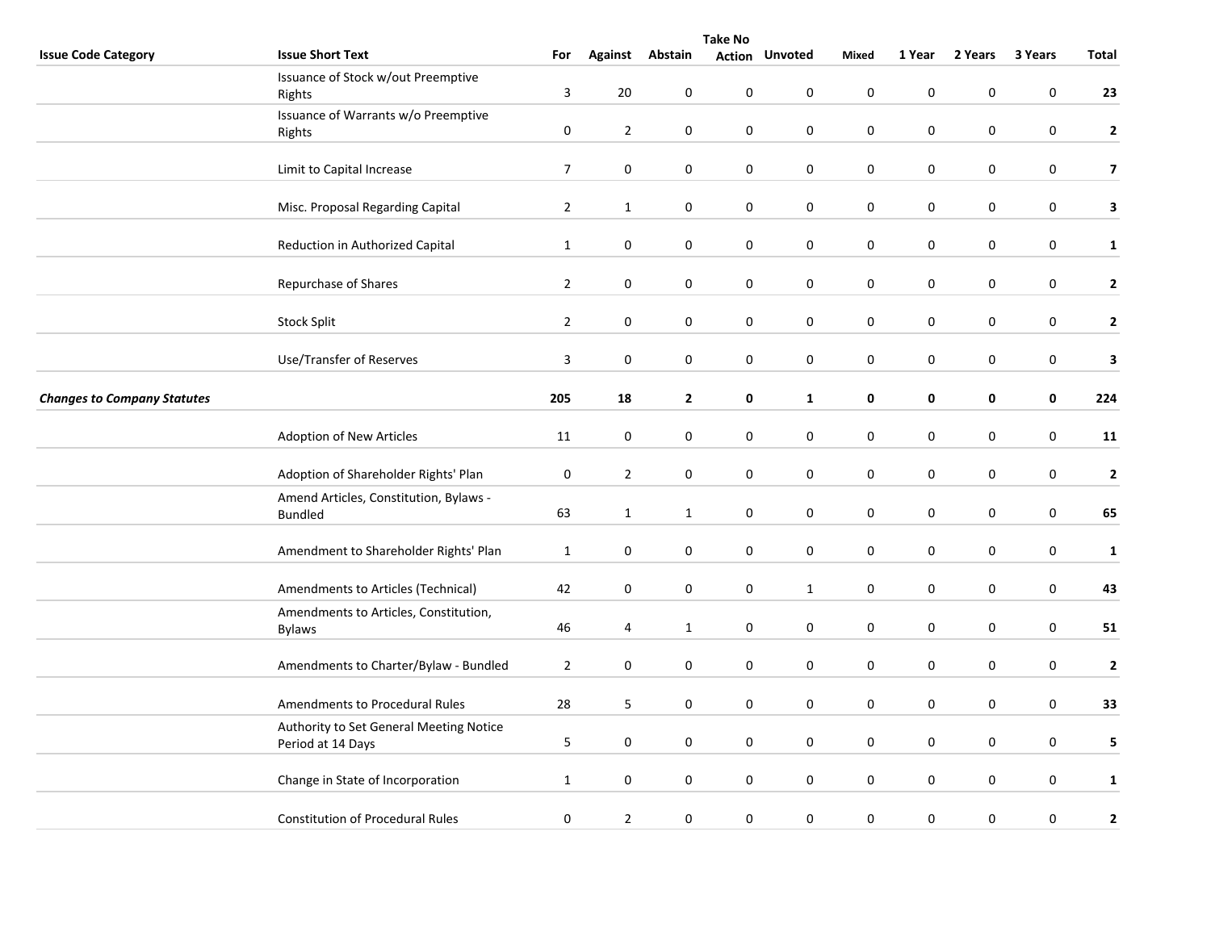|                                    |                                                        | <b>Take No</b>          |                  |                  |                  |                       |             |           |             |                  |                |  |
|------------------------------------|--------------------------------------------------------|-------------------------|------------------|------------------|------------------|-----------------------|-------------|-----------|-------------|------------------|----------------|--|
| <b>Issue Code Category</b>         | <b>Issue Short Text</b>                                | For                     | <b>Against</b>   | Abstain          |                  | <b>Action Unvoted</b> | Mixed       | 1 Year    | 2 Years     | 3 Years          | Total          |  |
|                                    | Issuance of Stock w/out Preemptive                     |                         |                  |                  |                  |                       |             |           |             |                  |                |  |
|                                    | Rights                                                 | 3                       | 20               | 0                | 0                | 0                     | $\mathbf 0$ | $\pmb{0}$ | $\mathbf 0$ | $\mathbf 0$      | 23             |  |
|                                    | Issuance of Warrants w/o Preemptive                    |                         |                  |                  |                  |                       |             |           |             |                  |                |  |
|                                    | Rights                                                 | $\pmb{0}$               | $\overline{2}$   | $\boldsymbol{0}$ | $\pmb{0}$        | 0                     | $\mathbf 0$ | $\pmb{0}$ | 0           | $\pmb{0}$        | $\mathbf{2}$   |  |
|                                    | Limit to Capital Increase                              | $\boldsymbol{7}$        | $\pmb{0}$        | $\pmb{0}$        | $\boldsymbol{0}$ | $\pmb{0}$             | $\pmb{0}$   | $\pmb{0}$ | $\pmb{0}$   | $\boldsymbol{0}$ | $\overline{7}$ |  |
|                                    |                                                        |                         |                  |                  |                  |                       |             |           |             |                  |                |  |
|                                    | Misc. Proposal Regarding Capital                       | $\overline{2}$          | $\mathbf{1}$     | 0                | 0                | 0                     | 0           | 0         | 0           | 0                | $\mathbf{3}$   |  |
|                                    |                                                        |                         |                  |                  |                  |                       |             |           |             |                  |                |  |
|                                    | Reduction in Authorized Capital                        | $\mathbf{1}$            | $\pmb{0}$        | $\boldsymbol{0}$ | $\pmb{0}$        | $\pmb{0}$             | $\pmb{0}$   | $\pmb{0}$ | 0           | $\pmb{0}$        | $\mathbf{1}$   |  |
|                                    |                                                        |                         |                  |                  |                  |                       |             |           |             |                  |                |  |
|                                    | Repurchase of Shares                                   | $\overline{2}$          | $\boldsymbol{0}$ | $\pmb{0}$        | 0                | $\boldsymbol{0}$      | $\pmb{0}$   | $\pmb{0}$ | 0           | $\boldsymbol{0}$ | $\mathbf{2}$   |  |
|                                    |                                                        |                         |                  |                  |                  |                       |             |           |             |                  |                |  |
|                                    | <b>Stock Split</b>                                     | $\overline{2}$          | $\mathbf 0$      | $\boldsymbol{0}$ | $\pmb{0}$        | $\pmb{0}$             | $\pmb{0}$   | $\pmb{0}$ | $\pmb{0}$   | $\boldsymbol{0}$ | $\mathbf{2}$   |  |
|                                    |                                                        |                         |                  |                  |                  |                       |             |           |             |                  |                |  |
|                                    | Use/Transfer of Reserves                               | $\overline{\mathbf{3}}$ | $\pmb{0}$        | $\boldsymbol{0}$ | $\pmb{0}$        | $\pmb{0}$             | $\pmb{0}$   | $\pmb{0}$ | $\pmb{0}$   | $\boldsymbol{0}$ | 3              |  |
| <b>Changes to Company Statutes</b> |                                                        | 205                     | 18               | $\mathbf{2}$     | 0                | $\mathbf{1}$          | $\pmb{0}$   | $\pmb{0}$ | 0           | $\pmb{0}$        | 224            |  |
|                                    |                                                        |                         |                  |                  |                  |                       |             |           |             |                  |                |  |
|                                    | Adoption of New Articles                               | 11                      | $\boldsymbol{0}$ | $\boldsymbol{0}$ | 0                | 0                     | $\mathbf 0$ | $\pmb{0}$ | 0           | $\boldsymbol{0}$ | 11             |  |
|                                    |                                                        |                         |                  |                  |                  |                       |             |           |             |                  |                |  |
|                                    | Adoption of Shareholder Rights' Plan                   | 0                       | $\overline{2}$   | $\pmb{0}$        | $\boldsymbol{0}$ | $\boldsymbol{0}$      | $\pmb{0}$   | $\pmb{0}$ | $\pmb{0}$   | $\pmb{0}$        | $\mathbf 2$    |  |
|                                    | Amend Articles, Constitution, Bylaws -                 |                         |                  |                  |                  |                       |             |           |             |                  |                |  |
|                                    | <b>Bundled</b>                                         | 63                      | $\mathbf{1}$     | $\mathbf{1}$     | $\pmb{0}$        | 0                     | $\mathbf 0$ | $\pmb{0}$ | 0           | $\pmb{0}$        | 65             |  |
|                                    |                                                        |                         |                  |                  |                  |                       |             |           |             |                  |                |  |
|                                    | Amendment to Shareholder Rights' Plan                  | $\mathbf{1}$            | 0                | 0                | 0                | 0                     | $\mathbf 0$ | $\pmb{0}$ | 0           | $\pmb{0}$        | $\mathbf{1}$   |  |
|                                    |                                                        |                         |                  |                  |                  |                       |             |           |             |                  |                |  |
|                                    | Amendments to Articles (Technical)                     | 42                      | $\boldsymbol{0}$ | 0                | $\pmb{0}$        | $\mathbf{1}$          | $\mathbf 0$ | $\pmb{0}$ | $\pmb{0}$   | $\mathbf 0$      | 43             |  |
|                                    | Amendments to Articles, Constitution,<br><b>Bylaws</b> | 46                      | 4                | $\mathbf{1}$     | $\boldsymbol{0}$ | $\mathbf 0$           | $\mathbf 0$ | $\pmb{0}$ | 0           | $\pmb{0}$        | 51             |  |
|                                    |                                                        |                         |                  |                  |                  |                       |             |           |             |                  |                |  |
|                                    | Amendments to Charter/Bylaw - Bundled                  | $\overline{2}$          | 0                | $\pmb{0}$        | $\pmb{0}$        | $\pmb{0}$             | $\pmb{0}$   | $\pmb{0}$ | $\pmb{0}$   | $\pmb{0}$        | $\mathbf{2}$   |  |
|                                    |                                                        |                         |                  |                  |                  |                       |             |           |             |                  |                |  |
|                                    | Amendments to Procedural Rules                         | 28                      | 5                | $\pmb{0}$        | $\boldsymbol{0}$ | $\boldsymbol{0}$      | $\mathbf 0$ | $\pmb{0}$ | 0           | $\boldsymbol{0}$ | 33             |  |
|                                    | Authority to Set General Meeting Notice                |                         |                  |                  |                  |                       |             |           |             |                  |                |  |
|                                    | Period at 14 Days                                      | 5                       | 0                | $\pmb{0}$        | 0                | $\boldsymbol{0}$      | $\mathbf 0$ | $\pmb{0}$ | 0           | $\boldsymbol{0}$ | 5              |  |
|                                    |                                                        |                         |                  |                  |                  |                       |             |           |             |                  |                |  |
|                                    | Change in State of Incorporation                       | $\mathbf{1}$            | $\pmb{0}$        | $\boldsymbol{0}$ | $\pmb{0}$        | $\pmb{0}$             | $\pmb{0}$   | $\pmb{0}$ | $\pmb{0}$   | $\pmb{0}$        | $\mathbf{1}$   |  |
|                                    |                                                        |                         |                  |                  |                  |                       |             |           |             |                  |                |  |
|                                    | <b>Constitution of Procedural Rules</b>                | $\pmb{0}$               | $\overline{2}$   | $\boldsymbol{0}$ | $\pmb{0}$        | 0                     | $\pmb{0}$   | $\pmb{0}$ | 0           | $\pmb{0}$        | $\mathbf{2}$   |  |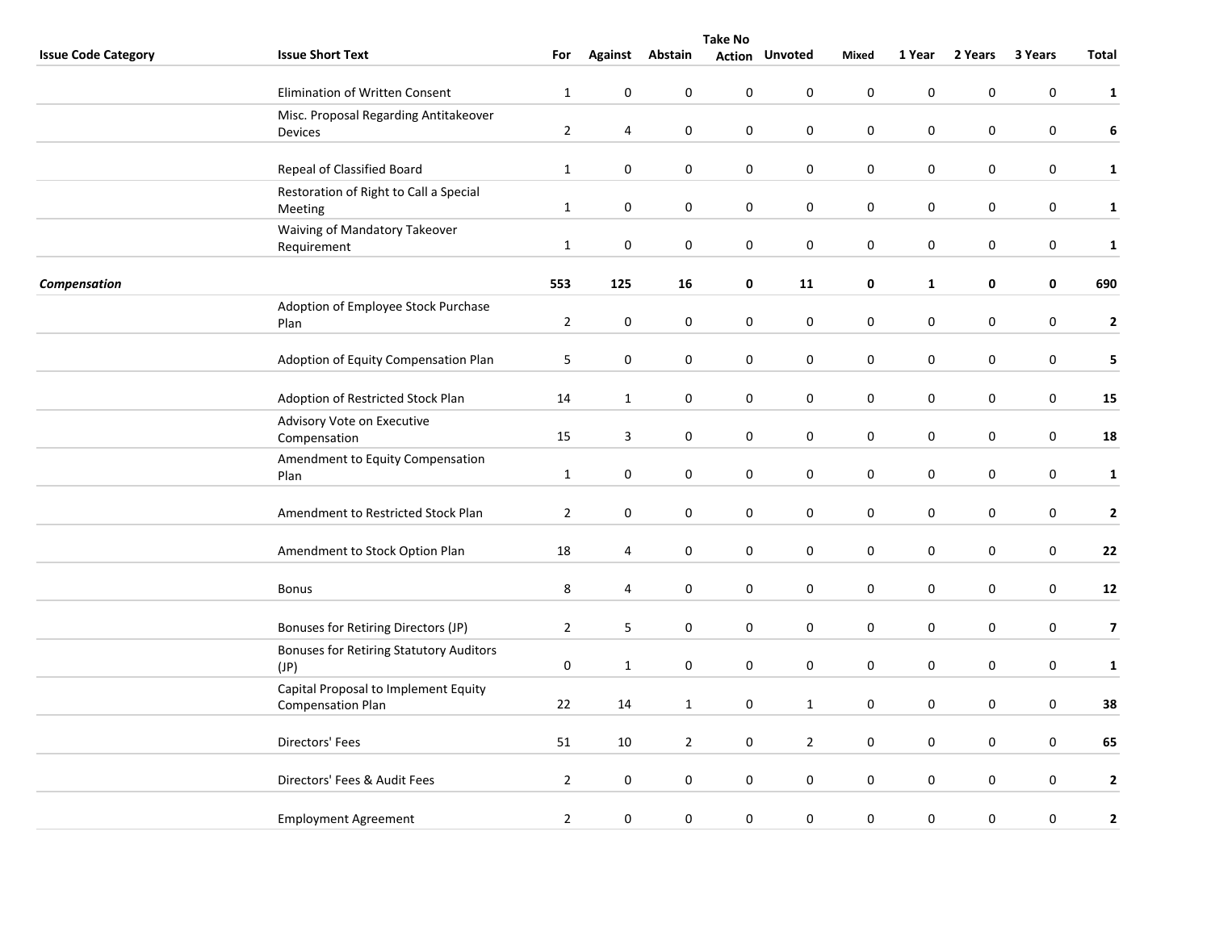|                            | <b>Take No</b>                                                   |                |                  |                  |                  |                       |                  |              |             |                  |                         |
|----------------------------|------------------------------------------------------------------|----------------|------------------|------------------|------------------|-----------------------|------------------|--------------|-------------|------------------|-------------------------|
| <b>Issue Code Category</b> | <b>Issue Short Text</b>                                          | For            |                  | Against Abstain  |                  | <b>Action Unvoted</b> | Mixed            | 1 Year       | 2 Years     | 3 Years          | Total                   |
|                            | Elimination of Written Consent                                   | $\mathbf{1}$   | $\mathbf 0$      | 0                | $\pmb{0}$        | $\mathbf 0$           | $\pmb{0}$        | $\pmb{0}$    | 0           | $\pmb{0}$        | $\mathbf{1}$            |
|                            | Misc. Proposal Regarding Antitakeover<br><b>Devices</b>          | $\overline{2}$ | 4                | $\boldsymbol{0}$ | $\pmb{0}$        | $\pmb{0}$             | $\pmb{0}$        | $\pmb{0}$    | $\pmb{0}$   | $\pmb{0}$        | 6                       |
|                            | Repeal of Classified Board                                       | $\mathbf{1}$   | $\mathbf 0$      | $\boldsymbol{0}$ | $\boldsymbol{0}$ | 0                     | $\pmb{0}$        | $\pmb{0}$    | $\pmb{0}$   | $\boldsymbol{0}$ | $\mathbf{1}$            |
|                            | Restoration of Right to Call a Special<br>Meeting                | $\mathbf{1}$   | $\pmb{0}$        | 0                | 0                | $\pmb{0}$             | $\pmb{0}$        | $\pmb{0}$    | $\pmb{0}$   | $\boldsymbol{0}$ | $\mathbf{1}$            |
|                            | Waiving of Mandatory Takeover<br>Requirement                     | $\mathbf{1}$   | $\pmb{0}$        | 0                | 0                | 0                     | $\boldsymbol{0}$ | $\mathbf 0$  | 0           | 0                | $\mathbf 1$             |
| Compensation               |                                                                  | 553            | 125              | 16               | 0                | 11                    | 0                | $\mathbf{1}$ | 0           | 0                | 690                     |
|                            | Adoption of Employee Stock Purchase<br>Plan                      | $\overline{2}$ | $\pmb{0}$        | $\pmb{0}$        | 0                | 0                     | $\mathbf 0$      | $\pmb{0}$    | 0           | $\pmb{0}$        | $\mathbf{2}$            |
|                            | Adoption of Equity Compensation Plan                             | 5              | $\pmb{0}$        | $\pmb{0}$        | $\boldsymbol{0}$ | $\mathsf{O}\xspace$   | $\mathbf 0$      | $\pmb{0}$    | 0           | $\boldsymbol{0}$ | 5                       |
|                            | Adoption of Restricted Stock Plan                                | 14             | $\mathbf{1}$     | 0                | 0                | $\mathbf 0$           | $\mathbf 0$      | $\pmb{0}$    | 0           | 0                | 15                      |
|                            | Advisory Vote on Executive<br>Compensation                       | 15             | $\mathbf{3}$     | 0                | $\pmb{0}$        | $\pmb{0}$             | $\mathbf 0$      | $\pmb{0}$    | 0           | $\boldsymbol{0}$ | 18                      |
|                            | Amendment to Equity Compensation<br>Plan                         | $\mathbf{1}$   | $\pmb{0}$        | $\pmb{0}$        | 0                | 0                     | $\pmb{0}$        | $\pmb{0}$    | 0           | $\boldsymbol{0}$ | $\mathbf{1}$            |
|                            | Amendment to Restricted Stock Plan                               | $\overline{2}$ | $\pmb{0}$        | $\boldsymbol{0}$ | 0                | $\mathbf 0$           | $\boldsymbol{0}$ | $\pmb{0}$    | 0           | $\boldsymbol{0}$ | $\mathbf{2}$            |
|                            | Amendment to Stock Option Plan                                   | 18             | 4                | 0                | 0                | 0                     | $\mathbf 0$      | $\pmb{0}$    | 0           | $\boldsymbol{0}$ | 22                      |
|                            | <b>Bonus</b>                                                     | 8              | 4                | $\boldsymbol{0}$ | $\pmb{0}$        | $\mathbf 0$           | $\pmb{0}$        | $\mathbf 0$  | $\mathbf 0$ | $\pmb{0}$        | 12                      |
|                            | Bonuses for Retiring Directors (JP)                              | $\overline{2}$ | 5                | 0                | 0                | 0                     | $\mathbf 0$      | $\pmb{0}$    | 0           | 0                | $\overline{\mathbf{z}}$ |
|                            | <b>Bonuses for Retiring Statutory Auditors</b><br>(JP)           | $\pmb{0}$      | $\mathbf{1}$     | 0                | $\pmb{0}$        | $\pmb{0}$             | $\pmb{0}$        | $\pmb{0}$    | 0           | $\boldsymbol{0}$ | $\mathbf{1}$            |
|                            | Capital Proposal to Implement Equity<br><b>Compensation Plan</b> | 22             | 14               | $\mathbf{1}$     | $\boldsymbol{0}$ | $\mathbf{1}$          | $\pmb{0}$        | $\pmb{0}$    | 0           | $\boldsymbol{0}$ | 38                      |
|                            | Directors' Fees                                                  | 51             | $10\,$           | $\overline{2}$   | $\pmb{0}$        | $\overline{2}$        | $\pmb{0}$        | $\pmb{0}$    | 0           | $\pmb{0}$        | 65                      |
|                            | Directors' Fees & Audit Fees                                     | $\overline{2}$ | $\boldsymbol{0}$ | 0                | $\pmb{0}$        | $\mathbf 0$           | $\pmb{0}$        | $\pmb{0}$    | $\pmb{0}$   | $\pmb{0}$        | $\mathbf{2}$            |
|                            | <b>Employment Agreement</b>                                      | $\overline{2}$ | $\pmb{0}$        | $\pmb{0}$        | $\boldsymbol{0}$ | $\pmb{0}$             | $\pmb{0}$        | $\pmb{0}$    | 0           | 0                | $\mathbf{2}$            |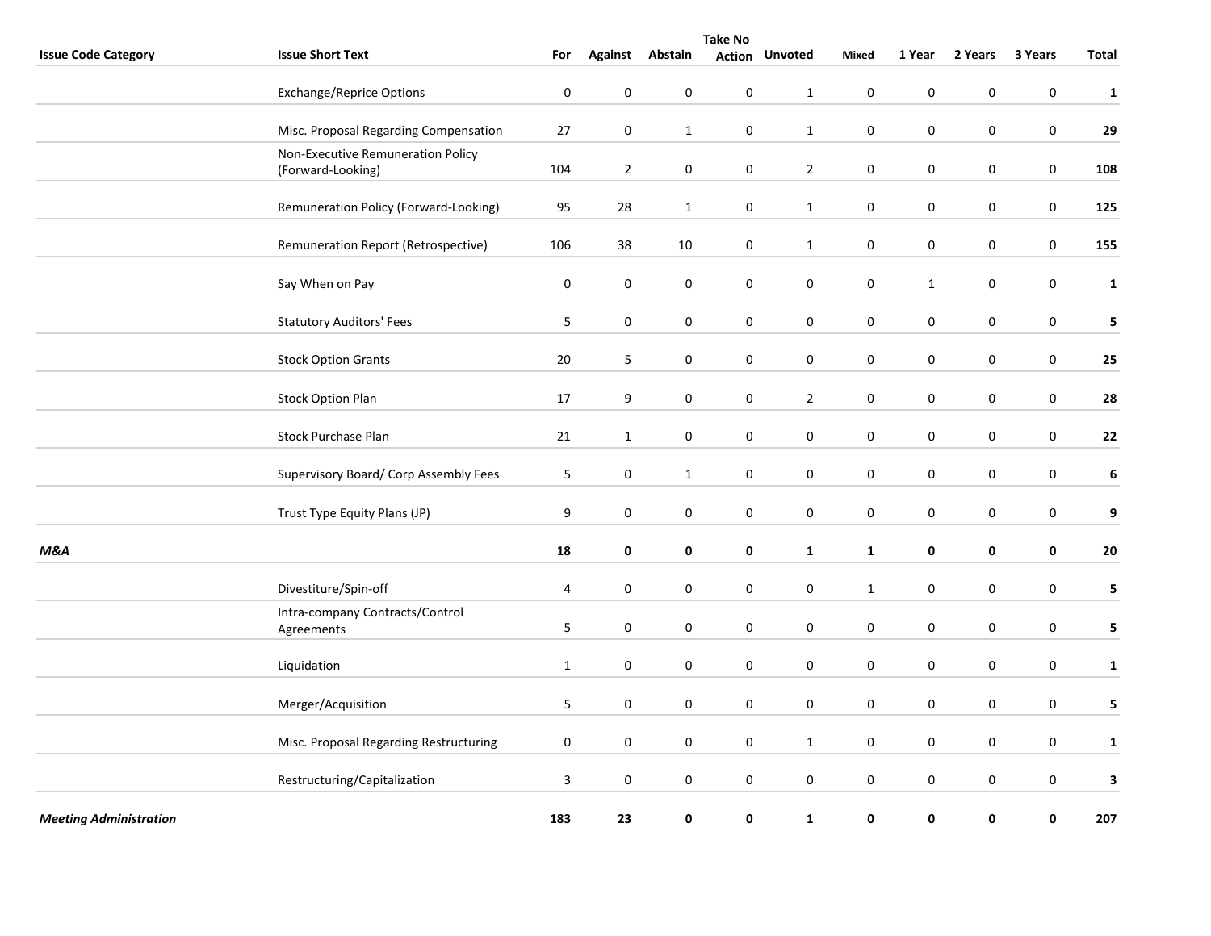|                               | <b>Take No</b>                                         |                  |                  |                  |                  |                       |                  |              |                     |                  |                  |
|-------------------------------|--------------------------------------------------------|------------------|------------------|------------------|------------------|-----------------------|------------------|--------------|---------------------|------------------|------------------|
| <b>Issue Code Category</b>    | <b>Issue Short Text</b>                                | For              | <b>Against</b>   | Abstain          |                  | <b>Action Unvoted</b> | Mixed            | 1 Year       | 2 Years             | 3 Years          | Total            |
|                               | <b>Exchange/Reprice Options</b>                        | $\boldsymbol{0}$ | $\pmb{0}$        | $\mathbf 0$      | $\pmb{0}$        | $\mathbf{1}$          | $\pmb{0}$        | $\mathbf 0$  | $\mathbf 0$         | $\pmb{0}$        | $\mathbf{1}$     |
|                               | Misc. Proposal Regarding Compensation                  | 27               | $\pmb{0}$        | $\mathbf{1}$     | $\pmb{0}$        | $\mathbf{1}$          | $\pmb{0}$        | $\pmb{0}$    | $\pmb{0}$           | $\pmb{0}$        | 29               |
|                               | Non-Executive Remuneration Policy<br>(Forward-Looking) | 104              | $\overline{2}$   | $\boldsymbol{0}$ | $\boldsymbol{0}$ | $\overline{2}$        | $\pmb{0}$        | $\pmb{0}$    | 0                   | $\boldsymbol{0}$ | 108              |
|                               | Remuneration Policy (Forward-Looking)                  | 95               | 28               | $\mathbf{1}$     | $\boldsymbol{0}$ | $\mathbf 1$           | $\pmb{0}$        | $\pmb{0}$    | $\pmb{0}$           | $\mathbf 0$      | 125              |
|                               | Remuneration Report (Retrospective)                    | 106              | 38               | 10               | $\pmb{0}$        | $\mathbf{1}$          | $\boldsymbol{0}$ | $\pmb{0}$    | $\pmb{0}$           | $\pmb{0}$        | 155              |
|                               | Say When on Pay                                        | $\mathbf 0$      | $\mathbf 0$      | $\boldsymbol{0}$ | $\pmb{0}$        | $\pmb{0}$             | $\pmb{0}$        | $\mathbf{1}$ | 0                   | $\pmb{0}$        | $\mathbf{1}$     |
|                               | <b>Statutory Auditors' Fees</b>                        | 5                | $\pmb{0}$        | $\pmb{0}$        | $\pmb{0}$        | $\mathsf{O}\xspace$   | $\pmb{0}$        | $\pmb{0}$    | 0                   | $\pmb{0}$        | 5 <sub>5</sub>   |
|                               | <b>Stock Option Grants</b>                             | 20               | 5                | $\pmb{0}$        | $\pmb{0}$        | $\pmb{0}$             | $\mathbf 0$      | $\pmb{0}$    | 0                   | $\pmb{0}$        | 25               |
|                               | <b>Stock Option Plan</b>                               | 17               | $\boldsymbol{9}$ | $\pmb{0}$        | $\boldsymbol{0}$ | $\overline{2}$        | $\mathbf 0$      | $\pmb{0}$    | $\pmb{0}$           | $\pmb{0}$        | 28               |
|                               | Stock Purchase Plan                                    | 21               | $\mathbf{1}$     | $\pmb{0}$        | 0                | 0                     | $\mathbf 0$      | $\mathbf 0$  | $\pmb{0}$           | $\pmb{0}$        | 22               |
|                               | Supervisory Board/ Corp Assembly Fees                  | 5                | $\mathbf 0$      | $\mathbf{1}$     | $\mathbf 0$      | $\mathbf 0$           | $\pmb{0}$        | $\pmb{0}$    | 0                   | $\pmb{0}$        | 6                |
|                               | Trust Type Equity Plans (JP)                           | 9                | $\pmb{0}$        | $\pmb{0}$        | $\pmb{0}$        | $\mathsf{O}\xspace$   | $\mathbf 0$      | $\pmb{0}$    | 0                   | $\pmb{0}$        | $\boldsymbol{9}$ |
| <b>M&amp;A</b>                |                                                        | 18               | $\pmb{0}$        | 0                | 0                | $\mathbf{1}$          | $\mathbf{1}$     | $\pmb{0}$    | 0                   | $\mathbf 0$      | 20               |
|                               | Divestiture/Spin-off                                   | 4                | $\boldsymbol{0}$ | 0                | 0                | 0                     | $\mathbf{1}$     | 0            | 0                   | $\pmb{0}$        | 5                |
|                               | Intra-company Contracts/Control<br>Agreements          | 5                | $\pmb{0}$        | $\pmb{0}$        | $\pmb{0}$        | $\mathsf{O}\xspace$   | $\pmb{0}$        | $\pmb{0}$    | $\mathsf{O}\xspace$ | $\mathbf 0$      | 5 <sub>5</sub>   |
|                               | Liquidation                                            | $\mathbf{1}$     | $\mathbf 0$      | 0                | 0                | 0                     | $\mathbf 0$      | $\pmb{0}$    | $\pmb{0}$           | 0                | $\mathbf{1}$     |
|                               | Merger/Acquisition                                     | 5                | $\pmb{0}$        | $\boldsymbol{0}$ | $\pmb{0}$        | 0                     | $\mathbf 0$      | $\pmb{0}$    | 0                   | $\pmb{0}$        | 5                |
|                               | Misc. Proposal Regarding Restructuring                 | $\pmb{0}$        | $\pmb{0}$        | $\pmb{0}$        | $\boldsymbol{0}$ | $\mathbf{1}$          | $\mathbf 0$      | $\pmb{0}$    | $\pmb{0}$           | $\pmb{0}$        | $\mathbf{1}$     |
|                               | Restructuring/Capitalization                           | 3                | $\pmb{0}$        | $\pmb{0}$        | 0                | $\mathbf 0$           | $\mathbf 0$      | $\pmb{0}$    | $\pmb{0}$           | $\mathbf 0$      | $\mathbf{3}$     |
| <b>Meeting Administration</b> |                                                        | 183              | 23               | $\pmb{0}$        | $\pmb{0}$        | $\mathbf 1$           | $\pmb{0}$        | $\pmb{0}$    | 0                   | $\mathbf 0$      | 207              |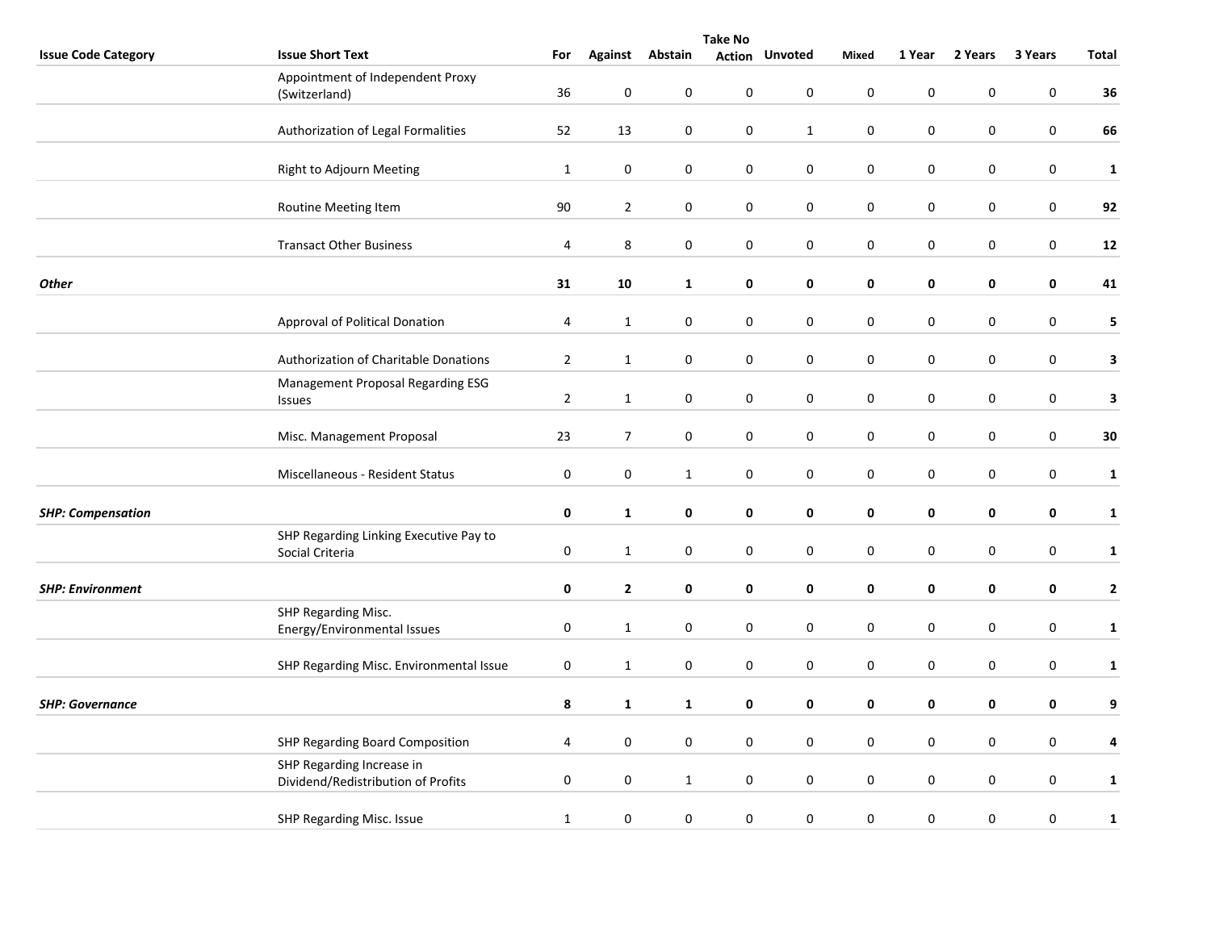|                            | <b>Take No</b>                                     |                         |                |                  |                  |                       |                  |             |           |                  |                         |  |
|----------------------------|----------------------------------------------------|-------------------------|----------------|------------------|------------------|-----------------------|------------------|-------------|-----------|------------------|-------------------------|--|
| <b>Issue Code Category</b> | <b>Issue Short Text</b>                            | For                     | <b>Against</b> | Abstain          |                  | <b>Action Unvoted</b> | Mixed            | 1 Year      | 2 Years   | 3 Years          | <b>Total</b>            |  |
|                            | Appointment of Independent Proxy                   |                         |                |                  |                  |                       |                  |             |           |                  |                         |  |
|                            | (Switzerland)                                      | 36                      | $\pmb{0}$      | $\pmb{0}$        | $\boldsymbol{0}$ | $\mathbf 0$           | $\mathbf 0$      | $\pmb{0}$   | $\pmb{0}$ | $\boldsymbol{0}$ | 36                      |  |
|                            |                                                    |                         |                |                  |                  |                       |                  |             |           |                  |                         |  |
|                            | Authorization of Legal Formalities                 | 52                      | 13             | 0                | 0                | $\mathbf{1}$          | $\mathbf 0$      | $\pmb{0}$   | 0         | 0                | 66                      |  |
|                            |                                                    |                         |                |                  |                  |                       |                  |             |           |                  |                         |  |
|                            | Right to Adjourn Meeting                           | $\mathbf{1}$            | $\pmb{0}$      | $\pmb{0}$        | 0                | $\mathbf 0$           | $\mathbf 0$      | $\pmb{0}$   | $\pmb{0}$ | $\pmb{0}$        | $\mathbf{1}$            |  |
|                            | Routine Meeting Item                               | 90                      | $\overline{2}$ | $\pmb{0}$        | 0                | 0                     | $\mathbf 0$      | $\pmb{0}$   | $\pmb{0}$ | 0                | 92                      |  |
|                            |                                                    |                         |                |                  |                  |                       |                  |             |           |                  |                         |  |
|                            | <b>Transact Other Business</b>                     | 4                       | $\,8\,$        | $\pmb{0}$        | $\boldsymbol{0}$ | $\pmb{0}$             | $\mathbf 0$      | $\pmb{0}$   | 0         | $\boldsymbol{0}$ | 12                      |  |
|                            |                                                    |                         |                |                  |                  |                       |                  |             |           |                  |                         |  |
| <b>Other</b>               |                                                    | 31                      | 10             | $\mathbf{1}$     | $\pmb{0}$        | $\pmb{0}$             | $\pmb{0}$        | $\pmb{0}$   | 0         | $\pmb{0}$        | 41                      |  |
|                            |                                                    |                         |                |                  |                  |                       |                  |             |           |                  |                         |  |
|                            | Approval of Political Donation                     | 4                       | $\mathbf{1}$   | $\pmb{0}$        | $\pmb{0}$        | $\mathbf 0$           | $\boldsymbol{0}$ | $\pmb{0}$   | 0         | $\boldsymbol{0}$ | 5                       |  |
|                            |                                                    |                         |                |                  |                  |                       |                  |             |           |                  |                         |  |
|                            | Authorization of Charitable Donations              | $\overline{2}$          | $\mathbf{1}$   | $\pmb{0}$        | $\pmb{0}$        | 0                     | $\pmb{0}$        | $\pmb{0}$   | 0         | $\pmb{0}$        | $\mathbf{3}$            |  |
|                            | Management Proposal Regarding ESG<br><b>Issues</b> | $\mathbf 2$             | $\mathbf{1}$   | $\boldsymbol{0}$ | 0                | $\mathbf 0$           | $\mathbf 0$      | $\pmb{0}$   | $\pmb{0}$ | 0                | $\mathbf{3}$            |  |
|                            |                                                    |                         |                |                  |                  |                       |                  |             |           |                  |                         |  |
|                            | Misc. Management Proposal                          | 23                      | $\overline{7}$ | $\pmb{0}$        | $\boldsymbol{0}$ | $\pmb{0}$             | $\pmb{0}$        | $\pmb{0}$   | 0         | $\mathbf 0$      | $\bf{30}$               |  |
|                            |                                                    |                         |                |                  |                  |                       |                  |             |           |                  |                         |  |
|                            | Miscellaneous - Resident Status                    | $\boldsymbol{0}$        | $\pmb{0}$      | $\mathbf{1}$     | $\pmb{0}$        | $\pmb{0}$             | $\pmb{0}$        | $\pmb{0}$   | $\pmb{0}$ | $\boldsymbol{0}$ | $\mathbf{1}$            |  |
|                            |                                                    |                         |                |                  |                  |                       |                  |             |           |                  |                         |  |
| <b>SHP: Compensation</b>   |                                                    | 0                       | $\mathbf{1}$   | 0                | 0                | 0                     | 0                | $\mathbf 0$ | 0         | 0                | $\mathbf{1}$            |  |
|                            | SHP Regarding Linking Executive Pay to             |                         |                |                  |                  |                       |                  |             |           |                  |                         |  |
|                            | Social Criteria                                    | 0                       | $\mathbf{1}$   | $\pmb{0}$        | $\pmb{0}$        | 0                     | $\pmb{0}$        | $\pmb{0}$   | 0         | $\pmb{0}$        | $\mathbf{1}$            |  |
|                            |                                                    |                         |                |                  |                  |                       |                  |             |           |                  |                         |  |
| <b>SHP: Environment</b>    |                                                    | 0                       | $\overline{2}$ | $\pmb{0}$        | 0                | 0                     | $\pmb{0}$        | $\pmb{0}$   | 0         | $\pmb{0}$        | $\mathbf{2}$            |  |
|                            | SHP Regarding Misc.<br>Energy/Environmental Issues | $\pmb{0}$               | $\mathbf{1}$   | $\boldsymbol{0}$ | 0                | 0                     | $\mathbf 0$      | $\pmb{0}$   | 0         | 0                | $\mathbf{1}$            |  |
|                            |                                                    |                         |                |                  |                  |                       |                  |             |           |                  |                         |  |
|                            | SHP Regarding Misc. Environmental Issue            | $\pmb{0}$               | $\mathbf{1}$   | 0                | $\pmb{0}$        | $\pmb{0}$             | $\pmb{0}$        | $\pmb{0}$   | $\pmb{0}$ | $\boldsymbol{0}$ | $\mathbf{1}$            |  |
|                            |                                                    |                         |                |                  |                  |                       |                  |             |           |                  |                         |  |
| <b>SHP: Governance</b>     |                                                    | 8                       | $\mathbf{1}$   | $\mathbf{1}$     | 0                | 0                     | 0                | $\mathbf 0$ | 0         | 0                | 9                       |  |
|                            |                                                    |                         |                |                  |                  |                       |                  |             |           |                  |                         |  |
|                            | SHP Regarding Board Composition                    | $\overline{\mathbf{4}}$ | $\pmb{0}$      | 0                | 0                | 0                     | $\pmb{0}$        | $\pmb{0}$   | 0         | $\pmb{0}$        | $\overline{\mathbf{4}}$ |  |
|                            | SHP Regarding Increase in                          |                         |                |                  |                  |                       |                  |             |           |                  |                         |  |
|                            | Dividend/Redistribution of Profits                 | $\pmb{0}$               | $\bf{0}$       | $\mathbf{1}$     | $\pmb{0}$        | $\pmb{0}$             | $\pmb{0}$        | $\pmb{0}$   | $\pmb{0}$ | $\pmb{0}$        | $\mathbf{1}$            |  |
|                            |                                                    |                         |                |                  |                  |                       |                  |             |           |                  |                         |  |
|                            | SHP Regarding Misc. Issue                          | $\mathbf{1}$            | $\pmb{0}$      | $\boldsymbol{0}$ | $\pmb{0}$        | $\pmb{0}$             | $\pmb{0}$        | $\pmb{0}$   | $\pmb{0}$ | 0                | ${\bf 1}$               |  |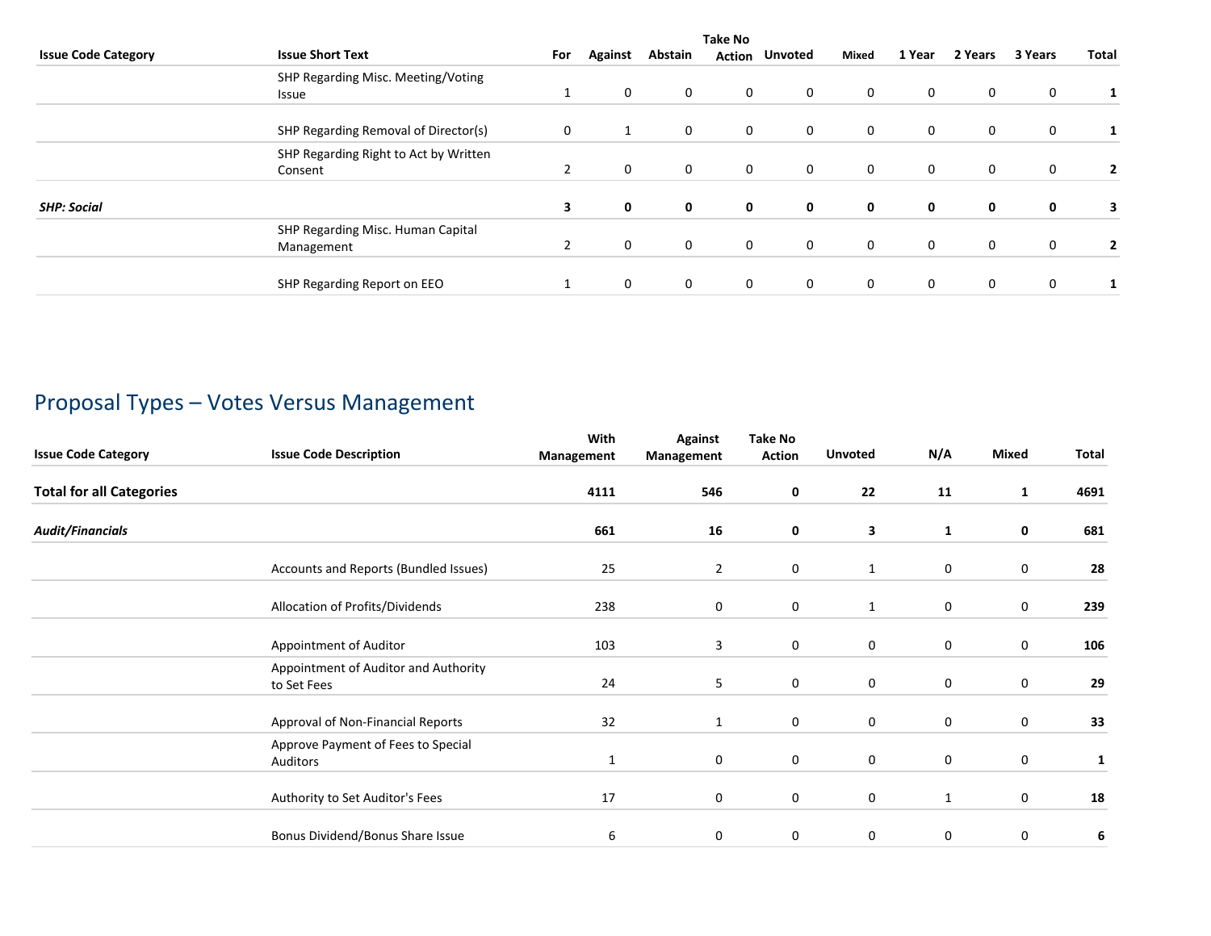|                            |                                                  | <b>Take No</b> |              |         |              |                       |             |             |              |             |       |
|----------------------------|--------------------------------------------------|----------------|--------------|---------|--------------|-----------------------|-------------|-------------|--------------|-------------|-------|
| <b>Issue Code Category</b> | <b>Issue Short Text</b>                          | For            | Against      | Abstain |              | <b>Action Unvoted</b> | Mixed       | 1 Year      | 2 Years      | 3 Years     | Total |
|                            | SHP Regarding Misc. Meeting/Voting               |                |              |         |              |                       |             |             |              |             |       |
|                            | Issue                                            |                | 0            | 0       | 0            | $\mathbf 0$           | $\mathbf 0$ | 0           | $\mathbf 0$  | 0           |       |
|                            | SHP Regarding Removal of Director(s)             | 0              |              | 0       | 0            | $\mathbf 0$           | $\mathbf 0$ | 0           | $\mathbf 0$  | 0           |       |
|                            | SHP Regarding Right to Act by Written<br>Consent | 2              | $\mathbf{0}$ | 0       | $\mathbf 0$  | $\mathbf{0}$          | $\mathbf 0$ | $\mathbf 0$ | $\mathbf 0$  | $\mathbf 0$ | 2     |
| <b>SHP: Social</b>         |                                                  | 3              | $\mathbf 0$  | 0       | 0            | $\mathbf 0$           | 0           | 0           | 0            | 0           | 3     |
|                            | SHP Regarding Misc. Human Capital<br>Management  | $\overline{2}$ | 0            | 0       | 0            | $\mathbf 0$           | $\mathbf 0$ | 0           | $\mathbf 0$  | $\mathbf 0$ |       |
|                            | SHP Regarding Report on EEO                      |                | $\mathbf{0}$ | 0       | $\mathbf{0}$ | $\mathbf{0}$          | $\mathbf 0$ | $\mathbf 0$ | $\mathbf{0}$ | $\mathbf 0$ |       |

# Proposal Types – Votes Versus Management

| <b>Issue Code Category</b>      | <b>Issue Code Description</b>                       | With<br>Management | Against<br>Management | <b>Take No</b><br><b>Action</b> | <b>Unvoted</b> | N/A              | Mixed       | Total |
|---------------------------------|-----------------------------------------------------|--------------------|-----------------------|---------------------------------|----------------|------------------|-------------|-------|
| <b>Total for all Categories</b> |                                                     | 4111               | 546                   | 0                               | 22             | 11               | 1           | 4691  |
| <b>Audit/Financials</b>         |                                                     | 661                | 16                    | 0                               | 3              | $\mathbf{1}$     | 0           | 681   |
|                                 | Accounts and Reports (Bundled Issues)               | 25                 | $\overline{2}$        | 0                               | 1              | $\mathbf 0$      | $\mathbf 0$ | 28    |
|                                 | Allocation of Profits/Dividends                     | 238                | 0                     | $\mathbf 0$                     | $\mathbf{1}$   | $\boldsymbol{0}$ | $\mathbf 0$ | 239   |
|                                 | Appointment of Auditor                              | 103                | 3                     | $\mathbf 0$                     | 0              | $\mathbf 0$      | $\mathbf 0$ | 106   |
|                                 | Appointment of Auditor and Authority<br>to Set Fees | 24                 | 5                     | $\mathbf 0$                     | 0              | $\boldsymbol{0}$ | 0           | 29    |
|                                 | Approval of Non-Financial Reports                   | 32                 | 1                     | $\mathbf 0$                     | 0              | $\mathbf 0$      | $\mathbf 0$ | 33    |
|                                 | Approve Payment of Fees to Special<br>Auditors      | $\mathbf{1}$       | $\mathbf 0$           | 0                               | 0              | 0                | 0           | 1     |
|                                 | Authority to Set Auditor's Fees                     | 17                 | $\mathbf 0$           | $\mathbf 0$                     | 0              | $\mathbf{1}$     | $\mathbf 0$ | 18    |
|                                 | Bonus Dividend/Bonus Share Issue                    | 6                  | 0                     | 0                               | 0              | $\mathbf 0$      | 0           | 6     |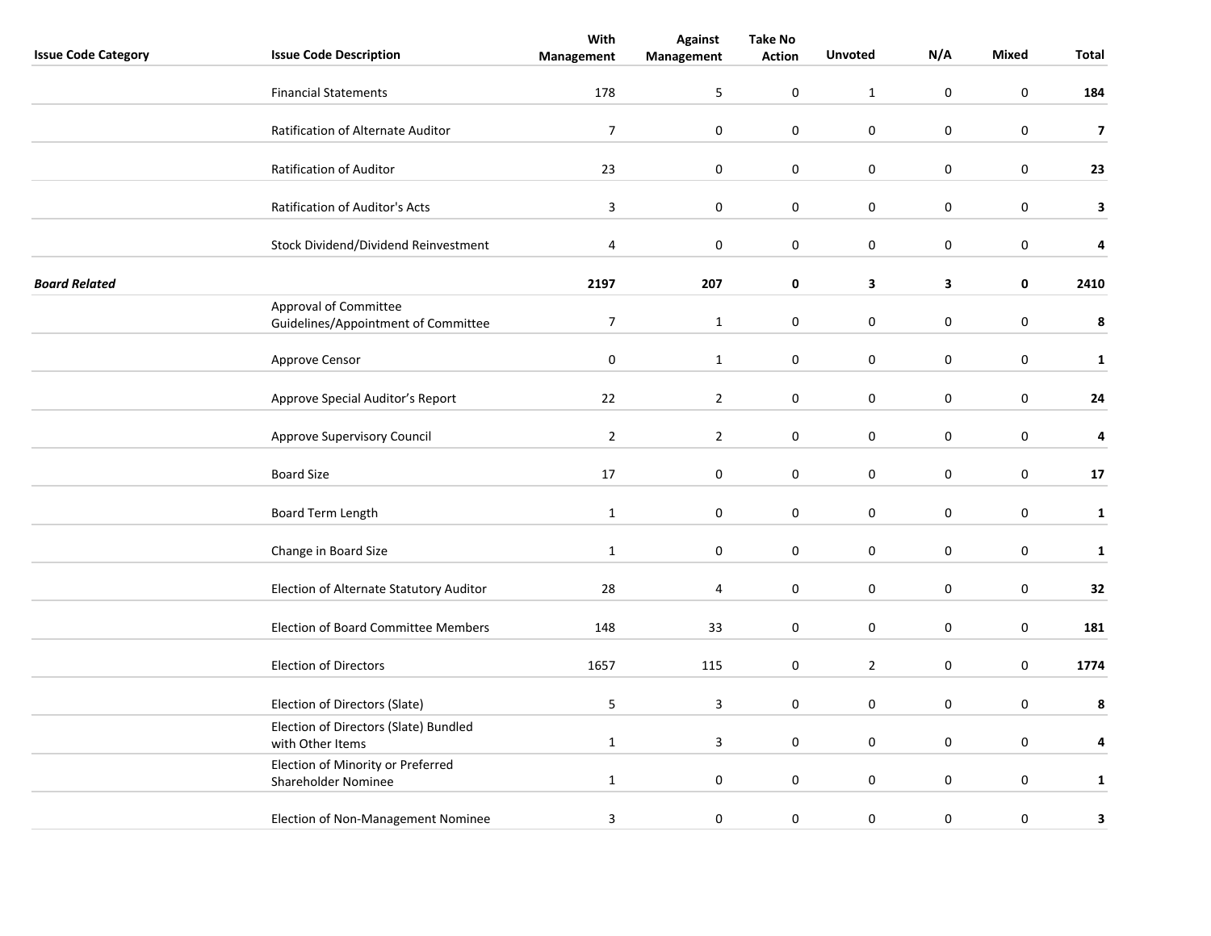|                            |                                                              | With           | <b>Against</b> | <b>Take No</b> |                |                  |                  |                         |
|----------------------------|--------------------------------------------------------------|----------------|----------------|----------------|----------------|------------------|------------------|-------------------------|
| <b>Issue Code Category</b> | <b>Issue Code Description</b>                                | Management     | Management     | <b>Action</b>  | <b>Unvoted</b> | N/A              | <b>Mixed</b>     | Total                   |
|                            | <b>Financial Statements</b>                                  | 178            | 5              | $\pmb{0}$      | $\mathbf{1}$   | $\boldsymbol{0}$ | $\boldsymbol{0}$ | 184                     |
|                            | Ratification of Alternate Auditor                            | $\overline{7}$ | $\mathbf 0$    | 0              | 0              | $\mathbf 0$      | $\mathbf 0$      | $\overline{\mathbf{z}}$ |
|                            | Ratification of Auditor                                      | 23             | $\mathbf 0$    | $\pmb{0}$      | $\pmb{0}$      | $\pmb{0}$        | $\pmb{0}$        | 23                      |
|                            |                                                              |                |                |                |                |                  |                  |                         |
|                            | Ratification of Auditor's Acts                               | $\mathbf{3}$   | $\pmb{0}$      | 0              | 0              | $\mathbf 0$      | $\mathbf 0$      | 3                       |
|                            | Stock Dividend/Dividend Reinvestment                         | 4              | $\pmb{0}$      | 0              | $\pmb{0}$      | $\pmb{0}$        | $\pmb{0}$        | 4                       |
| <b>Board Related</b>       |                                                              | 2197           | 207            | 0              | 3              | $\mathbf{3}$     | 0                | 2410                    |
|                            | Approval of Committee<br>Guidelines/Appointment of Committee | $\overline{7}$ | $\mathbf{1}$   | $\mathbf 0$    | $\mathbf 0$    | $\boldsymbol{0}$ | $\mathbf 0$      | $\pmb{8}$               |
|                            | Approve Censor                                               | $\pmb{0}$      | $\mathbf{1}$   | 0              | 0              | $\mathbf 0$      | $\mathbf 0$      | $\mathbf{1}$            |
|                            | Approve Special Auditor's Report                             | 22             | $\overline{2}$ | 0              | 0              | $\pmb{0}$        | $\pmb{0}$        | 24                      |
|                            | Approve Supervisory Council                                  | $\overline{2}$ | $\overline{2}$ | 0              | $\pmb{0}$      | $\pmb{0}$        | $\pmb{0}$        | 4                       |
|                            | <b>Board Size</b>                                            | 17             | $\pmb{0}$      | $\pmb{0}$      | $\pmb{0}$      | $\pmb{0}$        | $\pmb{0}$        | 17                      |
|                            | Board Term Length                                            | $\mathbf{1}$   | 0              | $\mathbf 0$    | $\mathbf 0$    | $\pmb{0}$        | $\mathbf 0$      | 1                       |
|                            | Change in Board Size                                         | $\mathbf{1}$   | $\pmb{0}$      | 0              | 0              | $\mathbf 0$      | $\mathbf 0$      | $\mathbf 1$             |
|                            | Election of Alternate Statutory Auditor                      | 28             | 4              | 0              | 0              | $\pmb{0}$        | $\pmb{0}$        | 32                      |
|                            | <b>Election of Board Committee Members</b>                   | 148            | 33             | 0              | 0              | $\mathbf 0$      | $\mathbf 0$      | 181                     |
|                            | <b>Election of Directors</b>                                 | 1657           | 115            | $\pmb{0}$      | $\overline{2}$ | $\pmb{0}$        | $\pmb{0}$        | 1774                    |
|                            | Election of Directors (Slate)                                | 5              | 3              | $\mathbf 0$    | $\mathbf 0$    | $\pmb{0}$        | $\pmb{0}$        | 8                       |
|                            | Election of Directors (Slate) Bundled<br>with Other Items    | $\mathbf{1}$   | 3              | 0              | 0              | $\mathbf 0$      | $\mathbf 0$      | 4                       |
|                            | Election of Minority or Preferred<br>Shareholder Nominee     | $\mathbf{1}$   | $\mathbf 0$    | $\pmb{0}$      | 0              | $\mathbf 0$      | $\mathbf 0$      | $\mathbf{1}$            |
|                            | Election of Non-Management Nominee                           | 3              | 0              | 0              | 0              | $\pmb{0}$        | $\pmb{0}$        | 3                       |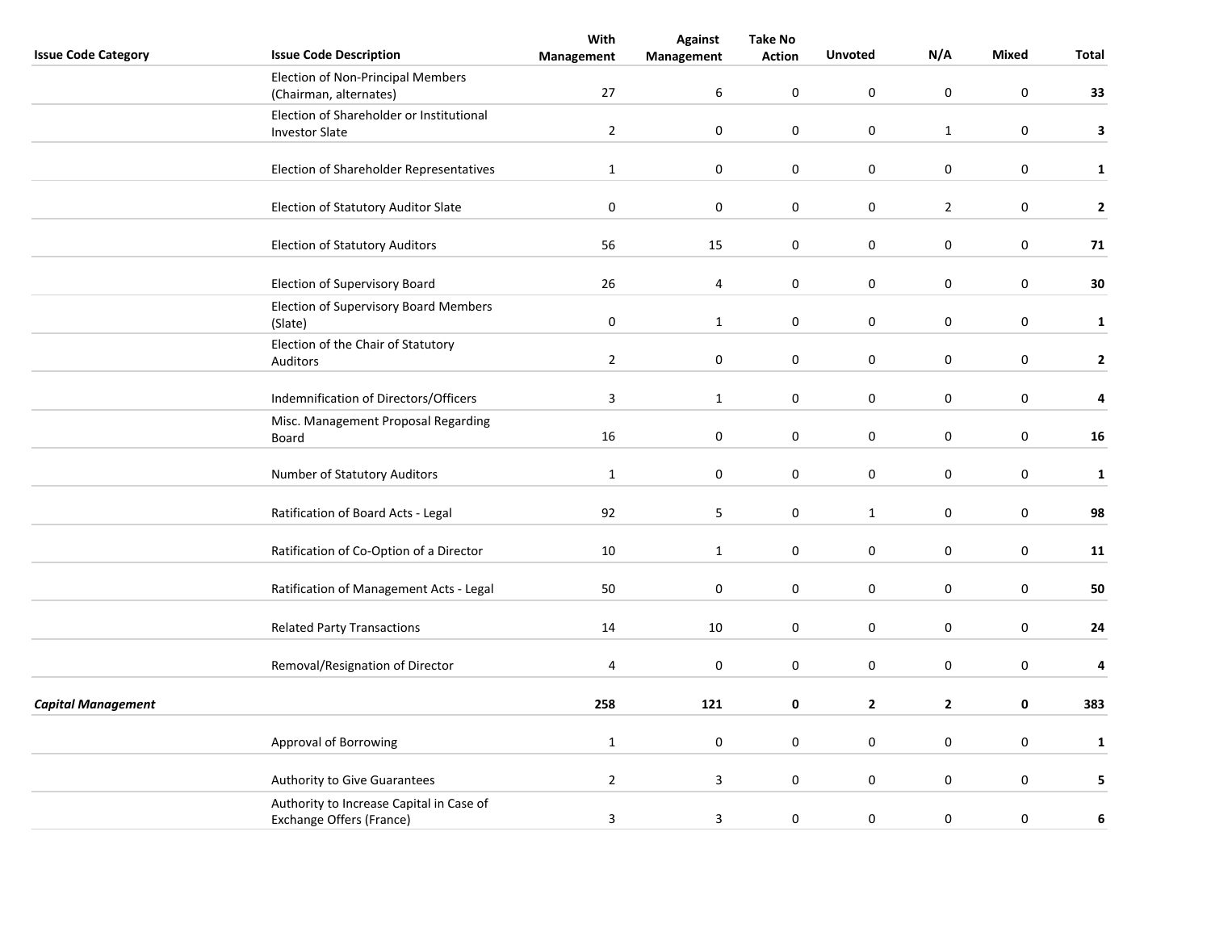|                            |                                                | With             | <b>Against</b>          | <b>Take No</b> |                  |                  |                  |              |
|----------------------------|------------------------------------------------|------------------|-------------------------|----------------|------------------|------------------|------------------|--------------|
| <b>Issue Code Category</b> | <b>Issue Code Description</b>                  | Management       | Management              | <b>Action</b>  | <b>Unvoted</b>   | N/A              | Mixed            | Total        |
|                            | Election of Non-Principal Members              |                  |                         |                |                  |                  |                  |              |
|                            | (Chairman, alternates)                         | 27               | 6                       | $\mathbf 0$    | $\mathsf 0$      | $\mathsf 0$      | $\boldsymbol{0}$ | 33           |
|                            | Election of Shareholder or Institutional       |                  |                         |                |                  |                  |                  |              |
|                            | <b>Investor Slate</b>                          | $\overline{2}$   | $\mathbf 0$             | 0              | $\mathbf 0$      | $\mathbf{1}$     | $\mathbf 0$      | 3            |
|                            |                                                |                  |                         |                |                  |                  |                  |              |
|                            | Election of Shareholder Representatives        | $\mathbf{1}$     | $\boldsymbol{0}$        | 0              | $\pmb{0}$        | $\boldsymbol{0}$ | $\pmb{0}$        | $\mathbf{1}$ |
|                            |                                                |                  |                         |                |                  |                  |                  |              |
|                            | Election of Statutory Auditor Slate            | $\boldsymbol{0}$ | $\boldsymbol{0}$        | 0              | $\mathbf 0$      | $\overline{2}$   | $\mathbf 0$      | $\mathbf 2$  |
|                            |                                                |                  |                         |                |                  |                  |                  |              |
|                            | <b>Election of Statutory Auditors</b>          | 56               | 15                      | 0              | $\pmb{0}$        | $\boldsymbol{0}$ | $\mathbf 0$      | 71           |
|                            |                                                |                  |                         |                |                  |                  |                  |              |
|                            | Election of Supervisory Board                  | 26               | 4                       | 0              | $\boldsymbol{0}$ | $\boldsymbol{0}$ | $\boldsymbol{0}$ | 30           |
|                            | <b>Election of Supervisory Board Members</b>   |                  |                         |                |                  |                  |                  |              |
|                            | (Slate)                                        | $\pmb{0}$        | $\mathbf{1}$            | $\mathbf 0$    | $\mathsf 0$      | $\pmb{0}$        | $\boldsymbol{0}$ | $\mathbf{1}$ |
|                            |                                                |                  |                         |                |                  |                  |                  |              |
|                            | Election of the Chair of Statutory<br>Auditors | $\overline{2}$   | $\boldsymbol{0}$        | 0              | $\mathbf 0$      | $\bf{0}$         | $\mathbf 0$      | $\mathbf{2}$ |
|                            |                                                |                  |                         |                |                  |                  |                  |              |
|                            | Indemnification of Directors/Officers          | $\overline{3}$   | $\mathbf{1}$            | 0              | $\mathbf 0$      | $\boldsymbol{0}$ | $\mathbf 0$      | 4            |
|                            |                                                |                  |                         |                |                  |                  |                  |              |
|                            | Misc. Management Proposal Regarding            | 16               | $\pmb{0}$               | 0              | $\pmb{0}$        | $\boldsymbol{0}$ | $\mathbf 0$      | 16           |
|                            | Board                                          |                  |                         |                |                  |                  |                  |              |
|                            | Number of Statutory Auditors                   | $\mathbf 1$      | $\pmb{0}$               | $\pmb{0}$      | $\boldsymbol{0}$ | $\boldsymbol{0}$ | $\pmb{0}$        |              |
|                            |                                                |                  |                         |                |                  |                  |                  | $\mathbf{1}$ |
|                            |                                                |                  |                         |                |                  | $\pmb{0}$        |                  |              |
|                            | Ratification of Board Acts - Legal             | 92               | 5                       | 0              | $\mathbf{1}$     |                  | $\mathbf 0$      | 98           |
|                            |                                                |                  |                         |                |                  |                  |                  |              |
|                            | Ratification of Co-Option of a Director        | 10               | $\mathbf{1}$            | 0              | $\pmb{0}$        | $\pmb{0}$        | $\mathbf 0$      | 11           |
|                            |                                                |                  |                         |                |                  |                  |                  |              |
|                            | Ratification of Management Acts - Legal        | 50               | $\boldsymbol{0}$        | 0              | $\pmb{0}$        | $\boldsymbol{0}$ | $\pmb{0}$        | 50           |
|                            |                                                |                  |                         |                |                  |                  |                  |              |
|                            | <b>Related Party Transactions</b>              | 14               | 10                      | 0              | $\mathbf 0$      | $\boldsymbol{0}$ | $\mathbf 0$      | 24           |
|                            |                                                |                  |                         |                |                  |                  |                  |              |
|                            | Removal/Resignation of Director                | 4                | $\pmb{0}$               | 0              | $\pmb{0}$        | $\boldsymbol{0}$ | $\pmb{0}$        | 4            |
|                            |                                                |                  |                         |                |                  |                  |                  |              |
| <b>Capital Management</b>  |                                                | 258              | 121                     | 0              | $\mathbf{2}$     | $\overline{2}$   | 0                | 383          |
|                            |                                                |                  |                         |                |                  |                  |                  |              |
|                            | <b>Approval of Borrowing</b>                   | $\mathbf{1}$     | $\boldsymbol{0}$        | 0              | 0                | 0                | $\mathbf 0$      | $\mathbf{1}$ |
|                            |                                                |                  |                         |                |                  |                  |                  |              |
|                            | Authority to Give Guarantees                   | $\overline{2}$   | $\overline{\mathbf{3}}$ | 0              | $\pmb{0}$        | $\pmb{0}$        | $\mathbf 0$      | 5            |
|                            | Authority to Increase Capital in Case of       |                  |                         |                |                  |                  |                  |              |
|                            | Exchange Offers (France)                       | $\overline{3}$   | $\overline{\mathbf{3}}$ | $\mathbf 0$    | $\boldsymbol{0}$ | $\boldsymbol{0}$ | $\pmb{0}$        | 6            |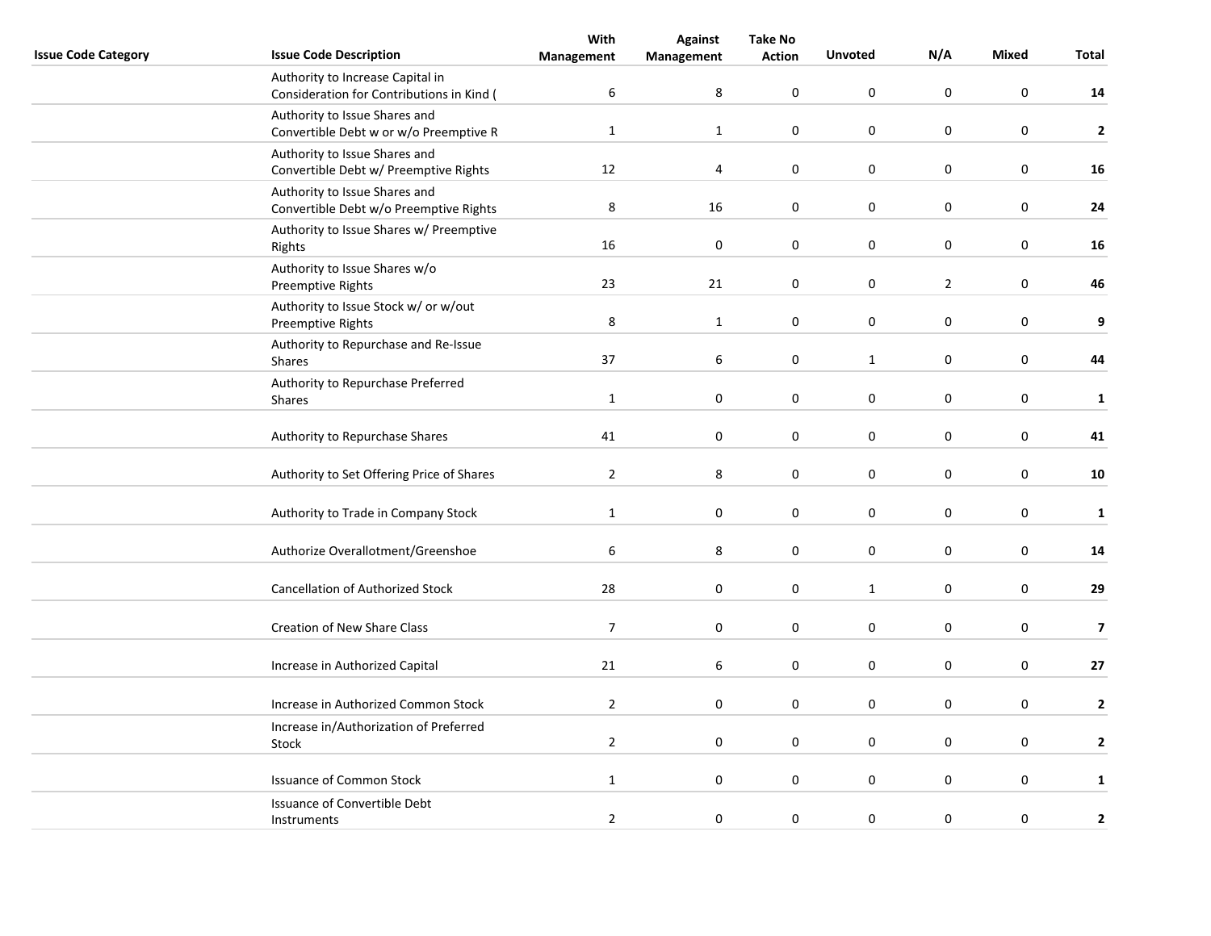|                            |                                                                               | With             | <b>Against</b>   | <b>Take No</b> |                |                  |                  |                         |
|----------------------------|-------------------------------------------------------------------------------|------------------|------------------|----------------|----------------|------------------|------------------|-------------------------|
| <b>Issue Code Category</b> | <b>Issue Code Description</b>                                                 | Management       | Management       | <b>Action</b>  | <b>Unvoted</b> | N/A              | <b>Mixed</b>     | Total                   |
|                            | Authority to Increase Capital in<br>Consideration for Contributions in Kind ( | $\boldsymbol{6}$ | 8                | 0              | $\mathbf 0$    | $\mathbf 0$      | $\mathbf 0$      | 14                      |
|                            | Authority to Issue Shares and<br>Convertible Debt w or w/o Preemptive R       | $\mathbf{1}$     | $\mathbf 1$      | 0              | 0              | $\mathbf 0$      | 0                | $\mathbf{2}$            |
|                            | Authority to Issue Shares and<br>Convertible Debt w/ Preemptive Rights        | 12               | 4                | $\pmb{0}$      | $\pmb{0}$      | $\pmb{0}$        | $\pmb{0}$        | 16                      |
|                            | Authority to Issue Shares and<br>Convertible Debt w/o Preemptive Rights       | $\,8\,$          | 16               | $\pmb{0}$      | 0              | $\pmb{0}$        | $\pmb{0}$        | 24                      |
|                            | Authority to Issue Shares w/ Preemptive<br>Rights                             | 16               | $\mathbf 0$      | 0              | $\mathbf 0$    | $\mathbf 0$      | $\mathbf 0$      | 16                      |
|                            | Authority to Issue Shares w/o<br>Preemptive Rights                            | 23               | 21               | 0              | $\pmb{0}$      | $\mathbf{2}$     | $\pmb{0}$        | 46                      |
|                            | Authority to Issue Stock w/ or w/out<br>Preemptive Rights                     | 8                | $\mathbf{1}$     | 0              | $\pmb{0}$      | $\mathbf 0$      | $\pmb{0}$        | $\boldsymbol{9}$        |
|                            | Authority to Repurchase and Re-Issue<br>Shares                                | 37               | $\boldsymbol{6}$ | $\pmb{0}$      | $\mathbf{1}$   | $\boldsymbol{0}$ | $\boldsymbol{0}$ | 44                      |
|                            | Authority to Repurchase Preferred<br><b>Shares</b>                            | $\mathbf{1}$     | $\pmb{0}$        | 0              | $\pmb{0}$      | $\mathbf 0$      | $\pmb{0}$        | $\mathbf{1}$            |
|                            | Authority to Repurchase Shares                                                | 41               | $\mathbf 0$      | 0              | 0              | $\mathbf 0$      | 0                | 41                      |
|                            | Authority to Set Offering Price of Shares                                     | $\overline{2}$   | 8                | $\pmb{0}$      | $\pmb{0}$      | $\pmb{0}$        | $\pmb{0}$        | 10                      |
|                            | Authority to Trade in Company Stock                                           | $\mathbf{1}$     | 0                | 0              | $\mathbf 0$    | $\mathbf 0$      | $\pmb{0}$        | $\mathbf 1$             |
|                            | Authorize Overallotment/Greenshoe                                             | 6                | 8                | $\mathbf 0$    | 0              | $\mathbf 0$      | $\mathbf 0$      | 14                      |
|                            | <b>Cancellation of Authorized Stock</b>                                       | 28               | $\pmb{0}$        | $\pmb{0}$      | $\mathbf{1}$   | $\mathbf 0$      | $\pmb{0}$        | 29                      |
|                            | <b>Creation of New Share Class</b>                                            | $\overline{7}$   | $\pmb{0}$        | 0              | $\pmb{0}$      | $\mathbf 0$      | $\pmb{0}$        | $\overline{\mathbf{z}}$ |
|                            | Increase in Authorized Capital                                                | 21               | 6                | $\mathbf 0$    | $\pmb{0}$      | $\pmb{0}$        | $\mathbf 0$      | $27$                    |
|                            | Increase in Authorized Common Stock                                           | $\overline{2}$   | 0                | 0              | $\pmb{0}$      | $\boldsymbol{0}$ | $\pmb{0}$        | $\overline{2}$          |
|                            | Increase in/Authorization of Preferred<br>Stock                               | $\overline{2}$   | 0                | $\pmb{0}$      | $\mathbf 0$    | $\boldsymbol{0}$ | $\pmb{0}$        | $\mathbf{2}$            |
|                            | <b>Issuance of Common Stock</b>                                               | $\mathbf{1}$     | $\mathbf 0$      | $\mathbf 0$    | $\pmb{0}$      | $\mathbf 0$      | $\mathbf 0$      | $\mathbf{1}$            |
|                            | Issuance of Convertible Debt<br>Instruments                                   | $\overline{2}$   | 0                | 0              | 0              | $\mathbf 0$      | 0                | $\mathbf{2}$            |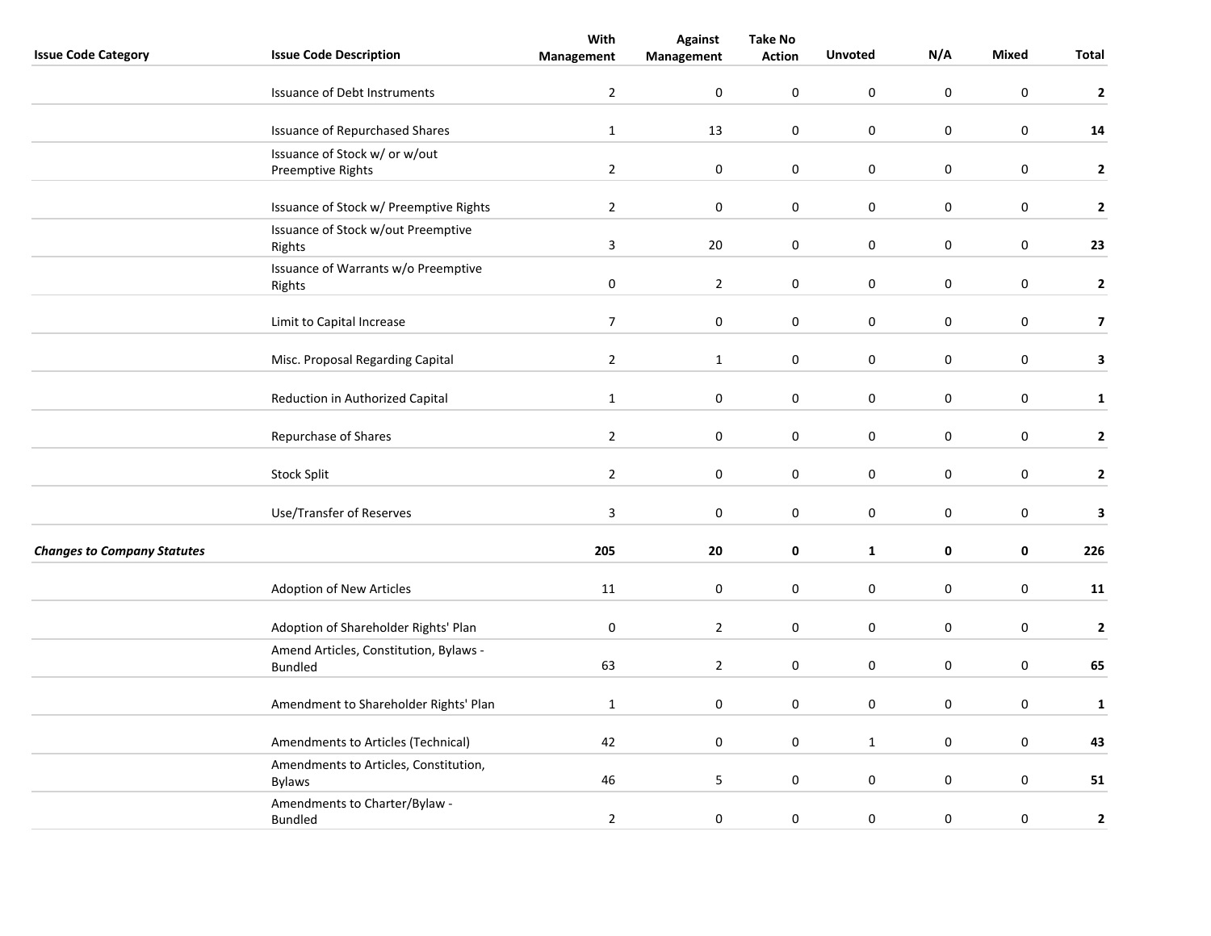|                                    |                                                          | With             | <b>Against</b>   | <b>Take No</b>   |                  |                  |                  |                         |
|------------------------------------|----------------------------------------------------------|------------------|------------------|------------------|------------------|------------------|------------------|-------------------------|
| <b>Issue Code Category</b>         | <b>Issue Code Description</b>                            | Management       | Management       | <b>Action</b>    | <b>Unvoted</b>   | N/A              | Mixed            | Total                   |
|                                    | <b>Issuance of Debt Instruments</b>                      | $\overline{2}$   | $\mathbf 0$      | 0                | $\pmb{0}$        | $\mathbf 0$      | $\mathbf 0$      | $\mathbf 2$             |
|                                    | <b>Issuance of Repurchased Shares</b>                    | $\mathbf 1$      | 13               | 0                | $\pmb{0}$        | 0                | $\mathbf 0$      | 14                      |
|                                    | Issuance of Stock w/ or w/out<br>Preemptive Rights       | $\overline{2}$   | $\boldsymbol{0}$ | 0                | $\pmb{0}$        | $\pmb{0}$        | $\mathbf 0$      | $\mathbf{2}$            |
|                                    | Issuance of Stock w/ Preemptive Rights                   | $\overline{2}$   | $\pmb{0}$        | 0                | $\pmb{0}$        | $\pmb{0}$        | $\mathbf 0$      | $\mathbf{2}$            |
|                                    | Issuance of Stock w/out Preemptive<br>Rights             | 3                | 20               | 0                | $\mathbf 0$      | 0                | $\mathbf 0$      | 23                      |
|                                    | Issuance of Warrants w/o Preemptive<br>Rights            | $\pmb{0}$        | $\overline{2}$   | 0                | 0                | $\pmb{0}$        | $\mathbf 0$      | $\mathbf{2}$            |
|                                    | Limit to Capital Increase                                | $\overline{7}$   | $\pmb{0}$        | 0                | $\pmb{0}$        | $\pmb{0}$        | $\mathbf 0$      | $\overline{\mathbf{z}}$ |
|                                    | Misc. Proposal Regarding Capital                         | $\overline{2}$   | $\mathbf{1}$     | $\pmb{0}$        | $\pmb{0}$        | $\pmb{0}$        | $\mathbf 0$      | 3                       |
|                                    | Reduction in Authorized Capital                          | $\mathbf{1}$     | $\mathbf 0$      | 0                | $\mathbf 0$      | 0                | $\mathbf 0$      | $\mathbf{1}$            |
|                                    | Repurchase of Shares                                     | $\overline{2}$   | $\boldsymbol{0}$ | $\boldsymbol{0}$ | $\mathbf 0$      | $\boldsymbol{0}$ | $\mathbf 0$      | $\mathbf{2}$            |
|                                    | Stock Split                                              | $\overline{2}$   | $\boldsymbol{0}$ | 0                | $\pmb{0}$        | $\boldsymbol{0}$ | $\mathbf 0$      | $\mathbf{2}$            |
|                                    | Use/Transfer of Reserves                                 | $\overline{3}$   | $\pmb{0}$        | 0                | $\pmb{0}$        | $\mathsf 0$      | $\boldsymbol{0}$ | 3                       |
| <b>Changes to Company Statutes</b> |                                                          | 205              | 20               | 0                | $\mathbf{1}$     | 0                | 0                | 226                     |
|                                    | Adoption of New Articles                                 | 11               | $\mathbf 0$      | $\mathbf 0$      | $\pmb{0}$        | $\pmb{0}$        | $\pmb{0}$        | 11                      |
|                                    | Adoption of Shareholder Rights' Plan                     | $\boldsymbol{0}$ | $\overline{2}$   | 0                | $\mathbf 0$      | 0                | $\mathbf 0$      | $\mathbf 2$             |
|                                    | Amend Articles, Constitution, Bylaws -<br><b>Bundled</b> | 63               | $\overline{2}$   | 0                | $\pmb{0}$        | $\boldsymbol{0}$ | $\mathbf 0$      | 65                      |
|                                    | Amendment to Shareholder Rights' Plan                    | $\mathbf{1}$     | $\pmb{0}$        | $\mathbf 0$      | $\mathsf 0$      | $\pmb{0}$        | $\boldsymbol{0}$ | $\mathbf{1}$            |
|                                    | Amendments to Articles (Technical)                       | 42               | 0                | 0                | $\mathbf{1}$     | $\mathbf 0$      | $\mathbf 0$      | 43                      |
|                                    | Amendments to Articles, Constitution,<br><b>Bylaws</b>   | 46               | 5                | 0                | $\pmb{0}$        | $\pmb{0}$        | $\mathbf 0$      | 51                      |
|                                    | Amendments to Charter/Bylaw -<br><b>Bundled</b>          | $\overline{2}$   | $\boldsymbol{0}$ | 0                | $\boldsymbol{0}$ | $\boldsymbol{0}$ | $\pmb{0}$        | $\mathbf 2$             |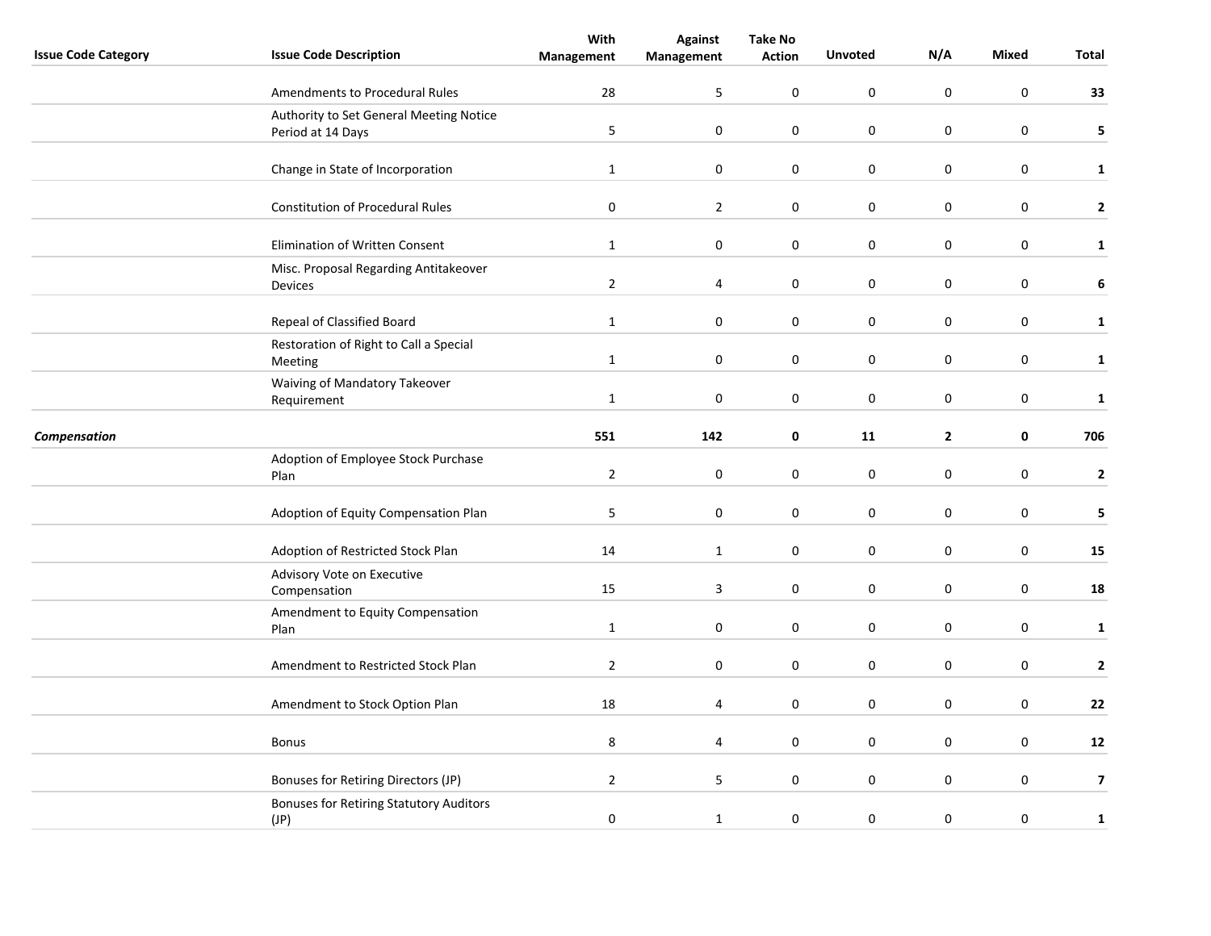|                            |                                                         | With           | <b>Against</b>          | <b>Take No</b>   |                  |                  |                  |                         |
|----------------------------|---------------------------------------------------------|----------------|-------------------------|------------------|------------------|------------------|------------------|-------------------------|
| <b>Issue Code Category</b> | <b>Issue Code Description</b>                           | Management     | Management              | <b>Action</b>    | <b>Unvoted</b>   | N/A              | Mixed            | Total                   |
|                            | Amendments to Procedural Rules                          | 28             | 5                       | 0                | $\pmb{0}$        | $\mathsf 0$      | $\boldsymbol{0}$ | 33                      |
|                            | Authority to Set General Meeting Notice                 |                |                         |                  |                  |                  |                  |                         |
|                            | Period at 14 Days                                       | 5              | $\pmb{0}$               | 0                | $\pmb{0}$        | $\mathsf 0$      | $\boldsymbol{0}$ | 5                       |
|                            | Change in State of Incorporation                        | $\mathbf{1}$   | $\mathbf 0$             | 0                | $\boldsymbol{0}$ | $\mathsf 0$      | $\mathbf 0$      | $\mathbf{1}$            |
|                            | <b>Constitution of Procedural Rules</b>                 | $\pmb{0}$      | $\overline{2}$          | 0                | $\pmb{0}$        | $\pmb{0}$        | $\mathbf 0$      | $\mathbf{2}$            |
|                            | Elimination of Written Consent                          | $\mathbf{1}$   | $\pmb{0}$               | 0                | $\pmb{0}$        | $\boldsymbol{0}$ | $\pmb{0}$        | $\mathbf{1}$            |
|                            | Misc. Proposal Regarding Antitakeover<br><b>Devices</b> | $\overline{2}$ | 4                       | 0                | $\boldsymbol{0}$ | $\boldsymbol{0}$ | $\mathbf 0$      | 6                       |
|                            | Repeal of Classified Board                              | $\mathbf{1}$   | $\pmb{0}$               | 0                | $\pmb{0}$        | $\boldsymbol{0}$ | $\boldsymbol{0}$ | $\mathbf{1}$            |
|                            | Restoration of Right to Call a Special<br>Meeting       | $\mathbf 1$    | $\pmb{0}$               | 0                | $\mathbf 0$      | $\pmb{0}$        | $\boldsymbol{0}$ | $\mathbf{1}$            |
|                            | Waiving of Mandatory Takeover<br>Requirement            | $\mathbf{1}$   | $\mathbf 0$             | 0                | $\mathbf 0$      | 0                | $\mathbf 0$      | $\mathbf{1}$            |
| Compensation               |                                                         | 551            | 142                     | 0                | 11               | $\overline{2}$   | $\mathbf 0$      | 706                     |
|                            | Adoption of Employee Stock Purchase<br>Plan             | $\overline{2}$ | $\boldsymbol{0}$        | 0                | $\mathbf 0$      | $\pmb{0}$        | $\mathbf 0$      | 2                       |
|                            | Adoption of Equity Compensation Plan                    | 5              | $\pmb{0}$               | 0                | $\mathbf 0$      | $\pmb{0}$        | $\mathbf 0$      | 5                       |
|                            | Adoption of Restricted Stock Plan                       | 14             | $\mathbf{1}$            | $\boldsymbol{0}$ | $\mathbf 0$      | $\pmb{0}$        | $\boldsymbol{0}$ | 15                      |
|                            | Advisory Vote on Executive<br>Compensation              | 15             | $\overline{\mathbf{3}}$ | 0                | $\mathbf 0$      | $\pmb{0}$        | $\mathbf 0$      | 18                      |
|                            | Amendment to Equity Compensation<br>Plan                | $\mathbf{1}$   | $\mathbf 0$             | 0                | $\mathbf 0$      | 0                | $\pmb{0}$        | $\mathbf{1}$            |
|                            | Amendment to Restricted Stock Plan                      | $\overline{2}$ | $\mathbf 0$             | 0                | $\mathbf 0$      | 0                | $\mathbf 0$      | 2                       |
|                            | Amendment to Stock Option Plan                          | 18             | 4                       | 0                | $\pmb{0}$        | $\pmb{0}$        | $\mathbf 0$      | 22                      |
|                            | <b>Bonus</b>                                            | 8              | 4                       | 0                | $\pmb{0}$        | $\pmb{0}$        | $\mathbf 0$      | 12                      |
|                            | Bonuses for Retiring Directors (JP)                     | $\overline{2}$ | 5                       | 0                | $\pmb{0}$        | $\pmb{0}$        | $\mathbf 0$      | $\overline{\mathbf{z}}$ |
|                            | <b>Bonuses for Retiring Statutory Auditors</b><br>(JP)  | $\pmb{0}$      | $\mathbf 1$             | 0                | $\mathbf 0$      | $\pmb{0}$        | $\mathbf 0$      | $\mathbf 1$             |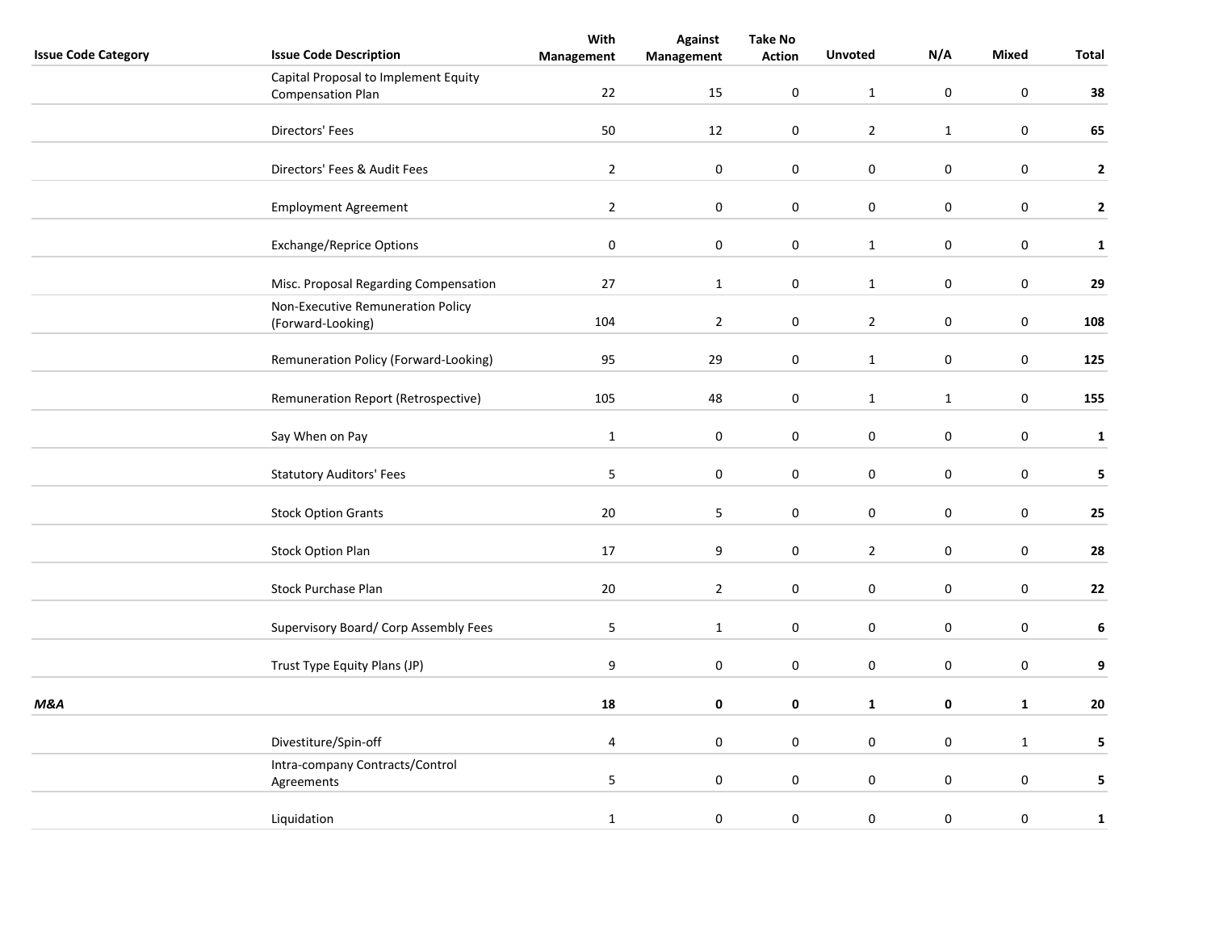| <b>Issue Code Category</b> | <b>Issue Code Description</b>                                    | With<br>Management | <b>Against</b><br>Management | <b>Take No</b><br><b>Action</b> | <b>Unvoted</b>      | N/A              | Mixed            | <b>Total</b>     |
|----------------------------|------------------------------------------------------------------|--------------------|------------------------------|---------------------------------|---------------------|------------------|------------------|------------------|
|                            | Capital Proposal to Implement Equity<br><b>Compensation Plan</b> | 22                 | 15                           | $\mathbf 0$                     | $\mathbf{1}$        | $\pmb{0}$        | $\boldsymbol{0}$ | 38               |
|                            |                                                                  |                    |                              |                                 |                     |                  |                  |                  |
|                            | Directors' Fees                                                  | 50                 | 12                           | $\pmb{0}$                       | $\overline{2}$      | $\mathbf 1$      | $\mathbf 0$      | 65               |
|                            | Directors' Fees & Audit Fees                                     | $\overline{2}$     | $\pmb{0}$                    | $\pmb{0}$                       | $\pmb{0}$           | $\pmb{0}$        | $\mathbf 0$      | $\mathbf{2}$     |
|                            | <b>Employment Agreement</b>                                      | $\overline{2}$     | $\mathbf 0$                  | 0                               | 0                   | $\mathbf 0$      | $\mathbf 0$      | $\mathbf{2}$     |
|                            | <b>Exchange/Reprice Options</b>                                  | $\pmb{0}$          | $\pmb{0}$                    | $\pmb{0}$                       | $\mathbf{1}$        | $\pmb{0}$        | $\mathbf 0$      | $\mathbf 1$      |
|                            | Misc. Proposal Regarding Compensation                            | 27                 | $\mathbf{1}$                 | 0                               | $\mathbf{1}$        | 0                | $\mathbf 0$      | ${\bf 29}$       |
|                            | Non-Executive Remuneration Policy<br>(Forward-Looking)           | 104                | $\overline{2}$               | 0                               | $\overline{2}$      | 0                | $\mathbf 0$      | 108              |
|                            | Remuneration Policy (Forward-Looking)                            | 95                 | 29                           | 0                               | $\mathbf{1}$        | $\boldsymbol{0}$ | $\boldsymbol{0}$ | 125              |
|                            | Remuneration Report (Retrospective)                              | 105                | 48                           | $\boldsymbol{0}$                | $\mathbf{1}$        | $\mathbf{1}$     | $\pmb{0}$        | 155              |
|                            | Say When on Pay                                                  | $\mathbf 1$        | $\pmb{0}$                    | $\boldsymbol{0}$                | $\pmb{0}$           | $\mathbf 0$      | $\mathbf 0$      | $\mathbf 1$      |
|                            | <b>Statutory Auditors' Fees</b>                                  | 5                  | 0                            | 0                               | $\mathsf{O}\xspace$ | $\pmb{0}$        | $\mathbf 0$      | 5                |
|                            | <b>Stock Option Grants</b>                                       | 20                 | 5                            | $\boldsymbol{0}$                | $\pmb{0}$           | $\mathbf 0$      | $\mathbf 0$      | 25               |
|                            | <b>Stock Option Plan</b>                                         | 17                 | 9                            | 0                               | $\overline{2}$      | $\pmb{0}$        | $\mathbf 0$      | 28               |
|                            | Stock Purchase Plan                                              | $20\,$             | $\overline{2}$               | 0                               | $\pmb{0}$           | $\mathbf 0$      | $\mathbf 0$      | 22               |
|                            | Supervisory Board/ Corp Assembly Fees                            | 5                  | $\mathbf{1}$                 | $\pmb{0}$                       | $\mathsf{O}\xspace$ | $\mathbf 0$      | $\mathbf 0$      | $\boldsymbol{6}$ |
|                            | Trust Type Equity Plans (JP)                                     | $\boldsymbol{9}$   | 0                            | $\pmb{0}$                       | $\mathsf{O}\xspace$ | $\pmb{0}$        | $\mathbf 0$      | 9                |
| M&A                        |                                                                  | 18                 | 0                            | $\pmb{0}$                       | $\mathbf 1$         | $\pmb{0}$        | $\mathbf 1$      | 20               |
|                            | Divestiture/Spin-off                                             | 4                  | $\pmb{0}$                    | $\mathbf 0$                     | $\pmb{0}$           | $\mathbf 0$      | $\mathbf{1}$     | $5\phantom{a}$   |
|                            | Intra-company Contracts/Control<br>Agreements                    | $\overline{5}$     | $\pmb{0}$                    | 0                               | 0                   | $\mathbf 0$      | $\mathbf 0$      | 5                |
|                            | Liquidation                                                      | $\mathbf{1}$       | $\pmb{0}$                    | 0                               | $\mathbf 0$         | $\pmb{0}$        | $\mathbf 0$      | $\mathbf 1$      |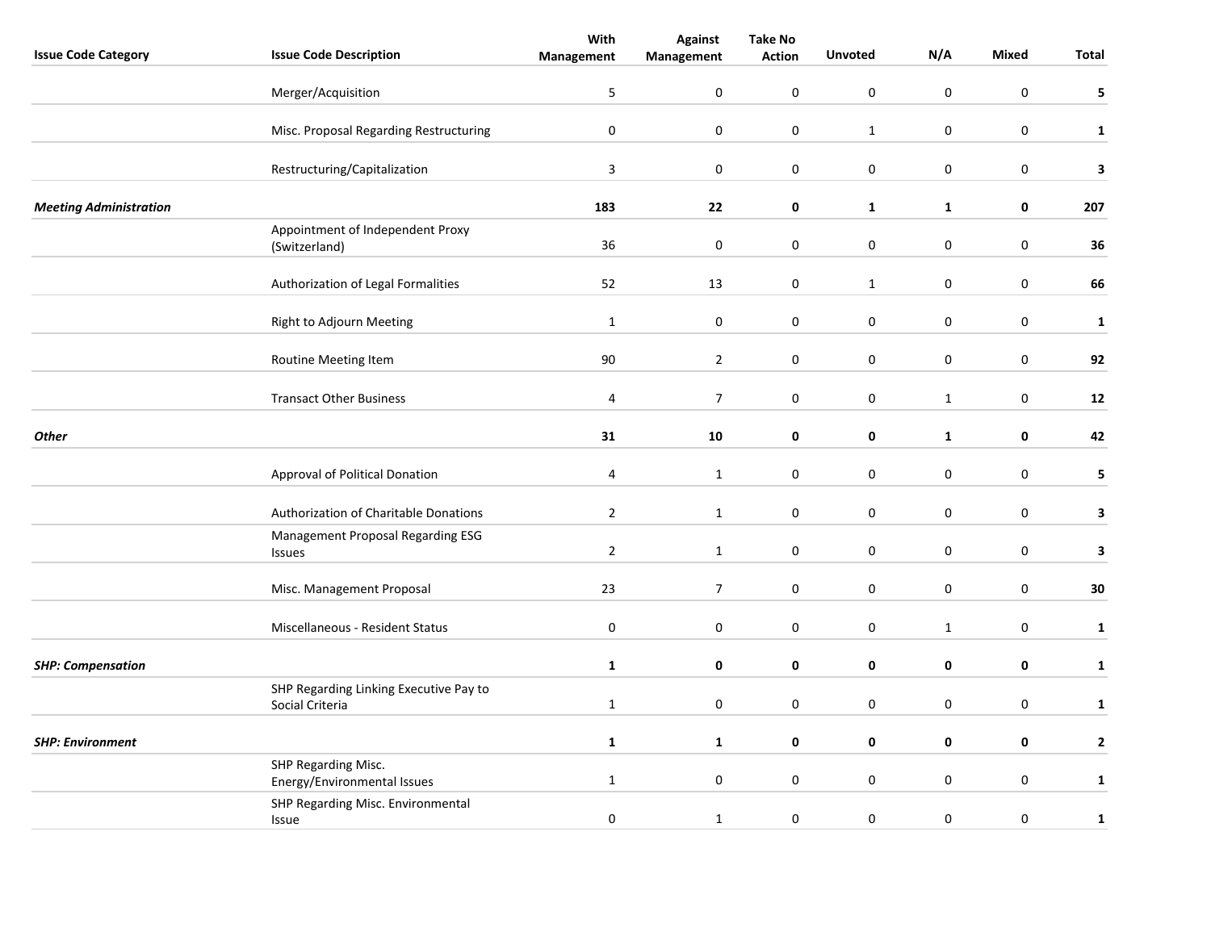| <b>Issue Code Category</b>    | <b>Issue Code Description</b>                             | With<br>Management | <b>Against</b><br>Management | <b>Take No</b><br><b>Action</b> | <b>Unvoted</b>      | N/A              | Mixed            | Total        |
|-------------------------------|-----------------------------------------------------------|--------------------|------------------------------|---------------------------------|---------------------|------------------|------------------|--------------|
|                               |                                                           |                    |                              |                                 |                     |                  |                  |              |
|                               | Merger/Acquisition                                        | 5                  | $\pmb{0}$                    | $\mathbf 0$                     | $\pmb{0}$           | $\pmb{0}$        | $\boldsymbol{0}$ | 5            |
|                               | Misc. Proposal Regarding Restructuring                    | $\pmb{0}$          | $\pmb{0}$                    | $\pmb{0}$                       | $\mathbf 1$         | $\mathsf 0$      | $\boldsymbol{0}$ | $\mathbf 1$  |
|                               | Restructuring/Capitalization                              | $\mathbf{3}$       | $\mathbf 0$                  | $\mathbf 0$                     | $\pmb{0}$           | $\pmb{0}$        | $\mathbf 0$      | 3            |
| <b>Meeting Administration</b> |                                                           | 183                | 22                           | $\pmb{0}$                       | $\mathbf{1}$        | $\mathbf 1$      | $\mathbf 0$      | 207          |
|                               | Appointment of Independent Proxy<br>(Switzerland)         | 36                 | $\boldsymbol{0}$             | $\pmb{0}$                       | $\pmb{0}$           | $\boldsymbol{0}$ | $\mathbf 0$      | 36           |
|                               | Authorization of Legal Formalities                        | 52                 | 13                           | 0                               | $\mathbf{1}$        | $\boldsymbol{0}$ | $\mathbf 0$      | 66           |
|                               | Right to Adjourn Meeting                                  | $\mathbf{1}$       | $\pmb{0}$                    | 0                               | $\pmb{0}$           | $\boldsymbol{0}$ | $\boldsymbol{0}$ | $\mathbf{1}$ |
|                               | Routine Meeting Item                                      | 90                 | $\overline{2}$               | $\pmb{0}$                       | $\mathsf{O}\xspace$ | $\boldsymbol{0}$ | $\boldsymbol{0}$ | 92           |
|                               | <b>Transact Other Business</b>                            | 4                  | $\overline{7}$               | 0                               | $\mathbf 0$         | $\mathbf{1}$     | $\mathbf 0$      | ${\bf 12}$   |
| <b>Other</b>                  |                                                           | 31                 | 10                           | $\pmb{0}$                       | $\mathbf 0$         | $\mathbf 1$      | $\mathbf 0$      | 42           |
|                               | Approval of Political Donation                            | 4                  | $\mathbf{1}$                 | 0                               | $\pmb{0}$           | $\boldsymbol{0}$ | $\mathbf 0$      | 5            |
|                               | Authorization of Charitable Donations                     | $\overline{2}$     | $\mathbf{1}$                 | 0                               | $\mathbf 0$         | $\boldsymbol{0}$ | $\mathbf 0$      | 3            |
|                               | Management Proposal Regarding ESG<br><b>Issues</b>        | $\overline{2}$     | $\mathbf{1}$                 | $\pmb{0}$                       | $\mathsf{O}\xspace$ | $\mathbf 0$      | $\mathbf 0$      | 3            |
|                               | Misc. Management Proposal                                 | 23                 | $\overline{7}$               | 0                               | $\pmb{0}$           | $\boldsymbol{0}$ | $\mathbf 0$      | 30           |
|                               | <b>Miscellaneous - Resident Status</b>                    | $\bf{0}$           | $\mathbf 0$                  | 0                               | $\mathbf 0$         | $\mathbf{1}$     | $\pmb{0}$        | $\mathbf 1$  |
| <b>SHP: Compensation</b>      |                                                           | $\mathbf{1}$       | 0                            | 0                               | 0                   | 0                | 0                | $\mathbf{1}$ |
|                               | SHP Regarding Linking Executive Pay to<br>Social Criteria | $\mathbf{1}$       | 0                            | 0                               | $\pmb{0}$           | $\boldsymbol{0}$ | $\mathbf 0$      | $\mathbf{1}$ |
| <b>SHP: Environment</b>       |                                                           | $\mathbf{1}$       | $\mathbf{1}$                 | 0                               | 0                   | $\mathbf 0$      | 0                | $\mathbf{2}$ |
|                               | SHP Regarding Misc.<br>Energy/Environmental Issues        | $\mathbf{1}$       | $\pmb{0}$                    | 0                               | $\pmb{0}$           | $\pmb{0}$        | $\mathbf 0$      | $\mathbf{1}$ |
|                               | SHP Regarding Misc. Environmental<br>Issue                | $\pmb{0}$          | $\mathbf 1$                  | $\mathbf 0$                     | $\mathbf 0$         | $\boldsymbol{0}$ | $\pmb{0}$        | $\mathbf 1$  |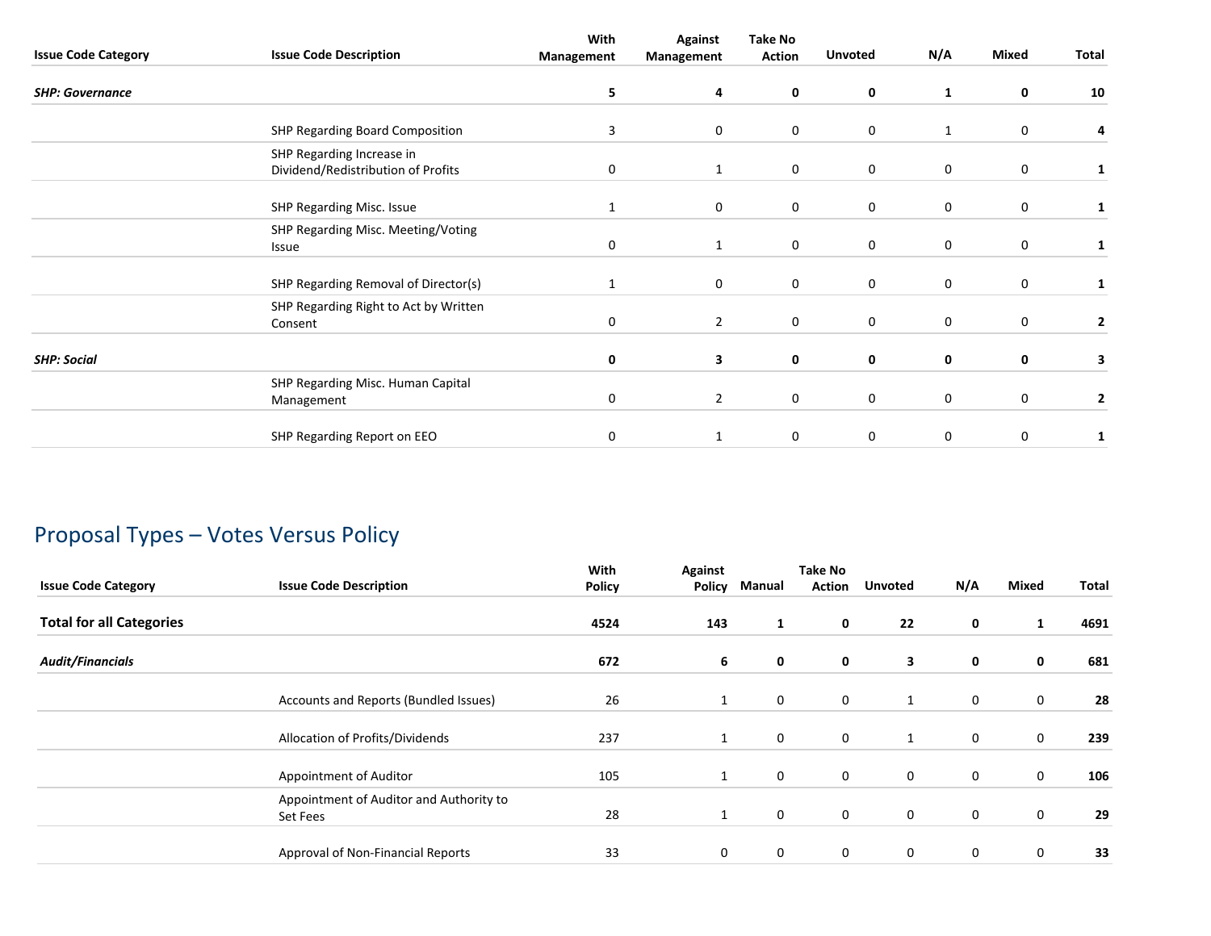| <b>Issue Code Category</b> | <b>Issue Code Description</b>                                   | With<br>Management | <b>Against</b><br>Management | <b>Take No</b><br>Action | <b>Unvoted</b> | N/A         | Mixed       | Total          |
|----------------------------|-----------------------------------------------------------------|--------------------|------------------------------|--------------------------|----------------|-------------|-------------|----------------|
| <b>SHP: Governance</b>     |                                                                 | 5                  | 4                            | $\mathbf 0$              | 0              | 1           | 0           | 10             |
|                            | SHP Regarding Board Composition                                 | 3                  | 0                            | 0                        | 0              | 1           | $\mathbf 0$ | 4              |
|                            | SHP Regarding Increase in<br>Dividend/Redistribution of Profits | 0                  | $\mathbf{1}$                 | $\mathbf 0$              | 0              | $\mathbf 0$ | 0           | 1              |
|                            | SHP Regarding Misc. Issue                                       |                    | 0                            | 0                        | 0              | 0           | $\mathbf 0$ |                |
|                            | SHP Regarding Misc. Meeting/Voting<br><b>Issue</b>              | 0                  | 1                            | $\mathbf 0$              | 0              | 0           | 0           | 1              |
|                            | SHP Regarding Removal of Director(s)                            | 1                  | 0                            | 0                        | 0              | 0           | $\mathbf 0$ | 1              |
|                            | SHP Regarding Right to Act by Written<br>Consent                | 0                  | $\overline{2}$               | 0                        | 0              | 0           | 0           | $\overline{2}$ |
| <b>SHP: Social</b>         |                                                                 | 0                  | 3                            | $\mathbf 0$              | 0              | 0           | 0           | 3              |
|                            | SHP Regarding Misc. Human Capital<br>Management                 | 0                  | $\overline{2}$               | 0                        | 0              | 0           | $\mathbf 0$ | $\overline{2}$ |
|                            | SHP Regarding Report on EEO                                     | 0                  | 1                            | 0                        | 0              | 0           | $\mathbf 0$ | 1              |

# Proposal Types – Votes Versus Policy

| <b>Issue Code Category</b>      | <b>Issue Code Description</b>                       | With<br><b>Policy</b> | Against<br><b>Policy</b> | Manual | <b>Take No</b><br><b>Action</b> | Unvoted      | N/A         | Mixed       | Total |
|---------------------------------|-----------------------------------------------------|-----------------------|--------------------------|--------|---------------------------------|--------------|-------------|-------------|-------|
| <b>Total for all Categories</b> |                                                     | 4524                  | 143                      | 1      | $\mathbf 0$                     | 22           | $\mathbf 0$ | 1           | 4691  |
| <b>Audit/Financials</b>         |                                                     | 672                   | 6                        | 0      | $\mathbf 0$                     | 3            | $\mathbf 0$ | 0           | 681   |
|                                 | Accounts and Reports (Bundled Issues)               | 26                    | 1                        | 0      | $\mathbf 0$                     | $\mathbf{1}$ | $\mathbf 0$ | $\mathbf 0$ | 28    |
|                                 | Allocation of Profits/Dividends                     | 237                   | $\mathbf{1}$             | 0      | $\mathbf 0$                     | 1            | $\mathbf 0$ | $\mathbf 0$ | 239   |
|                                 | Appointment of Auditor                              | 105                   | $\mathbf{1}$             | 0      | 0                               | 0            | $\mathbf 0$ | $\mathbf 0$ | 106   |
|                                 | Appointment of Auditor and Authority to<br>Set Fees | 28                    | 1                        | 0      | $\mathbf 0$                     | 0            | $\mathbf 0$ | $\mathbf 0$ | 29    |
|                                 | Approval of Non-Financial Reports                   | 33                    | 0                        | 0      | $\mathbf 0$                     | 0            | $\mathbf 0$ | $\mathbf 0$ | 33    |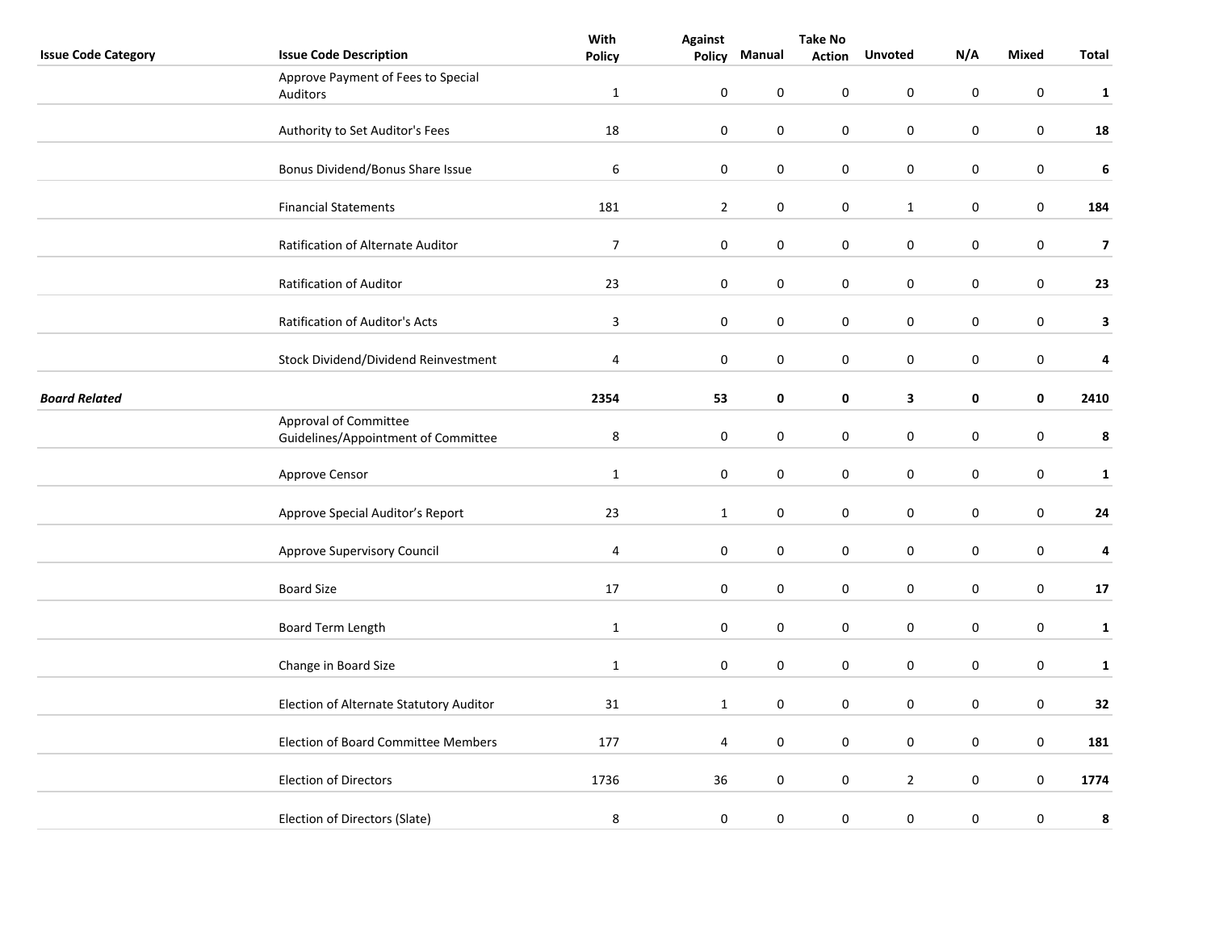|                            |                                                              | With           | <b>Against</b>   | <b>Take No</b>   |               |                |           |                  |                         |
|----------------------------|--------------------------------------------------------------|----------------|------------------|------------------|---------------|----------------|-----------|------------------|-------------------------|
| <b>Issue Code Category</b> | <b>Issue Code Description</b>                                | <b>Policy</b>  | <b>Policy</b>    | Manual           | <b>Action</b> | <b>Unvoted</b> | N/A       | <b>Mixed</b>     | <b>Total</b>            |
|                            | Approve Payment of Fees to Special                           |                |                  |                  |               |                |           |                  |                         |
|                            | Auditors                                                     | $\mathbf{1}$   | $\boldsymbol{0}$ | $\mathbf 0$      | 0             | 0              | $\pmb{0}$ | $\pmb{0}$        | $\mathbf{1}$            |
|                            |                                                              |                |                  |                  |               |                |           |                  |                         |
|                            | Authority to Set Auditor's Fees                              | 18             | $\pmb{0}$        | $\boldsymbol{0}$ | 0             | $\pmb{0}$      | $\pmb{0}$ | $\pmb{0}$        | 18                      |
|                            |                                                              |                |                  |                  |               |                |           |                  |                         |
|                            | Bonus Dividend/Bonus Share Issue                             | 6              | $\pmb{0}$        | $\boldsymbol{0}$ | 0             | $\pmb{0}$      | $\pmb{0}$ | $\boldsymbol{0}$ | $\bf 6$                 |
|                            |                                                              |                |                  |                  |               |                |           |                  |                         |
|                            | <b>Financial Statements</b>                                  | 181            | $\mathbf 2$      | $\boldsymbol{0}$ | 0             | $\mathbf{1}$   | $\pmb{0}$ | $\mathbf 0$      | 184                     |
|                            |                                                              |                |                  |                  |               |                |           |                  |                         |
|                            | Ratification of Alternate Auditor                            | $\overline{7}$ | $\pmb{0}$        | $\mathbf 0$      | 0             | 0              | 0         | $\pmb{0}$        | $\overline{\mathbf{z}}$ |
|                            |                                                              |                |                  |                  |               |                |           |                  |                         |
|                            | Ratification of Auditor                                      | 23             | 0                | 0                | 0             | 0              | 0         | 0                | 23                      |
|                            |                                                              |                |                  |                  |               |                |           |                  |                         |
|                            | Ratification of Auditor's Acts                               | $\mathbf{3}$   | $\pmb{0}$        | $\pmb{0}$        | 0             | 0              | 0         | $\pmb{0}$        | $\mathbf{3}$            |
|                            | Stock Dividend/Dividend Reinvestment                         | $\pmb{4}$      | $\pmb{0}$        | $\boldsymbol{0}$ | 0             | $\pmb{0}$      | $\pmb{0}$ | $\boldsymbol{0}$ |                         |
|                            |                                                              |                |                  |                  |               |                |           |                  | $\pmb{4}$               |
| <b>Board Related</b>       |                                                              | 2354           | 53               | 0                | 0             | 3              | 0         | 0                | 2410                    |
|                            |                                                              |                |                  |                  |               |                |           |                  |                         |
|                            | Approval of Committee<br>Guidelines/Appointment of Committee | $\bf 8$        | $\pmb{0}$        | $\pmb{0}$        | 0             | $\pmb{0}$      | $\pmb{0}$ | $\boldsymbol{0}$ | 8                       |
|                            |                                                              |                |                  |                  |               |                |           |                  |                         |
|                            | Approve Censor                                               | $\mathbf{1}$   | $\pmb{0}$        | $\boldsymbol{0}$ | 0             | $\pmb{0}$      | $\pmb{0}$ | $\pmb{0}$        | $\mathbf{1}$            |
|                            |                                                              |                |                  |                  |               |                |           |                  |                         |
|                            | Approve Special Auditor's Report                             | 23             | $\mathbf{1}$     | $\boldsymbol{0}$ | 0             | $\pmb{0}$      | 0         | $\mathbf 0$      | 24                      |
|                            |                                                              |                |                  |                  |               |                |           |                  |                         |
|                            | Approve Supervisory Council                                  | $\overline{4}$ | $\boldsymbol{0}$ | 0                | 0             | 0              | 0         | $\pmb{0}$        | 4                       |
|                            |                                                              |                |                  |                  |               |                |           |                  |                         |
|                            | <b>Board Size</b>                                            | 17             | $\pmb{0}$        | $\mathbf 0$      | 0             | $\pmb{0}$      | $\pmb{0}$ | $\pmb{0}$        | $17\,$                  |
|                            |                                                              |                |                  |                  |               |                |           |                  |                         |
|                            | Board Term Length                                            | $\mathbf{1}$   | $\pmb{0}$        | $\pmb{0}$        | 0             | 0              | 0         | $\pmb{0}$        | $\mathbf{1}$            |
|                            |                                                              |                |                  |                  |               |                |           |                  |                         |
|                            | Change in Board Size                                         | $\mathbf{1}$   | $\pmb{0}$        | $\boldsymbol{0}$ | $\pmb{0}$     | $\pmb{0}$      | $\pmb{0}$ | $\pmb{0}$        | $\mathbf{1}$            |
|                            |                                                              |                |                  |                  |               |                |           |                  |                         |
|                            | Election of Alternate Statutory Auditor                      | 31             | $\mathbf{1}$     | $\pmb{0}$        | 0             | $\pmb{0}$      | $\pmb{0}$ | $\boldsymbol{0}$ | 32                      |
|                            |                                                              |                |                  |                  |               |                |           |                  |                         |
|                            | <b>Election of Board Committee Members</b>                   | 177            | 4                | $\pmb{0}$        | 0             | $\pmb{0}$      | $\pmb{0}$ | $\pmb{0}$        | 181                     |
|                            |                                                              |                |                  |                  |               |                |           |                  |                         |
|                            | <b>Election of Directors</b>                                 | 1736           | 36               | $\pmb{0}$        | 0             | $\overline{2}$ | $\pmb{0}$ | $\pmb{0}$        | 1774                    |
|                            |                                                              |                |                  |                  |               |                |           |                  |                         |
|                            | Election of Directors (Slate)                                | $\,8\,$        | $\pmb{0}$        | $\boldsymbol{0}$ | $\pmb{0}$     | $\pmb{0}$      | $\pmb{0}$ | $\boldsymbol{0}$ | 8                       |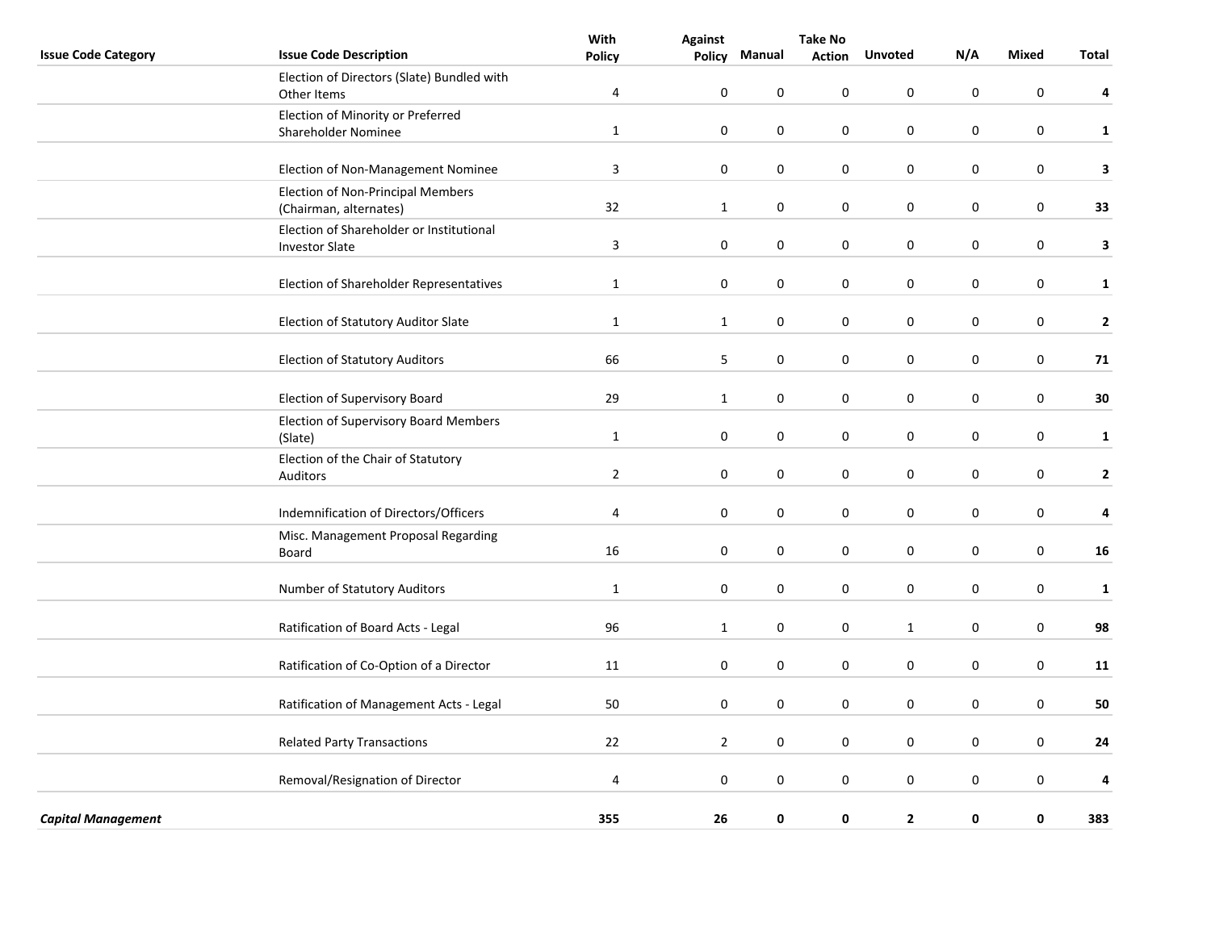|                            |                                                                    | With           | <b>Against</b>   |                  | <b>Take No</b> |                |             |                  |              |
|----------------------------|--------------------------------------------------------------------|----------------|------------------|------------------|----------------|----------------|-------------|------------------|--------------|
| <b>Issue Code Category</b> | <b>Issue Code Description</b>                                      | <b>Policy</b>  | Policy           | Manual           | <b>Action</b>  | <b>Unvoted</b> | N/A         | <b>Mixed</b>     | <b>Total</b> |
|                            | Election of Directors (Slate) Bundled with<br>Other Items          | 4              | $\boldsymbol{0}$ | 0                | $\pmb{0}$      | $\mathbf 0$    | $\pmb{0}$   | 0                | 4            |
|                            | Election of Minority or Preferred<br>Shareholder Nominee           | $\mathbf{1}$   | $\pmb{0}$        | $\boldsymbol{0}$ | $\pmb{0}$      | $\pmb{0}$      | $\pmb{0}$   | $\boldsymbol{0}$ | $\mathbf{1}$ |
|                            |                                                                    |                |                  |                  |                |                |             |                  |              |
|                            | Election of Non-Management Nominee                                 | $\overline{3}$ | $\pmb{0}$        | $\mathbf 0$      | $\pmb{0}$      | $\pmb{0}$      | $\pmb{0}$   | $\boldsymbol{0}$ | 3            |
|                            | <b>Election of Non-Principal Members</b><br>(Chairman, alternates) | 32             | $\mathbf{1}$     | 0                | $\pmb{0}$      | $\pmb{0}$      | $\pmb{0}$   | $\boldsymbol{0}$ | 33           |
|                            | Election of Shareholder or Institutional<br><b>Investor Slate</b>  | $\overline{3}$ | $\pmb{0}$        | $\pmb{0}$        | $\pmb{0}$      | $\pmb{0}$      | $\pmb{0}$   | $\boldsymbol{0}$ | $\mathbf{3}$ |
|                            |                                                                    |                |                  |                  |                |                |             |                  |              |
|                            | Election of Shareholder Representatives                            | $\mathbf{1}$   | $\mathbf 0$      | 0                | 0              | $\mathbf 0$    | 0           | 0                | $\mathbf{1}$ |
|                            | Election of Statutory Auditor Slate                                | $\mathbf{1}$   | $\mathbf{1}$     | $\pmb{0}$        | $\pmb{0}$      | $\pmb{0}$      | $\pmb{0}$   | $\pmb{0}$        | $\mathbf{2}$ |
|                            | <b>Election of Statutory Auditors</b>                              | 66             | 5                | $\pmb{0}$        | $\pmb{0}$      | $\pmb{0}$      | $\pmb{0}$   | $\pmb{0}$        | 71           |
|                            | Election of Supervisory Board                                      | 29             | $\mathbf{1}$     | 0                | $\pmb{0}$      | $\pmb{0}$      | $\pmb{0}$   | $\pmb{0}$        | 30           |
|                            | <b>Election of Supervisory Board Members</b><br>(Slate)            | $\mathbf{1}$   | 0                | 0                | 0              | $\mathbf 0$    | 0           | 0                | $\mathbf{1}$ |
|                            | Election of the Chair of Statutory                                 |                |                  |                  |                |                |             |                  |              |
|                            | Auditors                                                           | $\overline{2}$ | $\pmb{0}$        | 0                | 0              | 0              | 0           | 0                | $\mathbf{2}$ |
|                            | Indemnification of Directors/Officers                              | $\overline{4}$ | $\mathbf 0$      | $\mathbf 0$      | 0              | $\mathbf 0$    | 0           | $\mathbf 0$      | 4            |
|                            | Misc. Management Proposal Regarding<br><b>Board</b>                | 16             | $\mathbf 0$      | 0                | 0              | $\mathbf 0$    | $\mathbf 0$ | 0                | 16           |
|                            | Number of Statutory Auditors                                       | $\mathbf{1}$   | $\boldsymbol{0}$ | 0                | 0              | $\mathbf 0$    | 0           | $\pmb{0}$        | $\mathbf{1}$ |
|                            | Ratification of Board Acts - Legal                                 | 96             | $\mathbf{1}$     | 0                | $\pmb{0}$      | $\mathbf{1}$   | $\pmb{0}$   | $\pmb{0}$        | 98           |
|                            |                                                                    |                |                  |                  |                |                |             |                  |              |
|                            | Ratification of Co-Option of a Director                            | 11             | 0                | 0                | 0              | 0              | $\mathbf 0$ | 0                | 11           |
|                            | Ratification of Management Acts - Legal                            | 50             | $\mathbf 0$      | $\mathbf 0$      | 0              | $\mathbf 0$    | 0           | $\mathbf 0$      | 50           |
|                            | <b>Related Party Transactions</b>                                  | 22             | $\overline{2}$   | $\mathbf 0$      | 0              | $\mathbf 0$    | $\mathbf 0$ | $\pmb{0}$        | 24           |
|                            | Removal/Resignation of Director                                    | 4              | $\mathbf 0$      | 0                | 0              | $\mathbf 0$    | 0           | $\mathbf 0$      | 4            |
|                            |                                                                    |                |                  |                  |                |                |             |                  |              |
| <b>Capital Management</b>  |                                                                    | 355            | 26               | 0                | 0              | $\overline{2}$ | 0           | $\pmb{0}$        | 383          |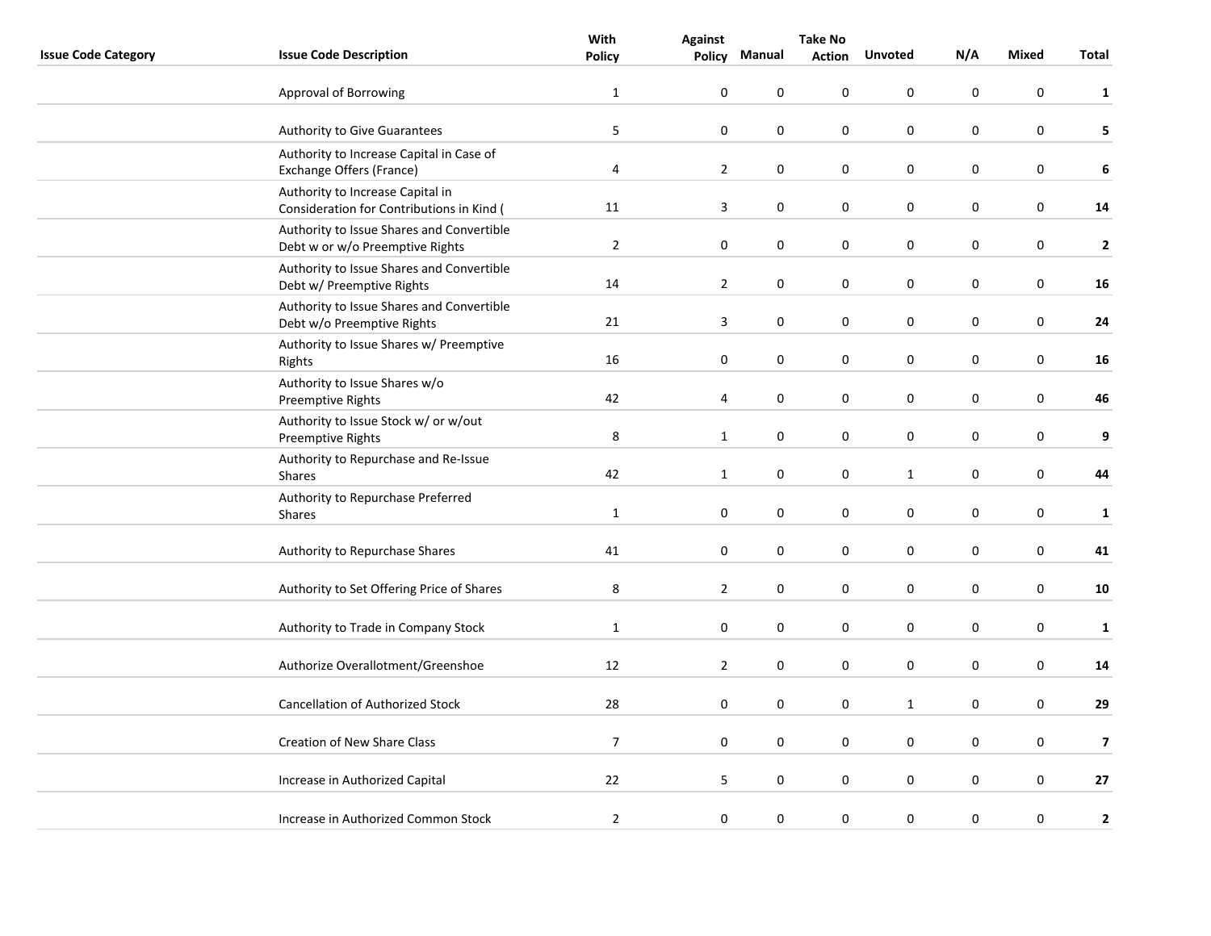|                            |                                                                               | With           | <b>Against</b>   |                  | <b>Take No</b>   |                  |                  |             |                         |  |
|----------------------------|-------------------------------------------------------------------------------|----------------|------------------|------------------|------------------|------------------|------------------|-------------|-------------------------|--|
| <b>Issue Code Category</b> | <b>Issue Code Description</b>                                                 | <b>Policy</b>  | Policy           | Manual           | <b>Action</b>    | <b>Unvoted</b>   | N/A              | Mixed       | Total                   |  |
|                            | Approval of Borrowing                                                         | $\mathbf{1}$   | 0                | $\mathbf 0$      | 0                | $\mathbf 0$      | $\mathbf 0$      | $\mathbf 0$ | 1                       |  |
|                            | Authority to Give Guarantees                                                  | 5              | $\boldsymbol{0}$ | $\boldsymbol{0}$ | 0                | $\boldsymbol{0}$ | $\boldsymbol{0}$ | $\bf{0}$    | 5                       |  |
|                            | Authority to Increase Capital in Case of<br>Exchange Offers (France)          | 4              | $\overline{2}$   | $\boldsymbol{0}$ | 0                | $\pmb{0}$        | $\pmb{0}$        | $\pmb{0}$   | $\boldsymbol{6}$        |  |
|                            | Authority to Increase Capital in<br>Consideration for Contributions in Kind ( | 11             | 3                | 0                | 0                | $\pmb{0}$        | $\pmb{0}$        | $\pmb{0}$   | 14                      |  |
|                            | Authority to Issue Shares and Convertible<br>Debt w or w/o Preemptive Rights  | $\overline{2}$ | 0                | $\mathbf 0$      | 0                | $\mathbf 0$      | $\mathbf 0$      | $\mathbf 0$ | $\overline{2}$          |  |
|                            | Authority to Issue Shares and Convertible<br>Debt w/ Preemptive Rights        | 14             | $\mathbf{2}$     | 0                | 0                | $\boldsymbol{0}$ | $\pmb{0}$        | $\bf{0}$    | 16                      |  |
|                            | Authority to Issue Shares and Convertible<br>Debt w/o Preemptive Rights       | 21             | 3                | $\boldsymbol{0}$ | 0                | $\boldsymbol{0}$ | $\pmb{0}$        | $\mathbf 0$ | 24                      |  |
|                            | Authority to Issue Shares w/ Preemptive<br>Rights                             | 16             | $\pmb{0}$        | $\pmb{0}$        | $\pmb{0}$        | $\pmb{0}$        | $\pmb{0}$        | $\pmb{0}$   | 16                      |  |
|                            | Authority to Issue Shares w/o<br><b>Preemptive Rights</b>                     | 42             | 4                | 0                | 0                | $\boldsymbol{0}$ | 0                | $\bf{0}$    | 46                      |  |
|                            | Authority to Issue Stock w/ or w/out<br>Preemptive Rights                     | 8              | $\mathbf{1}$     | $\pmb{0}$        | 0                | $\boldsymbol{0}$ | $\pmb{0}$        | $\pmb{0}$   | $\boldsymbol{9}$        |  |
|                            | Authority to Repurchase and Re-Issue<br><b>Shares</b>                         | 42             | $\mathbf{1}$     | 0                | 0                | $\mathbf{1}$     | $\pmb{0}$        | $\pmb{0}$   | 44                      |  |
|                            | Authority to Repurchase Preferred<br>Shares                                   | $\mathbf 1$    | 0                | $\mathbf 0$      | 0                | $\boldsymbol{0}$ | $\mathbf 0$      | $\pmb{0}$   | $\mathbf{1}$            |  |
|                            | Authority to Repurchase Shares                                                | 41             | 0                | $\boldsymbol{0}$ | 0                | $\mathbf 0$      | $\mathbf 0$      | $\mathbf 0$ | 41                      |  |
|                            | Authority to Set Offering Price of Shares                                     | 8              | $\mathbf{2}$     | $\mathbf 0$      | $\pmb{0}$        | $\mathbf 0$      | $\pmb{0}$        | $\mathbf 0$ | 10                      |  |
|                            | Authority to Trade in Company Stock                                           | $\mathbf{1}$   | 0                | $\boldsymbol{0}$ | 0                | $\boldsymbol{0}$ | $\pmb{0}$        | $\bf{0}$    | $\mathbf{1}$            |  |
|                            | Authorize Overallotment/Greenshoe                                             | 12             | $\overline{2}$   | $\boldsymbol{0}$ | 0                | $\pmb{0}$        | $\pmb{0}$        | $\bf{0}$    | 14                      |  |
|                            | Cancellation of Authorized Stock                                              | 28             | $\pmb{0}$        | $\pmb{0}$        | $\boldsymbol{0}$ | $\mathbf{1}$     | $\pmb{0}$        | $\pmb{0}$   | 29                      |  |
|                            | <b>Creation of New Share Class</b>                                            | $\overline{7}$ | 0                | $\mathbf 0$      | 0                | $\mathbf 0$      | $\mathbf 0$      | $\mathbf 0$ | $\overline{\mathbf{z}}$ |  |
|                            | Increase in Authorized Capital                                                | 22             | 5                | $\boldsymbol{0}$ | 0                | $\boldsymbol{0}$ | $\boldsymbol{0}$ | $\pmb{0}$   | 27                      |  |
|                            | Increase in Authorized Common Stock                                           | $\overline{2}$ | $\boldsymbol{0}$ | 0                | 0                | $\pmb{0}$        | $\pmb{0}$        | $\bf{0}$    | $\mathbf{2}$            |  |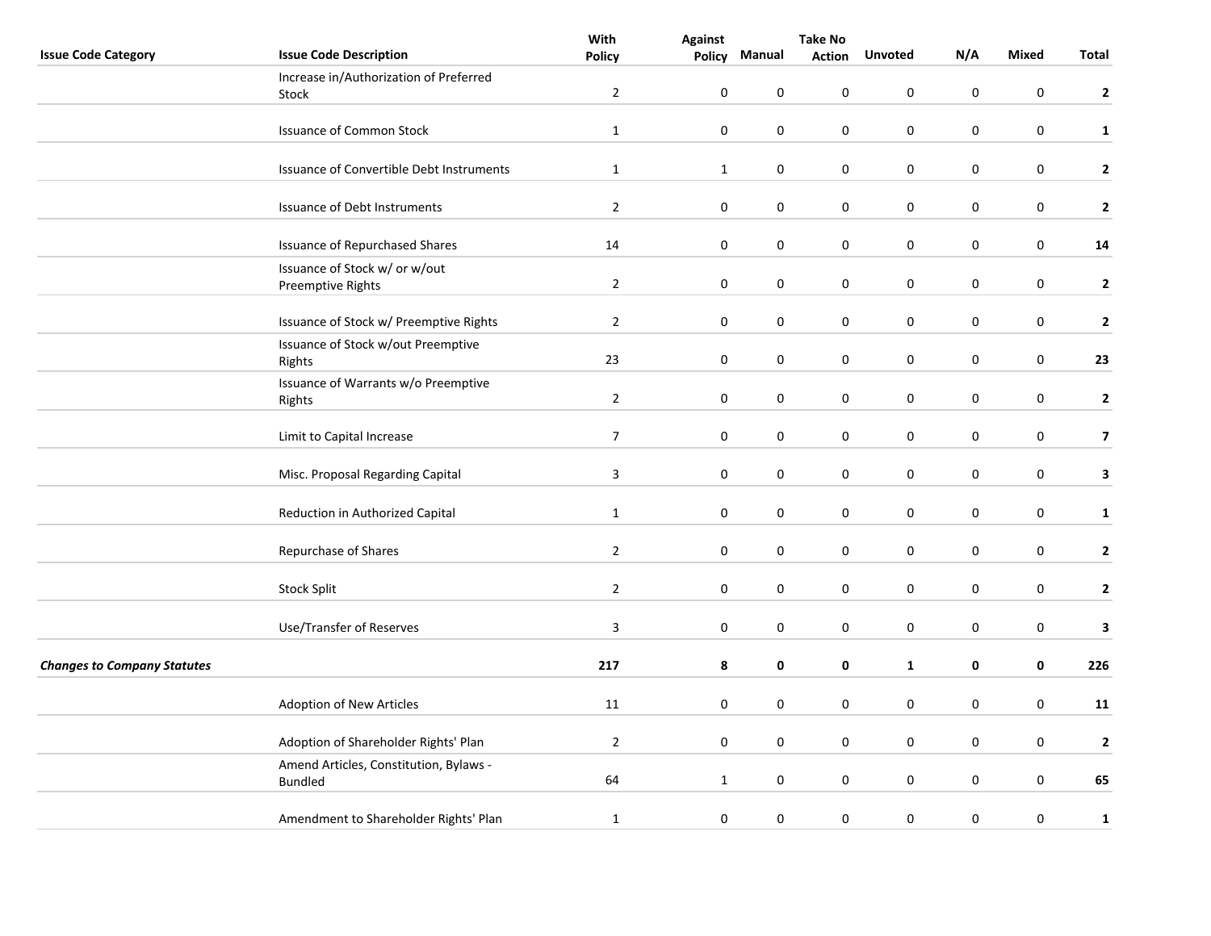|                                    |                                          | With<br><b>Against</b> |              |                  |               | <b>Take No</b>   |             |                  |                         |  |
|------------------------------------|------------------------------------------|------------------------|--------------|------------------|---------------|------------------|-------------|------------------|-------------------------|--|
| <b>Issue Code Category</b>         | <b>Issue Code Description</b>            | <b>Policy</b>          | Policy       | Manual           | <b>Action</b> | <b>Unvoted</b>   | N/A         | <b>Mixed</b>     | Total                   |  |
|                                    | Increase in/Authorization of Preferred   |                        |              |                  |               |                  |             |                  |                         |  |
|                                    | <b>Stock</b>                             | $\overline{2}$         | $\pmb{0}$    | 0                | 0             | 0                | $\pmb{0}$   | 0                | $\mathbf{2}$            |  |
|                                    |                                          |                        |              |                  |               |                  |             |                  |                         |  |
|                                    | <b>Issuance of Common Stock</b>          | $\mathbf{1}$           | $\mathbf 0$  | $\mathbf 0$      | 0             | 0                | $\mathbf 0$ | $\mathbf 0$      | $\mathbf{1}$            |  |
|                                    |                                          |                        |              |                  |               |                  |             |                  |                         |  |
|                                    | Issuance of Convertible Debt Instruments | $\mathbf{1}$           | $\mathbf{1}$ | $\pmb{0}$        | 0             | $\pmb{0}$        | 0           | $\pmb{0}$        | $\mathbf{2}$            |  |
|                                    |                                          |                        |              |                  |               |                  |             |                  |                         |  |
|                                    | Issuance of Debt Instruments             | $\overline{2}$         | $\pmb{0}$    | $\pmb{0}$        | 0             | $\pmb{0}$        | 0           | $\pmb{0}$        | $\mathbf{2}$            |  |
|                                    |                                          |                        |              |                  |               |                  |             |                  |                         |  |
|                                    | <b>Issuance of Repurchased Shares</b>    | 14                     | $\pmb{0}$    | $\boldsymbol{0}$ | 0             | $\boldsymbol{0}$ | $\pmb{0}$   | $\boldsymbol{0}$ | ${\bf 14}$              |  |
|                                    | Issuance of Stock w/ or w/out            |                        |              |                  |               |                  |             |                  |                         |  |
|                                    | Preemptive Rights                        | $\overline{2}$         | $\pmb{0}$    | $\boldsymbol{0}$ | 0             | $\boldsymbol{0}$ | $\mathbf 0$ | $\pmb{0}$        | $\mathbf{2}$            |  |
|                                    |                                          |                        |              |                  |               |                  |             |                  |                         |  |
|                                    | Issuance of Stock w/ Preemptive Rights   | $\overline{2}$         | $\pmb{0}$    | $\boldsymbol{0}$ | 0             | $\boldsymbol{0}$ | $\pmb{0}$   | $\boldsymbol{0}$ | $\mathbf{2}$            |  |
|                                    | Issuance of Stock w/out Preemptive       |                        |              |                  |               |                  |             |                  |                         |  |
|                                    | Rights                                   | 23                     | $\pmb{0}$    | 0                | 0             | $\pmb{0}$        | 0           | $\pmb{0}$        | 23                      |  |
|                                    | Issuance of Warrants w/o Preemptive      |                        |              |                  |               |                  |             |                  |                         |  |
|                                    | Rights                                   | $\mathbf 2$            | $\pmb{0}$    | $\pmb{0}$        | 0             | $\boldsymbol{0}$ | 0           | $\pmb{0}$        | $\mathbf{2}$            |  |
|                                    |                                          |                        |              |                  |               |                  |             |                  |                         |  |
|                                    | Limit to Capital Increase                | $\overline{7}$         | $\pmb{0}$    | $\boldsymbol{0}$ | 0             | $\boldsymbol{0}$ | $\pmb{0}$   | $\boldsymbol{0}$ | $\overline{\mathbf{z}}$ |  |
|                                    |                                          |                        |              |                  |               |                  |             |                  |                         |  |
|                                    | Misc. Proposal Regarding Capital         | $\overline{3}$         | $\pmb{0}$    | $\boldsymbol{0}$ | $\pmb{0}$     | $\boldsymbol{0}$ | $\pmb{0}$   | $\pmb{0}$        | $\mathbf{3}$            |  |
|                                    |                                          |                        |              |                  |               |                  |             |                  |                         |  |
|                                    | Reduction in Authorized Capital          | $\mathbf{1}$           | $\mathbf 0$  | $\mathbf 0$      | 0             | 0                | $\mathbf 0$ | $\mathbf 0$      | $\mathbf{1}$            |  |
|                                    |                                          |                        |              |                  |               |                  |             |                  |                         |  |
|                                    | Repurchase of Shares                     | $\overline{2}$         | $\pmb{0}$    | 0                | 0             | $\pmb{0}$        | 0           | $\pmb{0}$        | $\mathbf{2}$            |  |
|                                    |                                          |                        |              |                  |               |                  |             |                  |                         |  |
|                                    | <b>Stock Split</b>                       | $\overline{2}$         | $\pmb{0}$    | $\boldsymbol{0}$ | 0             | $\boldsymbol{0}$ | $\pmb{0}$   | $\boldsymbol{0}$ | $\mathbf{2}$            |  |
|                                    |                                          |                        |              |                  |               |                  |             |                  |                         |  |
|                                    | Use/Transfer of Reserves                 | $\overline{3}$         | $\pmb{0}$    | $\pmb{0}$        | 0             | $\pmb{0}$        | 0           | $\pmb{0}$        | 3                       |  |
| <b>Changes to Company Statutes</b> |                                          | 217                    |              |                  |               |                  |             |                  | 226                     |  |
|                                    |                                          |                        | 8            | 0                | 0             | $\mathbf 1$      | 0           | 0                |                         |  |
|                                    |                                          |                        |              |                  | $\mathbf 0$   |                  |             | $\pmb{0}$        |                         |  |
|                                    | Adoption of New Articles                 | 11                     | $\mathbf 0$  | $\mathbf 0$      |               | $\mathbf 0$      | $\mathbf 0$ |                  | 11                      |  |
|                                    |                                          |                        |              |                  |               |                  |             |                  |                         |  |
|                                    | Adoption of Shareholder Rights' Plan     | $\overline{2}$         | $\pmb{0}$    | 0                | 0             | 0                | 0           | $\pmb{0}$        | $\mathbf{2}$            |  |
|                                    | Amend Articles, Constitution, Bylaws -   |                        |              |                  |               |                  |             |                  |                         |  |
|                                    | <b>Bundled</b>                           | 64                     | $\mathbf{1}$ | $\boldsymbol{0}$ | 0             | $\pmb{0}$        | $\pmb{0}$   | $\boldsymbol{0}$ | 65                      |  |
|                                    |                                          |                        |              |                  |               |                  |             |                  |                         |  |
|                                    | Amendment to Shareholder Rights' Plan    | $\mathbf{1}$           | $\pmb{0}$    | $\boldsymbol{0}$ | $\pmb{0}$     | $\boldsymbol{0}$ | $\pmb{0}$   | $\boldsymbol{0}$ | $\mathbf{1}$            |  |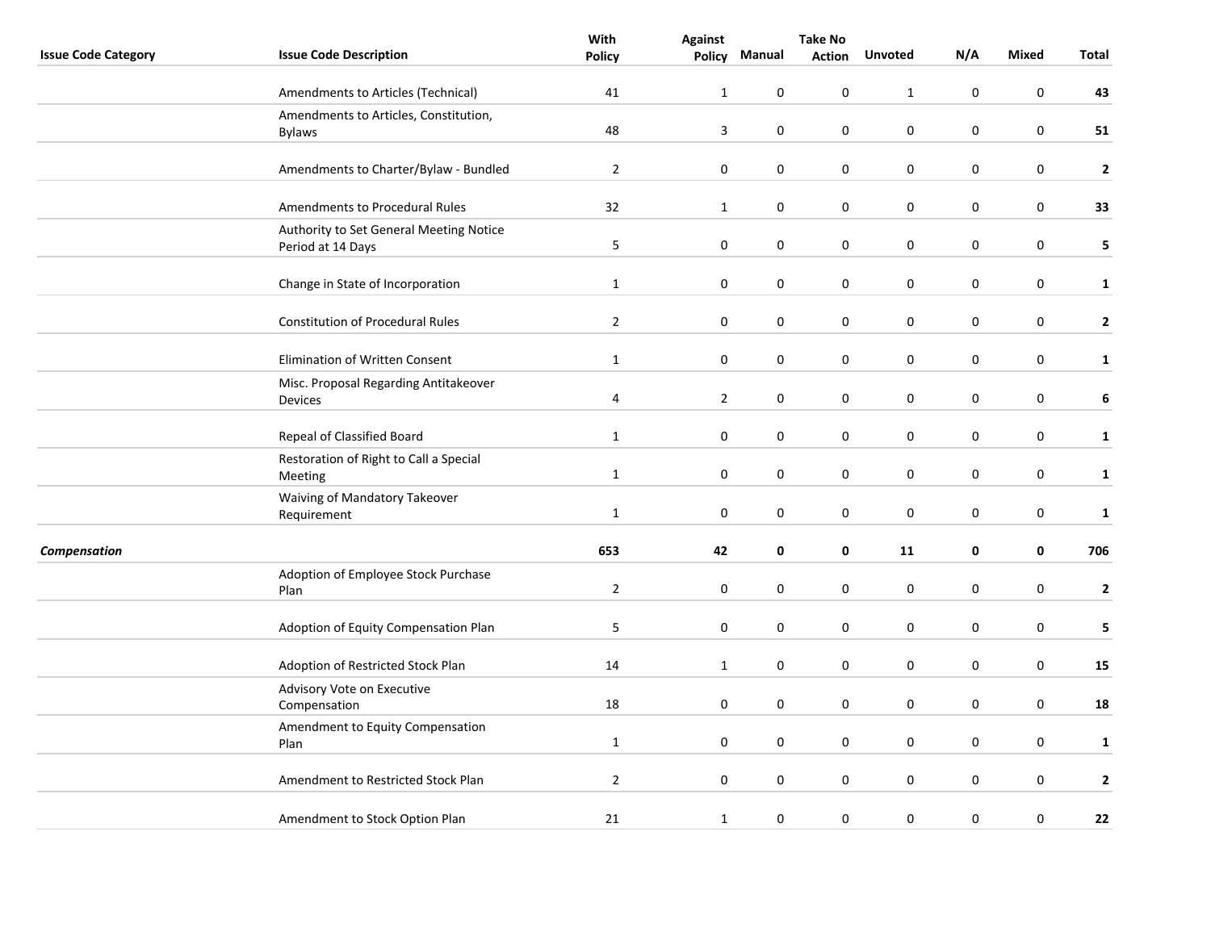|                            |                                                              | With           | <b>Against</b>   |                  | <b>Take No</b>   |                  |             |                  |              |
|----------------------------|--------------------------------------------------------------|----------------|------------------|------------------|------------------|------------------|-------------|------------------|--------------|
| <b>Issue Code Category</b> | <b>Issue Code Description</b>                                | <b>Policy</b>  | <b>Policy</b>    | Manual           | <b>Action</b>    | <b>Unvoted</b>   | N/A         | <b>Mixed</b>     | <b>Total</b> |
|                            | Amendments to Articles (Technical)                           | 41             | $\mathbf{1}$     | 0                | $\pmb{0}$        | $\mathbf{1}$     | $\pmb{0}$   | 0                | 43           |
|                            | Amendments to Articles, Constitution,<br><b>Bylaws</b>       | 48             | 3                | $\boldsymbol{0}$ | $\pmb{0}$        | $\pmb{0}$        | $\pmb{0}$   | $\boldsymbol{0}$ | 51           |
|                            | Amendments to Charter/Bylaw - Bundled                        | $\overline{2}$ | $\pmb{0}$        | $\boldsymbol{0}$ | $\pmb{0}$        | $\pmb{0}$        | $\pmb{0}$   | $\boldsymbol{0}$ | $\mathbf{2}$ |
|                            | Amendments to Procedural Rules                               | 32             | $\mathbf{1}$     | $\mathbf 0$      | 0                | 0                | 0           | 0                | 33           |
|                            | Authority to Set General Meeting Notice<br>Period at 14 Days | $\sqrt{5}$     | $\pmb{0}$        | 0                | $\boldsymbol{0}$ | 0                | $\mathbf 0$ | $\mathsf 0$      | 5            |
|                            | Change in State of Incorporation                             | $\mathbf{1}$   | $\pmb{0}$        | 0                | 0                | 0                | 0           | $\pmb{0}$        | $\mathbf{1}$ |
|                            | <b>Constitution of Procedural Rules</b>                      | $\overline{2}$ | $\pmb{0}$        | $\boldsymbol{0}$ | $\pmb{0}$        | $\pmb{0}$        | $\pmb{0}$   | $\boldsymbol{0}$ | $\mathbf{2}$ |
|                            | Elimination of Written Consent                               | $\mathbf{1}$   | $\pmb{0}$        | $\pmb{0}$        | $\pmb{0}$        | $\pmb{0}$        | $\pmb{0}$   | $\boldsymbol{0}$ | $\mathbf{1}$ |
|                            | Misc. Proposal Regarding Antitakeover<br>Devices             | 4              | $\overline{2}$   | $\mathbf 0$      | 0                | 0                | $\pmb{0}$   | $\mathbf 0$      | 6            |
|                            | Repeal of Classified Board                                   | $\mathbf 1$    | $\pmb{0}$        | $\pmb{0}$        | $\pmb{0}$        | $\pmb{0}$        | $\pmb{0}$   | $\boldsymbol{0}$ | $\mathbf{1}$ |
|                            | Restoration of Right to Call a Special<br>Meeting            | $\mathbf{1}$   | $\pmb{0}$        | 0                | $\pmb{0}$        | $\pmb{0}$        | $\pmb{0}$   | $\pmb{0}$        | $\mathbf{1}$ |
|                            | Waiving of Mandatory Takeover<br>Requirement                 | $\mathbf{1}$   | $\pmb{0}$        | $\boldsymbol{0}$ | $\pmb{0}$        | $\pmb{0}$        | $\pmb{0}$   | $\pmb{0}$        | $\mathbf 1$  |
| <b>Compensation</b>        |                                                              | 653            | 42               | 0                | $\pmb{0}$        | 11               | 0           | 0                | 706          |
|                            | Adoption of Employee Stock Purchase<br>Plan                  | $\overline{2}$ | $\pmb{0}$        | 0                | $\pmb{0}$        | 0                | $\pmb{0}$   | $\pmb{0}$        | $\mathbf{2}$ |
|                            | Adoption of Equity Compensation Plan                         | $\mathsf S$    | $\pmb{0}$        | $\boldsymbol{0}$ | $\pmb{0}$        | $\pmb{0}$        | $\pmb{0}$   | $\boldsymbol{0}$ | 5            |
|                            | Adoption of Restricted Stock Plan                            | 14             | $\mathbf{1}$     | $\boldsymbol{0}$ | $\pmb{0}$        | $\pmb{0}$        | $\pmb{0}$   | $\pmb{0}$        | 15           |
|                            | Advisory Vote on Executive<br>Compensation                   | 18             | $\pmb{0}$        | 0                | $\pmb{0}$        | $\pmb{0}$        | $\pmb{0}$   | $\mathsf 0$      | 18           |
|                            | Amendment to Equity Compensation<br>Plan                     | $\mathbf{1}$   | $\boldsymbol{0}$ | 0                | $\pmb{0}$        | 0                | 0           | $\pmb{0}$        | $\mathbf{1}$ |
|                            | Amendment to Restricted Stock Plan                           | $\mathbf 2$    | $\boldsymbol{0}$ | 0                | 0                | 0                | 0           | $\pmb{0}$        | $\mathbf{2}$ |
|                            | Amendment to Stock Option Plan                               | 21             | $\mathbf{1}$     | $\boldsymbol{0}$ | 0                | $\boldsymbol{0}$ | $\pmb{0}$   | $\pmb{0}$        | 22           |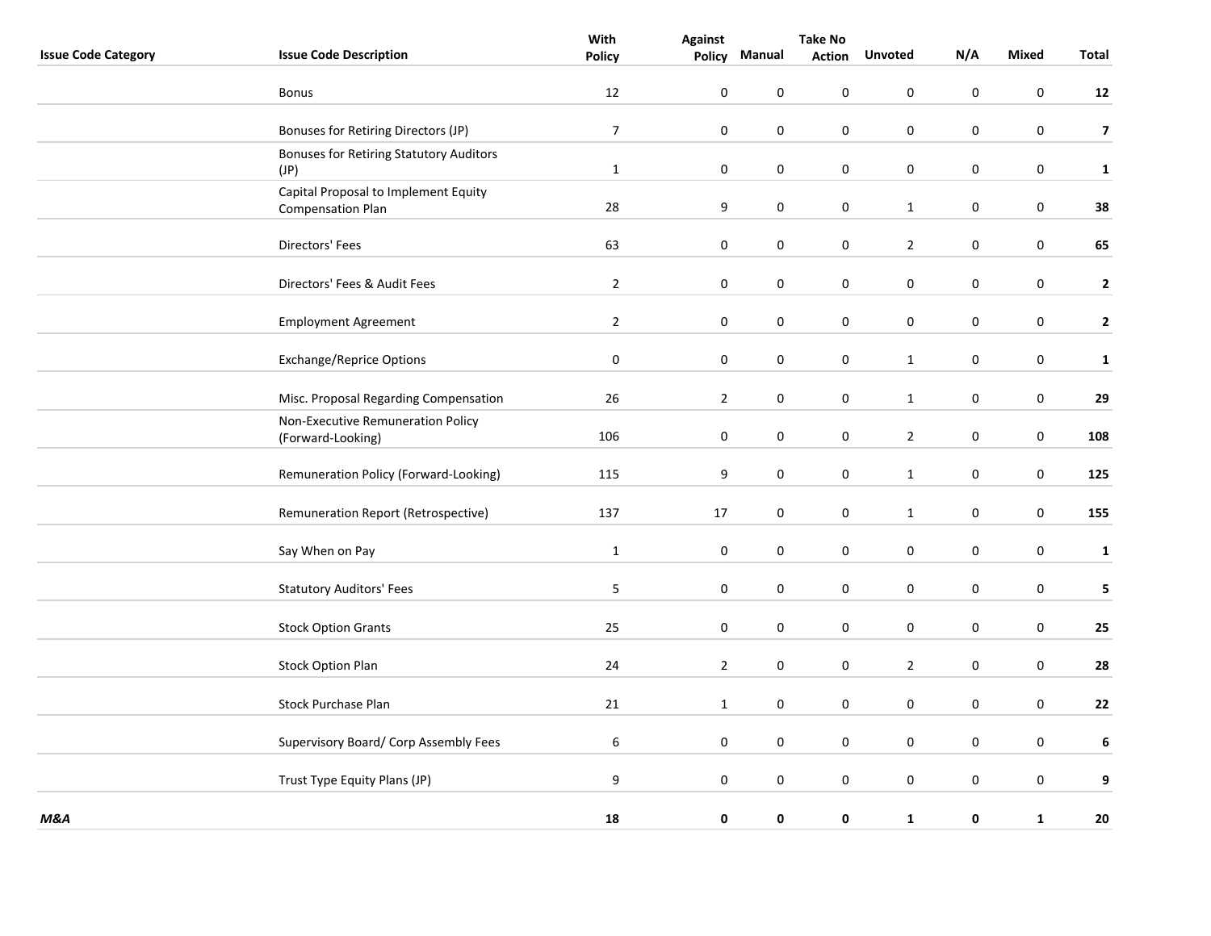|                            |                                                                  | With             |                | <b>Take No</b>   |                  |                  |                  |              |                         |
|----------------------------|------------------------------------------------------------------|------------------|----------------|------------------|------------------|------------------|------------------|--------------|-------------------------|
| <b>Issue Code Category</b> | <b>Issue Code Description</b>                                    | <b>Policy</b>    | Policy         | Manual           | <b>Action</b>    | <b>Unvoted</b>   | N/A              | <b>Mixed</b> | Total                   |
|                            | Bonus                                                            | 12               | $\pmb{0}$      | $\pmb{0}$        | $\pmb{0}$        | $\boldsymbol{0}$ | $\pmb{0}$        | $\pmb{0}$    | $12$                    |
|                            | Bonuses for Retiring Directors (JP)                              | $\overline{7}$   | $\pmb{0}$      | $\boldsymbol{0}$ | $\pmb{0}$        | $\boldsymbol{0}$ | $\boldsymbol{0}$ | $\bf{0}$     | $\overline{\mathbf{z}}$ |
|                            | <b>Bonuses for Retiring Statutory Auditors</b><br>(JP)           | $\mathbf{1}$     | $\pmb{0}$      | $\mathbf 0$      | $\pmb{0}$        | $\mathbf 0$      | $\mathbf 0$      | $\mathbf 0$  | $\mathbf{1}$            |
|                            | Capital Proposal to Implement Equity<br><b>Compensation Plan</b> | 28               | 9              | $\boldsymbol{0}$ | $\boldsymbol{0}$ | $\mathbf{1}$     | $\pmb{0}$        | $\pmb{0}$    | 38                      |
|                            | Directors' Fees                                                  | 63               | $\pmb{0}$      | $\pmb{0}$        | $\pmb{0}$        | $\overline{2}$   | $\pmb{0}$        | $\pmb{0}$    | 65                      |
|                            | Directors' Fees & Audit Fees                                     | $\overline{2}$   | $\pmb{0}$      | $\boldsymbol{0}$ | $\pmb{0}$        | $\boldsymbol{0}$ | 0                | $\bf{0}$     | $\overline{2}$          |
|                            | <b>Employment Agreement</b>                                      | $\overline{2}$   | $\pmb{0}$      | $\pmb{0}$        | $\pmb{0}$        | $\pmb{0}$        | $\pmb{0}$        | $\pmb{0}$    | $\overline{2}$          |
|                            | <b>Exchange/Reprice Options</b>                                  | $\pmb{0}$        | $\pmb{0}$      | $\boldsymbol{0}$ | $\pmb{0}$        | $\mathbf{1}$     | 0                | $\pmb{0}$    | $\mathbf 1$             |
|                            | Misc. Proposal Regarding Compensation                            | 26               | $\overline{2}$ | $\pmb{0}$        | $\pmb{0}$        | $\mathbf 1$      | $\pmb{0}$        | $\pmb{0}$    | 29                      |
|                            | Non-Executive Remuneration Policy<br>(Forward-Looking)           | 106              | 0              | $\boldsymbol{0}$ | $\mathbf 0$      | $\overline{2}$   | $\mathbf 0$      | $\bf{0}$     | 108                     |
|                            | Remuneration Policy (Forward-Looking)                            | 115              | 9              | $\mathbf 0$      | 0                | $\mathbf{1}$     | $\mathbf 0$      | $\mathbf 0$  | 125                     |
|                            | Remuneration Report (Retrospective)                              | 137              | 17             | $\pmb{0}$        | $\pmb{0}$        | $\mathbf{1}$     | $\pmb{0}$        | $\pmb{0}$    | 155                     |
|                            | Say When on Pay                                                  | $\mathbf{1}$     | 0              | $\boldsymbol{0}$ | $\pmb{0}$        | $\pmb{0}$        | 0                | $\pmb{0}$    | 1                       |
|                            | <b>Statutory Auditors' Fees</b>                                  | $\mathsf S$      | 0              | $\boldsymbol{0}$ | $\pmb{0}$        | $\boldsymbol{0}$ | $\pmb{0}$        | $\bf{0}$     | 5                       |
|                            | <b>Stock Option Grants</b>                                       | 25               | $\pmb{0}$      | $\pmb{0}$        | $\mathbf 0$      | $\pmb{0}$        | $\pmb{0}$        | $\pmb{0}$    | 25                      |
|                            | <b>Stock Option Plan</b>                                         | 24               | $\overline{2}$ | $\boldsymbol{0}$ | 0                | $\overline{2}$   | 0                | $\pmb{0}$    | 28                      |
|                            | <b>Stock Purchase Plan</b>                                       | 21               | $\mathbf 1$    | $\pmb{0}$        | $\pmb{0}$        | $\pmb{0}$        | $\pmb{0}$        | $\pmb{0}$    | 22                      |
|                            | Supervisory Board/ Corp Assembly Fees                            | $\boldsymbol{6}$ | $\pmb{0}$      | $\pmb{0}$        | $\pmb{0}$        | $\pmb{0}$        | $\pmb{0}$        | $\pmb{0}$    | $\boldsymbol{6}$        |
|                            | Trust Type Equity Plans (JP)                                     | 9                | 0              | $\boldsymbol{0}$ | $\boldsymbol{0}$ | $\boldsymbol{0}$ | $\pmb{0}$        | $\pmb{0}$    | 9                       |
| M&A                        |                                                                  | 18               | 0              | 0                | 0                | $\mathbf{1}$     | $\pmb{0}$        | $\mathbf{1}$ | 20                      |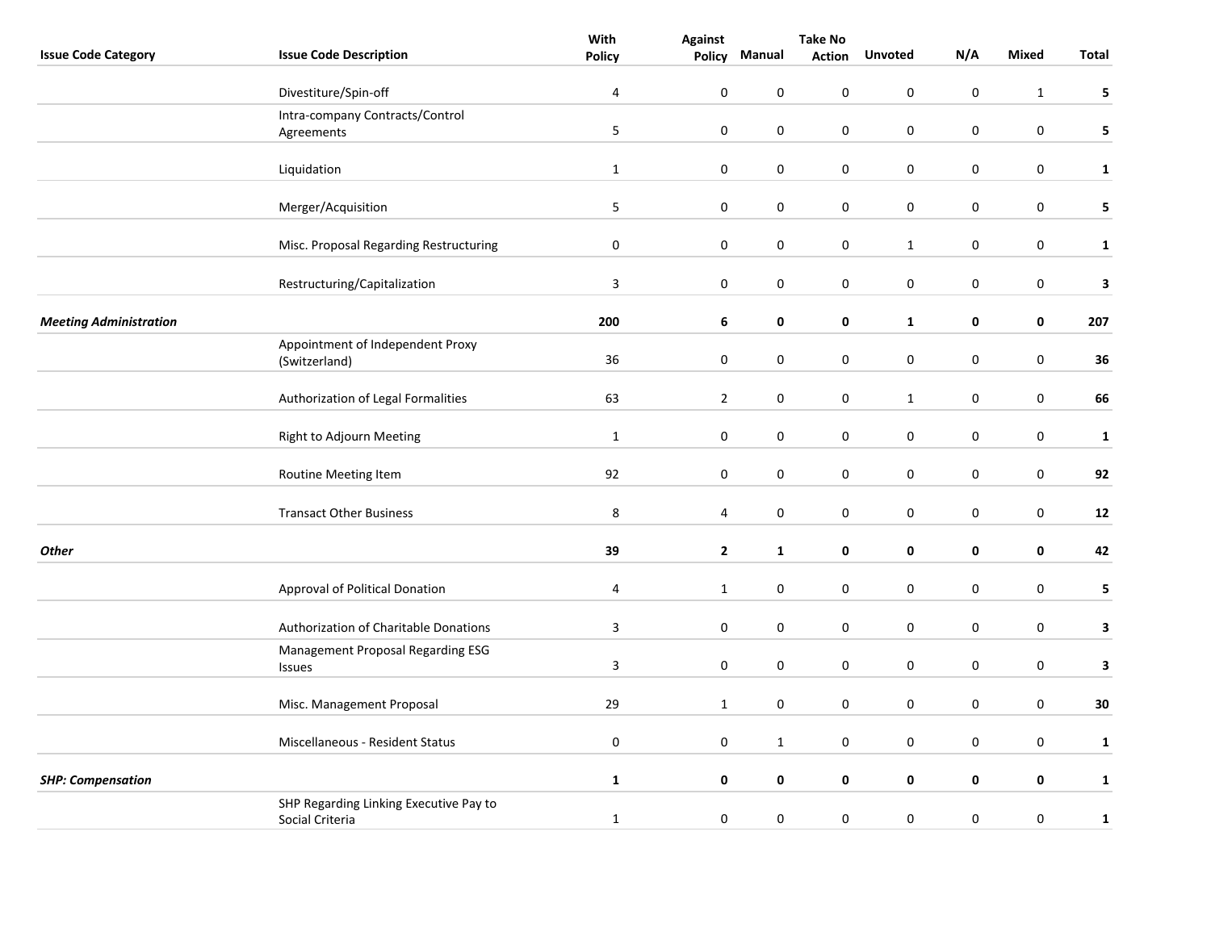| <b>Issue Code Description</b><br><b>Mixed</b><br><b>Total</b><br><b>Policy</b><br>Policy<br>Manual<br><b>Action</b><br><b>Unvoted</b><br>$\mathbf 0$<br>Divestiture/Spin-off<br>$\overline{4}$<br>0<br>$\mathbf 0$<br>0<br>$\pmb{0}$<br>$\mathbf 1$<br>Intra-company Contracts/Control<br>5<br>$\pmb{0}$<br>$\boldsymbol{0}$<br>0<br>0<br>0<br>$\pmb{0}$<br>Agreements<br>Liquidation<br>$\mathbf{1}$<br>$\pmb{0}$<br>$\mathbf 0$<br>$\pmb{0}$<br>0<br>$\mathbf 0$<br>$\pmb{0}$<br>$\mathsf S$<br>$\pmb{0}$<br>$\pmb{0}$<br>$\pmb{0}$<br>$\pmb{0}$<br>$\boldsymbol{0}$<br>Merger/Acquisition<br>$\boldsymbol{0}$<br>$\pmb{0}$<br>$\pmb{0}$<br>$\pmb{0}$<br>$\pmb{0}$<br>$\pmb{0}$<br>$\boldsymbol{0}$<br>Misc. Proposal Regarding Restructuring<br>$\mathbf 1$<br>Restructuring/Capitalization<br>$\overline{3}$<br>0<br>0<br>0<br>0<br>0<br>$\pmb{0}$<br>200<br>$\bf 6$<br>0<br>$\pmb{0}$<br>207<br><b>Meeting Administration</b><br>0<br>$\mathbf{1}$<br>0<br>Appointment of Independent Proxy<br>$\pmb{0}$<br>36<br>$\pmb{0}$<br>$\boldsymbol{0}$<br>$\pmb{0}$<br>$\pmb{0}$<br>$\pmb{0}$<br>36<br>(Switzerland)<br>Authorization of Legal Formalities<br>63<br>$\overline{2}$<br>$\pmb{0}$<br>$\pmb{0}$<br>$\pmb{0}$<br>$\boldsymbol{0}$<br>$\mathbf 1$<br>$\pmb{0}$<br>$\pmb{0}$<br>$\pmb{0}$<br>$\mathbf{1}$<br>0<br>0<br>0<br>Right to Adjourn Meeting<br>92<br>0<br>0<br>0<br>0<br>0<br>0<br>Routine Meeting Item<br>92<br>8<br>$\pmb{0}$<br>$\pmb{0}$<br>$\pmb{0}$<br>$\pmb{0}$<br><b>Transact Other Business</b><br>$\overline{4}$<br>$\pmb{0}$<br>12<br>39<br>$\pmb{0}$<br><b>Other</b><br>$\overline{2}$<br>0<br>0<br>0<br>42<br>$\mathbf{1}$<br>Approval of Political Donation<br>$\sqrt{4}$<br>$\mathbf{1}$<br>$\pmb{0}$<br>0<br>0<br>0<br>$\pmb{0}$<br>$\mathsf 3$<br>$\mathbf 0$<br>$\pmb{0}$<br>$\pmb{0}$<br>$\pmb{0}$<br>$\pmb{0}$<br>$\pmb{0}$<br>Authorization of Charitable Donations<br>Management Proposal Regarding ESG<br>$\overline{3}$<br>$\pmb{0}$<br>$\pmb{0}$<br>$\boldsymbol{0}$<br>$\pmb{0}$<br>$\pmb{0}$<br>0<br>Issues<br>29<br>$\boldsymbol{0}$<br>$\pmb{0}$<br>$\pmb{0}$<br>$\pmb{0}$<br>$\pmb{0}$<br>30<br>Misc. Management Proposal<br>$\mathbf{1}$<br>$\pmb{0}$<br>$\pmb{0}$<br>$\pmb{0}$<br>$\pmb{0}$<br>$\pmb{0}$<br>$\boldsymbol{0}$<br>Miscellaneous - Resident Status<br>$\mathbf{1}$<br>$\mathbf 0$<br>0<br>0<br>0<br>0<br>$\pmb{0}$<br><b>SHP: Compensation</b><br>$\mathbf{1}$<br>$\mathbf{1}$<br>SHP Regarding Linking Executive Pay to<br>$\pmb{0}$<br>$\pmb{0}$<br>$\pmb{0}$<br>$\pmb{0}$<br>$\mathbf{1}$<br>$\mathbf 0$<br>$\mathbf 0$<br>$\mathbf 1$<br>Social Criteria |                            | With | <b>Take No</b> |  |  |     |  |              |
|----------------------------------------------------------------------------------------------------------------------------------------------------------------------------------------------------------------------------------------------------------------------------------------------------------------------------------------------------------------------------------------------------------------------------------------------------------------------------------------------------------------------------------------------------------------------------------------------------------------------------------------------------------------------------------------------------------------------------------------------------------------------------------------------------------------------------------------------------------------------------------------------------------------------------------------------------------------------------------------------------------------------------------------------------------------------------------------------------------------------------------------------------------------------------------------------------------------------------------------------------------------------------------------------------------------------------------------------------------------------------------------------------------------------------------------------------------------------------------------------------------------------------------------------------------------------------------------------------------------------------------------------------------------------------------------------------------------------------------------------------------------------------------------------------------------------------------------------------------------------------------------------------------------------------------------------------------------------------------------------------------------------------------------------------------------------------------------------------------------------------------------------------------------------------------------------------------------------------------------------------------------------------------------------------------------------------------------------------------------------------------------------------------------------------------------------------------------------------------------------------------------------------------------------------------------------------------------------------------------------------|----------------------------|------|----------------|--|--|-----|--|--------------|
|                                                                                                                                                                                                                                                                                                                                                                                                                                                                                                                                                                                                                                                                                                                                                                                                                                                                                                                                                                                                                                                                                                                                                                                                                                                                                                                                                                                                                                                                                                                                                                                                                                                                                                                                                                                                                                                                                                                                                                                                                                                                                                                                                                                                                                                                                                                                                                                                                                                                                                                                                                                                                            | <b>Issue Code Category</b> |      |                |  |  | N/A |  |              |
|                                                                                                                                                                                                                                                                                                                                                                                                                                                                                                                                                                                                                                                                                                                                                                                                                                                                                                                                                                                                                                                                                                                                                                                                                                                                                                                                                                                                                                                                                                                                                                                                                                                                                                                                                                                                                                                                                                                                                                                                                                                                                                                                                                                                                                                                                                                                                                                                                                                                                                                                                                                                                            |                            |      |                |  |  |     |  | 5            |
|                                                                                                                                                                                                                                                                                                                                                                                                                                                                                                                                                                                                                                                                                                                                                                                                                                                                                                                                                                                                                                                                                                                                                                                                                                                                                                                                                                                                                                                                                                                                                                                                                                                                                                                                                                                                                                                                                                                                                                                                                                                                                                                                                                                                                                                                                                                                                                                                                                                                                                                                                                                                                            |                            |      |                |  |  |     |  |              |
|                                                                                                                                                                                                                                                                                                                                                                                                                                                                                                                                                                                                                                                                                                                                                                                                                                                                                                                                                                                                                                                                                                                                                                                                                                                                                                                                                                                                                                                                                                                                                                                                                                                                                                                                                                                                                                                                                                                                                                                                                                                                                                                                                                                                                                                                                                                                                                                                                                                                                                                                                                                                                            |                            |      |                |  |  |     |  | 5            |
|                                                                                                                                                                                                                                                                                                                                                                                                                                                                                                                                                                                                                                                                                                                                                                                                                                                                                                                                                                                                                                                                                                                                                                                                                                                                                                                                                                                                                                                                                                                                                                                                                                                                                                                                                                                                                                                                                                                                                                                                                                                                                                                                                                                                                                                                                                                                                                                                                                                                                                                                                                                                                            |                            |      |                |  |  |     |  |              |
|                                                                                                                                                                                                                                                                                                                                                                                                                                                                                                                                                                                                                                                                                                                                                                                                                                                                                                                                                                                                                                                                                                                                                                                                                                                                                                                                                                                                                                                                                                                                                                                                                                                                                                                                                                                                                                                                                                                                                                                                                                                                                                                                                                                                                                                                                                                                                                                                                                                                                                                                                                                                                            |                            |      |                |  |  |     |  | $\mathbf{1}$ |
|                                                                                                                                                                                                                                                                                                                                                                                                                                                                                                                                                                                                                                                                                                                                                                                                                                                                                                                                                                                                                                                                                                                                                                                                                                                                                                                                                                                                                                                                                                                                                                                                                                                                                                                                                                                                                                                                                                                                                                                                                                                                                                                                                                                                                                                                                                                                                                                                                                                                                                                                                                                                                            |                            |      |                |  |  |     |  | 5            |
|                                                                                                                                                                                                                                                                                                                                                                                                                                                                                                                                                                                                                                                                                                                                                                                                                                                                                                                                                                                                                                                                                                                                                                                                                                                                                                                                                                                                                                                                                                                                                                                                                                                                                                                                                                                                                                                                                                                                                                                                                                                                                                                                                                                                                                                                                                                                                                                                                                                                                                                                                                                                                            |                            |      |                |  |  |     |  | $\mathbf{1}$ |
|                                                                                                                                                                                                                                                                                                                                                                                                                                                                                                                                                                                                                                                                                                                                                                                                                                                                                                                                                                                                                                                                                                                                                                                                                                                                                                                                                                                                                                                                                                                                                                                                                                                                                                                                                                                                                                                                                                                                                                                                                                                                                                                                                                                                                                                                                                                                                                                                                                                                                                                                                                                                                            |                            |      |                |  |  |     |  | $\mathbf{3}$ |
|                                                                                                                                                                                                                                                                                                                                                                                                                                                                                                                                                                                                                                                                                                                                                                                                                                                                                                                                                                                                                                                                                                                                                                                                                                                                                                                                                                                                                                                                                                                                                                                                                                                                                                                                                                                                                                                                                                                                                                                                                                                                                                                                                                                                                                                                                                                                                                                                                                                                                                                                                                                                                            |                            |      |                |  |  |     |  |              |
|                                                                                                                                                                                                                                                                                                                                                                                                                                                                                                                                                                                                                                                                                                                                                                                                                                                                                                                                                                                                                                                                                                                                                                                                                                                                                                                                                                                                                                                                                                                                                                                                                                                                                                                                                                                                                                                                                                                                                                                                                                                                                                                                                                                                                                                                                                                                                                                                                                                                                                                                                                                                                            |                            |      |                |  |  |     |  |              |
|                                                                                                                                                                                                                                                                                                                                                                                                                                                                                                                                                                                                                                                                                                                                                                                                                                                                                                                                                                                                                                                                                                                                                                                                                                                                                                                                                                                                                                                                                                                                                                                                                                                                                                                                                                                                                                                                                                                                                                                                                                                                                                                                                                                                                                                                                                                                                                                                                                                                                                                                                                                                                            |                            |      |                |  |  |     |  |              |
|                                                                                                                                                                                                                                                                                                                                                                                                                                                                                                                                                                                                                                                                                                                                                                                                                                                                                                                                                                                                                                                                                                                                                                                                                                                                                                                                                                                                                                                                                                                                                                                                                                                                                                                                                                                                                                                                                                                                                                                                                                                                                                                                                                                                                                                                                                                                                                                                                                                                                                                                                                                                                            |                            |      |                |  |  |     |  | 66           |
|                                                                                                                                                                                                                                                                                                                                                                                                                                                                                                                                                                                                                                                                                                                                                                                                                                                                                                                                                                                                                                                                                                                                                                                                                                                                                                                                                                                                                                                                                                                                                                                                                                                                                                                                                                                                                                                                                                                                                                                                                                                                                                                                                                                                                                                                                                                                                                                                                                                                                                                                                                                                                            |                            |      |                |  |  |     |  | $\mathbf{1}$ |
|                                                                                                                                                                                                                                                                                                                                                                                                                                                                                                                                                                                                                                                                                                                                                                                                                                                                                                                                                                                                                                                                                                                                                                                                                                                                                                                                                                                                                                                                                                                                                                                                                                                                                                                                                                                                                                                                                                                                                                                                                                                                                                                                                                                                                                                                                                                                                                                                                                                                                                                                                                                                                            |                            |      |                |  |  |     |  |              |
|                                                                                                                                                                                                                                                                                                                                                                                                                                                                                                                                                                                                                                                                                                                                                                                                                                                                                                                                                                                                                                                                                                                                                                                                                                                                                                                                                                                                                                                                                                                                                                                                                                                                                                                                                                                                                                                                                                                                                                                                                                                                                                                                                                                                                                                                                                                                                                                                                                                                                                                                                                                                                            |                            |      |                |  |  |     |  |              |
|                                                                                                                                                                                                                                                                                                                                                                                                                                                                                                                                                                                                                                                                                                                                                                                                                                                                                                                                                                                                                                                                                                                                                                                                                                                                                                                                                                                                                                                                                                                                                                                                                                                                                                                                                                                                                                                                                                                                                                                                                                                                                                                                                                                                                                                                                                                                                                                                                                                                                                                                                                                                                            |                            |      |                |  |  |     |  |              |
|                                                                                                                                                                                                                                                                                                                                                                                                                                                                                                                                                                                                                                                                                                                                                                                                                                                                                                                                                                                                                                                                                                                                                                                                                                                                                                                                                                                                                                                                                                                                                                                                                                                                                                                                                                                                                                                                                                                                                                                                                                                                                                                                                                                                                                                                                                                                                                                                                                                                                                                                                                                                                            |                            |      |                |  |  |     |  | 5            |
|                                                                                                                                                                                                                                                                                                                                                                                                                                                                                                                                                                                                                                                                                                                                                                                                                                                                                                                                                                                                                                                                                                                                                                                                                                                                                                                                                                                                                                                                                                                                                                                                                                                                                                                                                                                                                                                                                                                                                                                                                                                                                                                                                                                                                                                                                                                                                                                                                                                                                                                                                                                                                            |                            |      |                |  |  |     |  | $\mathbf{3}$ |
|                                                                                                                                                                                                                                                                                                                                                                                                                                                                                                                                                                                                                                                                                                                                                                                                                                                                                                                                                                                                                                                                                                                                                                                                                                                                                                                                                                                                                                                                                                                                                                                                                                                                                                                                                                                                                                                                                                                                                                                                                                                                                                                                                                                                                                                                                                                                                                                                                                                                                                                                                                                                                            |                            |      |                |  |  |     |  | $\mathbf{3}$ |
|                                                                                                                                                                                                                                                                                                                                                                                                                                                                                                                                                                                                                                                                                                                                                                                                                                                                                                                                                                                                                                                                                                                                                                                                                                                                                                                                                                                                                                                                                                                                                                                                                                                                                                                                                                                                                                                                                                                                                                                                                                                                                                                                                                                                                                                                                                                                                                                                                                                                                                                                                                                                                            |                            |      |                |  |  |     |  |              |
|                                                                                                                                                                                                                                                                                                                                                                                                                                                                                                                                                                                                                                                                                                                                                                                                                                                                                                                                                                                                                                                                                                                                                                                                                                                                                                                                                                                                                                                                                                                                                                                                                                                                                                                                                                                                                                                                                                                                                                                                                                                                                                                                                                                                                                                                                                                                                                                                                                                                                                                                                                                                                            |                            |      |                |  |  |     |  | $\mathbf{1}$ |
|                                                                                                                                                                                                                                                                                                                                                                                                                                                                                                                                                                                                                                                                                                                                                                                                                                                                                                                                                                                                                                                                                                                                                                                                                                                                                                                                                                                                                                                                                                                                                                                                                                                                                                                                                                                                                                                                                                                                                                                                                                                                                                                                                                                                                                                                                                                                                                                                                                                                                                                                                                                                                            |                            |      |                |  |  |     |  |              |
|                                                                                                                                                                                                                                                                                                                                                                                                                                                                                                                                                                                                                                                                                                                                                                                                                                                                                                                                                                                                                                                                                                                                                                                                                                                                                                                                                                                                                                                                                                                                                                                                                                                                                                                                                                                                                                                                                                                                                                                                                                                                                                                                                                                                                                                                                                                                                                                                                                                                                                                                                                                                                            |                            |      |                |  |  |     |  |              |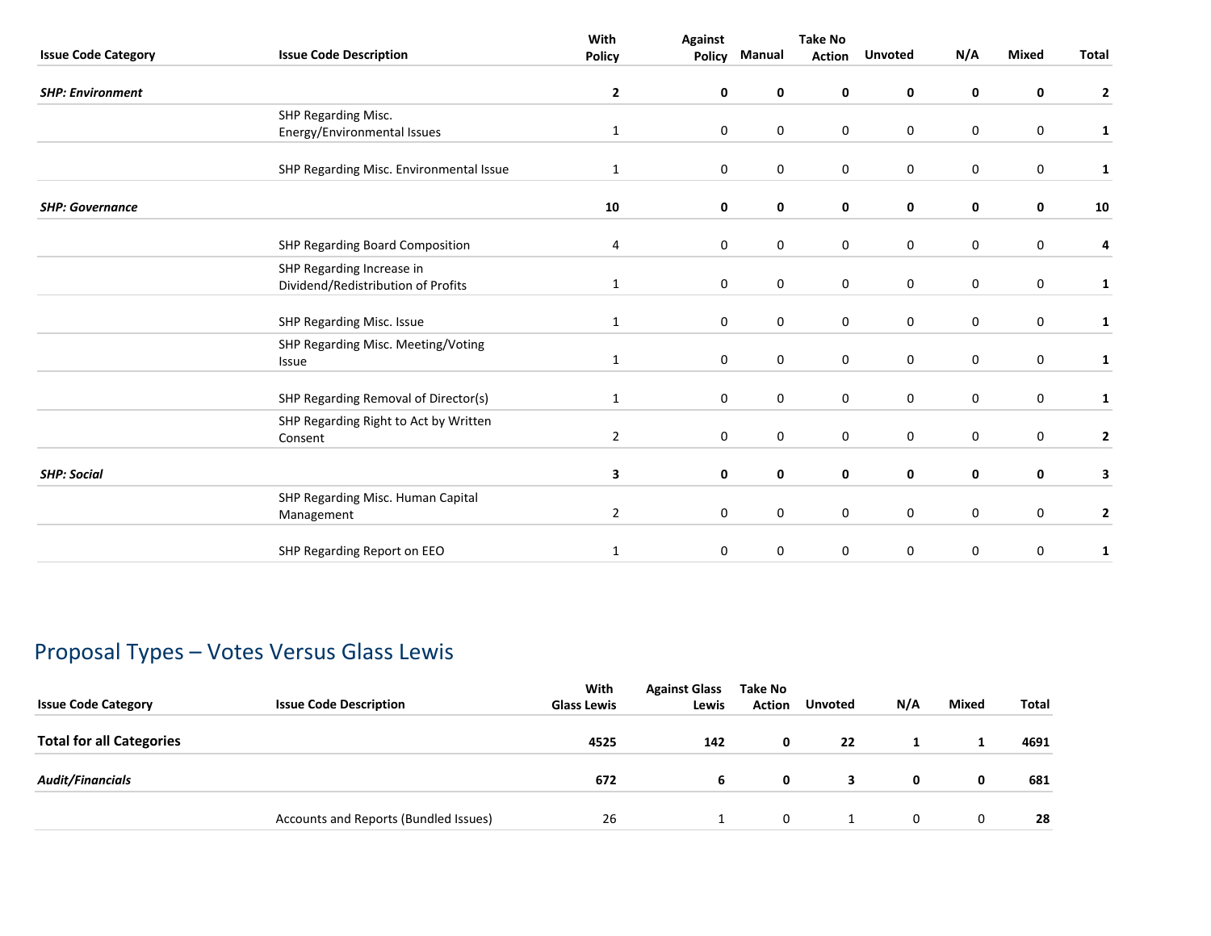|                            |                                                                 | With<br><b>Against</b> |               |             | Take No       |                  |              |              |                         |
|----------------------------|-----------------------------------------------------------------|------------------------|---------------|-------------|---------------|------------------|--------------|--------------|-------------------------|
| <b>Issue Code Category</b> | <b>Issue Code Description</b>                                   | <b>Policy</b>          | <b>Policy</b> | Manual      | <b>Action</b> | <b>Unvoted</b>   | N/A          | <b>Mixed</b> | Total                   |
| <b>SHP: Environment</b>    |                                                                 | $\mathbf{2}$           | 0             | 0           | 0             | 0                | 0            | 0            | $\overline{2}$          |
|                            | SHP Regarding Misc.                                             |                        |               |             |               |                  |              |              |                         |
|                            | Energy/Environmental Issues                                     | $\mathbf{1}$           | 0             | $\mathbf 0$ | 0             | $\mathbf 0$      | 0            | $\mathbf 0$  | 1                       |
|                            | SHP Regarding Misc. Environmental Issue                         | $\mathbf{1}$           | 0             | $\mathbf 0$ | $\mathbf 0$   | $\mathbf 0$      | 0            | $\mathbf 0$  | 1                       |
| <b>SHP: Governance</b>     |                                                                 | 10                     | 0             | $\mathbf 0$ | 0             | $\mathbf 0$      | 0            | 0            | 10                      |
|                            | SHP Regarding Board Composition                                 | 4                      | 0             | 0           | 0             | $\boldsymbol{0}$ | 0            | $\bf{0}$     | 4                       |
|                            | SHP Regarding Increase in<br>Dividend/Redistribution of Profits | $\mathbf{1}$           | 0             | $\mathbf 0$ | 0             | $\mathbf 0$      | $\mathbf{0}$ | $\mathbf 0$  | 1                       |
|                            | SHP Regarding Misc. Issue                                       | 1                      | 0             | $\mathbf 0$ | 0             | $\mathbf 0$      | $\mathbf 0$  | $\mathbf 0$  | 1                       |
|                            | SHP Regarding Misc. Meeting/Voting<br>Issue                     | $\mathbf{1}$           | 0             | 0           | $\mathbf 0$   | $\pmb{0}$        | $\mathbf 0$  | $\mathbf 0$  | $\mathbf{1}$            |
|                            | SHP Regarding Removal of Director(s)                            | $\mathbf{1}$           | 0             | $\mathbf 0$ | 0             | $\mathbf 0$      | $\mathbf 0$  | $\mathbf 0$  | 1                       |
|                            | SHP Regarding Right to Act by Written<br>Consent                | $\overline{2}$         | 0             | $\mathbf 0$ | $\mathbf 0$   | $\mathbf 0$      | 0            | $\mathbf 0$  | $\overline{\mathbf{2}}$ |
| <b>SHP: Social</b>         |                                                                 | 3                      | 0             | 0           | 0             | $\mathbf 0$      | 0            | 0            | 3                       |
|                            | SHP Regarding Misc. Human Capital<br>Management                 | $\overline{2}$         | 0             | $\mathbf 0$ | 0             | $\mathbf 0$      | 0            | 0            | $\mathbf{2}$            |
|                            | SHP Regarding Report on EEO                                     | 1                      | $\mathbf 0$   | 0           | 0             | 0                | 0            | 0            | $\mathbf{1}$            |
|                            |                                                                 |                        |               |             |               |                  |              |              |                         |

# Proposal Types – Votes Versus Glass Lewis

| <b>Issue Code Category</b>      | <b>Issue Code Description</b>         | With<br><b>Glass Lewis</b> | <b>Against Glass</b><br>Lewis | Take No<br><b>Action</b> | <b>Unvoted</b> | N/A | <b>Mixed</b> | <b>Total</b> |
|---------------------------------|---------------------------------------|----------------------------|-------------------------------|--------------------------|----------------|-----|--------------|--------------|
| <b>Total for all Categories</b> |                                       | 4525                       | 142                           | 0                        | 22             |     |              | 4691         |
| <b>Audit/Financials</b>         |                                       | 672                        | 6                             | 0                        | 3              | 0   | 0            | 681          |
|                                 | Accounts and Reports (Bundled Issues) | 26                         |                               | 0                        |                | 0   | $\mathbf{0}$ | 28           |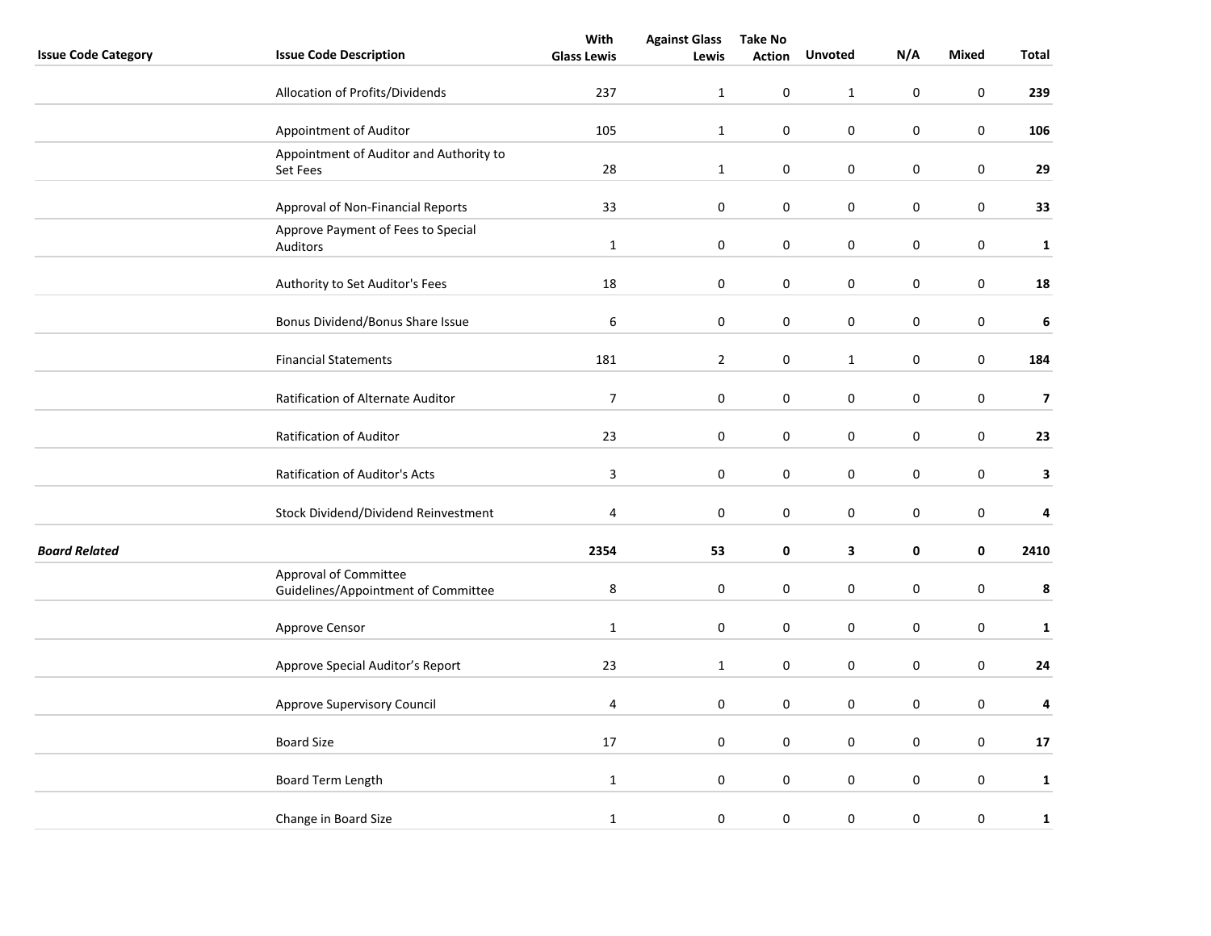|                            |                                                              | With               | <b>Against Glass</b> | <b>Take No</b> |                |             |                  |                         |
|----------------------------|--------------------------------------------------------------|--------------------|----------------------|----------------|----------------|-------------|------------------|-------------------------|
| <b>Issue Code Category</b> | <b>Issue Code Description</b>                                | <b>Glass Lewis</b> | Lewis                | <b>Action</b>  | <b>Unvoted</b> | N/A         | <b>Mixed</b>     | Total                   |
|                            | Allocation of Profits/Dividends                              | 237                | $\mathbf{1}$         | $\pmb{0}$      | $\mathbf{1}$   | $\pmb{0}$   | $\pmb{0}$        | 239                     |
|                            | Appointment of Auditor                                       | 105                | $\mathbf{1}$         | $\pmb{0}$      | $\pmb{0}$      | $\pmb{0}$   | $\pmb{0}$        | 106                     |
|                            | Appointment of Auditor and Authority to<br>Set Fees          | 28                 | $\mathbf{1}$         | $\pmb{0}$      | $\pmb{0}$      | $\pmb{0}$   | $\pmb{0}$        | 29                      |
|                            | Approval of Non-Financial Reports                            | 33                 | $\pmb{0}$            | 0              | $\mathbf 0$    | $\pmb{0}$   | $\pmb{0}$        | 33                      |
|                            | Approve Payment of Fees to Special<br>Auditors               | $\mathbf{1}$       | $\boldsymbol{0}$     | $\pmb{0}$      | $\pmb{0}$      | $\pmb{0}$   | $\pmb{0}$        | $\mathbf 1$             |
|                            | Authority to Set Auditor's Fees                              | 18                 | 0                    | 0              | 0              | 0           | $\pmb{0}$        | ${\bf 18}$              |
|                            | Bonus Dividend/Bonus Share Issue                             | 6                  | $\boldsymbol{0}$     | $\pmb{0}$      | $\pmb{0}$      | $\pmb{0}$   | $\pmb{0}$        | $\bf 6$                 |
|                            | <b>Financial Statements</b>                                  | 181                | $\overline{2}$       | $\pmb{0}$      | $\mathbf{1}$   | $\pmb{0}$   | $\boldsymbol{0}$ | 184                     |
|                            | Ratification of Alternate Auditor                            | $\boldsymbol{7}$   | $\pmb{0}$            | 0              | 0              | 0           | $\pmb{0}$        | $\overline{\mathbf{z}}$ |
|                            | Ratification of Auditor                                      | 23                 | $\boldsymbol{0}$     | $\pmb{0}$      | $\pmb{0}$      | $\pmb{0}$   | $\pmb{0}$        | 23                      |
|                            | Ratification of Auditor's Acts                               | 3                  | 0                    | 0              | 0              | $\mathbf 0$ | $\boldsymbol{0}$ | 3                       |
|                            | Stock Dividend/Dividend Reinvestment                         | 4                  | 0                    | 0              | 0              | 0           | $\pmb{0}$        | 4                       |
| <b>Board Related</b>       |                                                              | 2354               | 53                   | $\pmb{0}$      | $\mathbf{3}$   | $\pmb{0}$   | $\pmb{0}$        | 2410                    |
|                            | Approval of Committee<br>Guidelines/Appointment of Committee | $\,8\,$            | $\boldsymbol{0}$     | $\pmb{0}$      | $\mathbf 0$    | $\pmb{0}$   | $\pmb{0}$        | 8                       |
|                            | Approve Censor                                               | $\mathbf 1$        | $\pmb{0}$            | 0              | $\pmb{0}$      | $\mathbf 0$ | $\pmb{0}$        | $\mathbf{1}$            |
|                            | Approve Special Auditor's Report                             | 23                 | $\mathbf 1$          | 0              | 0              | 0           | $\pmb{0}$        | ${\bf 24}$              |
|                            | Approve Supervisory Council                                  | 4                  | $\boldsymbol{0}$     | $\pmb{0}$      | $\mathsf 0$    | $\pmb{0}$   | $\pmb{0}$        | 4                       |
|                            | <b>Board Size</b>                                            | 17                 | 0                    | 0              | 0              | 0           | $\mathbf 0$      | ${\bf 17}$              |
|                            | Board Term Length                                            | $\mathbf 1$        | $\pmb{0}$            | $\pmb{0}$      | 0              | $\pmb{0}$   | $\pmb{0}$        | $\mathbf{1}$            |
|                            | Change in Board Size                                         | $\mathbf 1$        | 0                    | $\pmb{0}$      | 0              | $\pmb{0}$   | $\pmb{0}$        | $\mathbf 1$             |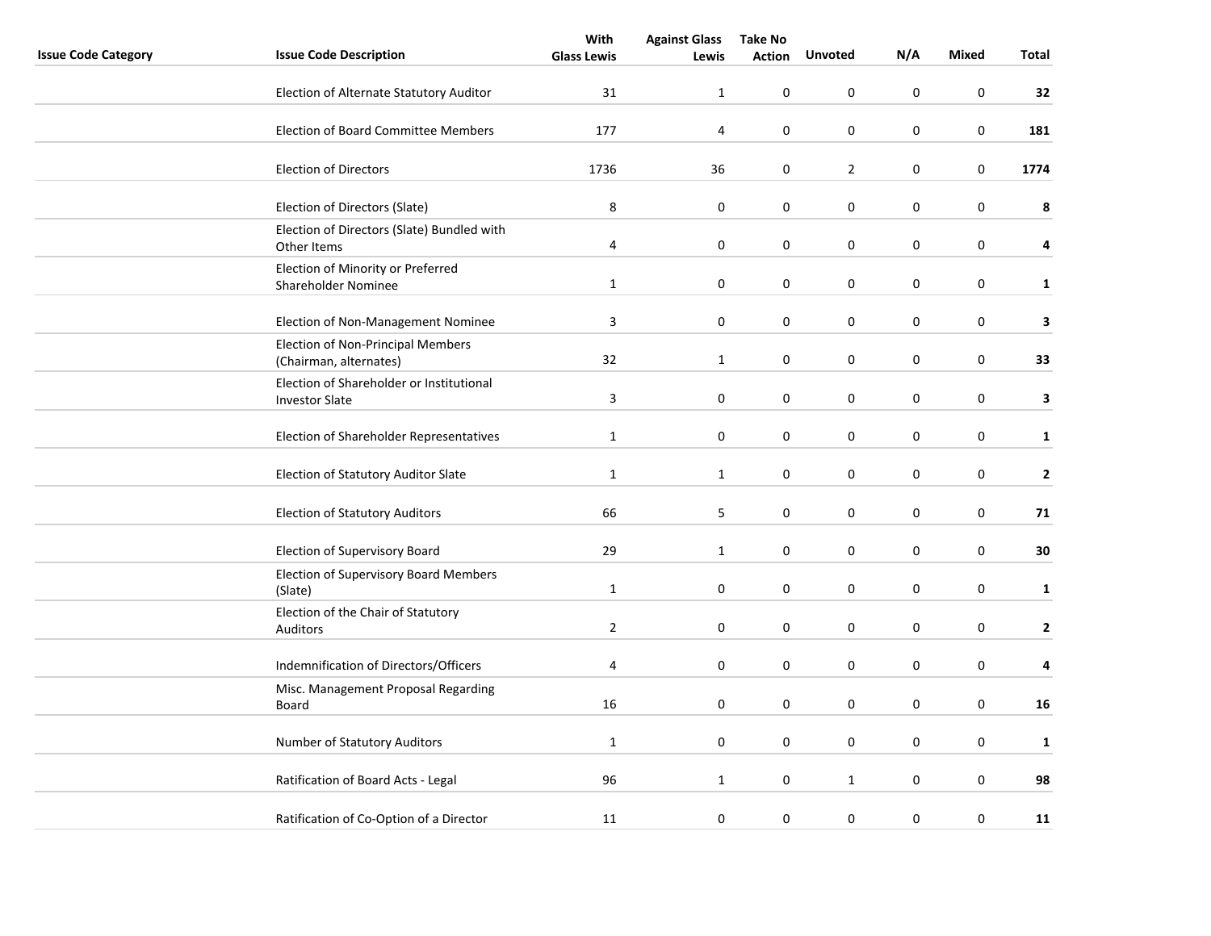|                            |                                                                   | With               | <b>Against Glass</b> | <b>Take No</b> |                  |                  |              |              |  |
|----------------------------|-------------------------------------------------------------------|--------------------|----------------------|----------------|------------------|------------------|--------------|--------------|--|
| <b>Issue Code Category</b> | <b>Issue Code Description</b>                                     | <b>Glass Lewis</b> | Lewis                | <b>Action</b>  | <b>Unvoted</b>   | N/A              | <b>Mixed</b> | Total        |  |
|                            | Election of Alternate Statutory Auditor                           | 31                 | $\mathbf{1}$         | $\pmb{0}$      | 0                | 0                | $\pmb{0}$    | 32           |  |
|                            | <b>Election of Board Committee Members</b>                        | 177                | 4                    | $\pmb{0}$      | 0                | $\boldsymbol{0}$ | $\mathsf 0$  | 181          |  |
|                            | <b>Election of Directors</b>                                      | 1736               | 36                   | 0              | $\overline{2}$   | $\mathbf 0$      | $\mathsf 0$  | 1774         |  |
|                            | Election of Directors (Slate)                                     | 8                  | 0                    | 0              | 0                | 0                | $\pmb{0}$    | 8            |  |
|                            | Election of Directors (Slate) Bundled with<br>Other Items         | 4                  | $\boldsymbol{0}$     | 0              | 0                | 0                | $\pmb{0}$    | 4            |  |
|                            | Election of Minority or Preferred<br>Shareholder Nominee          | $\mathbf{1}$       | 0                    | 0              | 0                | 0                | $\pmb{0}$    | $\mathbf{1}$ |  |
|                            | Election of Non-Management Nominee                                | 3                  | $\pmb{0}$            | 0              | 0                | 0                | $\mathsf 0$  | 3            |  |
|                            | Election of Non-Principal Members<br>(Chairman, alternates)       | 32                 | $\mathbf 1$          | 0              | 0                | $\boldsymbol{0}$ | $\mathsf 0$  | 33           |  |
|                            | Election of Shareholder or Institutional<br><b>Investor Slate</b> | 3                  | 0                    | $\mathbf 0$    | 0                | 0                | 0            | 3            |  |
|                            | Election of Shareholder Representatives                           | $\mathbf 1$        | 0                    | 0              | 0                | 0                | 0            | $\mathbf{1}$ |  |
|                            | Election of Statutory Auditor Slate                               | $1\,$              | $\mathbf{1}$         | 0              | 0                | $\boldsymbol{0}$ | $\pmb{0}$    | $\mathbf{2}$ |  |
|                            | <b>Election of Statutory Auditors</b>                             | 66                 | 5                    | 0              | 0                | 0                | $\mathsf 0$  | 71           |  |
|                            | Election of Supervisory Board                                     | 29                 | $\mathbf{1}$         | 0              | $\boldsymbol{0}$ | $\boldsymbol{0}$ | $\pmb{0}$    | 30           |  |
|                            | <b>Election of Supervisory Board Members</b><br>(Slate)           | $1\,$              | $\boldsymbol{0}$     | $\pmb{0}$      | $\mathbf 0$      | 0                | $\pmb{0}$    | $\mathbf{1}$ |  |
|                            | Election of the Chair of Statutory<br>Auditors                    | $\overline{2}$     | 0                    | 0              | 0                | 0                | 0            | $\mathbf{2}$ |  |
|                            | Indemnification of Directors/Officers                             | 4                  | 0                    | 0              | 0                | $\mathbf 0$      | 0            | 4            |  |
|                            | Misc. Management Proposal Regarding<br>Board                      | 16                 | 0                    | 0              | 0                | 0                | $\pmb{0}$    | 16           |  |
|                            | Number of Statutory Auditors                                      | $1\,$              | $\boldsymbol{0}$     | 0              | $\mathbf 0$      | 0                | $\pmb{0}$    | $\mathbf{1}$ |  |
|                            | Ratification of Board Acts - Legal                                | 96                 | $\mathbf{1}$         | 0              | $\mathbf{1}$     | 0                | $\pmb{0}$    | 98           |  |
|                            | Ratification of Co-Option of a Director                           | 11                 | 0                    | 0              | 0                | $\boldsymbol{0}$ | 0            | 11           |  |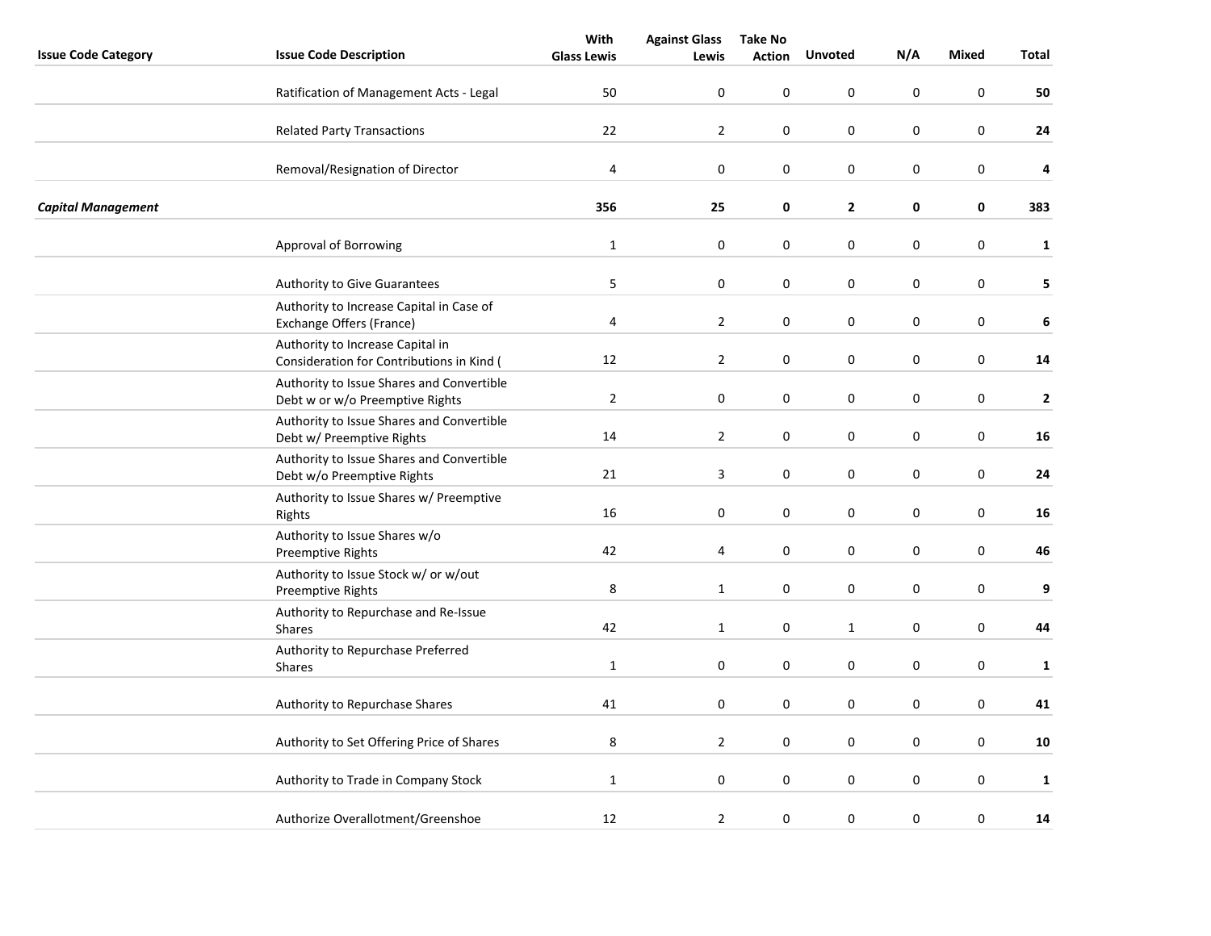|                            |                                                                               | With               | <b>Against Glass</b>    | <b>Take No</b> |                  |                  |                  |              |
|----------------------------|-------------------------------------------------------------------------------|--------------------|-------------------------|----------------|------------------|------------------|------------------|--------------|
| <b>Issue Code Category</b> | <b>Issue Code Description</b>                                                 | <b>Glass Lewis</b> | Lewis                   | <b>Action</b>  | <b>Unvoted</b>   | N/A              | <b>Mixed</b>     | Total        |
|                            | Ratification of Management Acts - Legal                                       | 50                 | 0                       | 0              | 0                | 0                | $\pmb{0}$        | 50           |
|                            | <b>Related Party Transactions</b>                                             | 22                 | $\overline{2}$          | 0              | 0                | 0                | 0                | 24           |
|                            | Removal/Resignation of Director                                               | 4                  | $\pmb{0}$               | 0              | $\boldsymbol{0}$ | $\boldsymbol{0}$ | $\pmb{0}$        | 4            |
| <b>Capital Management</b>  |                                                                               | 356                | 25                      | 0              | $\mathbf{2}$     | 0                | 0                | 383          |
|                            | Approval of Borrowing                                                         | $\mathbf 1$        | $\boldsymbol{0}$        | 0              | $\boldsymbol{0}$ | $\boldsymbol{0}$ | $\pmb{0}$        | $\mathbf 1$  |
|                            | <b>Authority to Give Guarantees</b>                                           | 5                  | $\pmb{0}$               | 0              | 0                | $\pmb{0}$        | $\pmb{0}$        | 5            |
|                            | Authority to Increase Capital in Case of<br>Exchange Offers (France)          | 4                  | $\overline{2}$          | 0              | 0                | 0                | $\pmb{0}$        | 6            |
|                            | Authority to Increase Capital in<br>Consideration for Contributions in Kind ( | 12                 | $\overline{2}$          | 0              | 0                | 0                | $\pmb{0}$        | 14           |
|                            | Authority to Issue Shares and Convertible<br>Debt w or w/o Preemptive Rights  | $\overline{2}$     | $\pmb{0}$               | 0              | 0                | 0                | 0                | $\mathbf{2}$ |
|                            | Authority to Issue Shares and Convertible<br>Debt w/ Preemptive Rights        | 14                 | $\overline{2}$          | 0              | 0                | $\boldsymbol{0}$ | $\pmb{0}$        | 16           |
|                            | Authority to Issue Shares and Convertible<br>Debt w/o Preemptive Rights       | 21                 | $\overline{\mathbf{3}}$ | $\pmb{0}$      | $\pmb{0}$        | $\boldsymbol{0}$ | $\pmb{0}$        | 24           |
|                            | Authority to Issue Shares w/ Preemptive<br>Rights                             | 16                 | $\pmb{0}$               | 0              | 0                | $\mathbf 0$      | $\pmb{0}$        | 16           |
|                            | Authority to Issue Shares w/o<br><b>Preemptive Rights</b>                     | 42                 | 4                       | 0              | 0                | 0                | $\pmb{0}$        | 46           |
|                            | Authority to Issue Stock w/ or w/out<br><b>Preemptive Rights</b>              | 8                  | $\mathbf{1}$            | 0              | 0                | $\boldsymbol{0}$ | 0                | 9            |
|                            | Authority to Repurchase and Re-Issue<br>Shares                                | 42                 | $1\,$                   | 0              | $\mathbf{1}$     | $\boldsymbol{0}$ | $\pmb{0}$        | 44           |
|                            | Authority to Repurchase Preferred<br>Shares                                   | $1\,$              | $\pmb{0}$               | 0              | 0                | $\boldsymbol{0}$ | $\pmb{0}$        | $\mathbf{1}$ |
|                            | Authority to Repurchase Shares                                                | 41                 | 0                       | 0              | 0                | $\mathbf 0$      | $\pmb{0}$        | 41           |
|                            | Authority to Set Offering Price of Shares                                     | 8                  | $\overline{2}$          | 0              | 0                | 0                | 0                | 10           |
|                            | Authority to Trade in Company Stock                                           | $\mathbf 1$        | $\pmb{0}$               | 0              | 0                | $\boldsymbol{0}$ | 0                | $\mathbf{1}$ |
|                            |                                                                               |                    |                         |                |                  |                  |                  |              |
|                            | Authorize Overallotment/Greenshoe                                             | 12                 | $\mathbf{2}$            | $\pmb{0}$      | 0                | $\boldsymbol{0}$ | $\boldsymbol{0}$ | 14           |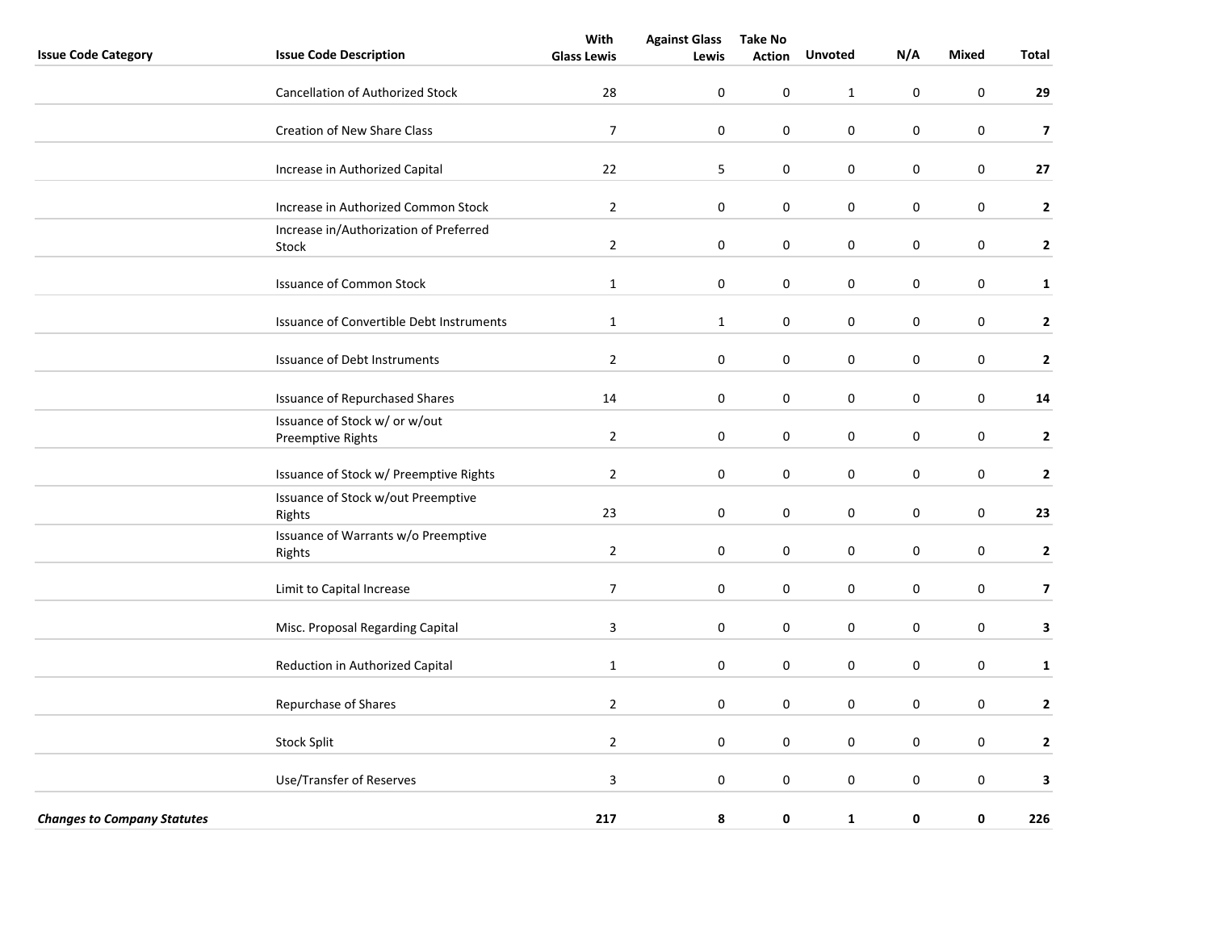|                                    |                                                    | With               | <b>Against Glass</b> | <b>Take No</b>   |                  |             |                  |                         |
|------------------------------------|----------------------------------------------------|--------------------|----------------------|------------------|------------------|-------------|------------------|-------------------------|
| <b>Issue Code Category</b>         | <b>Issue Code Description</b>                      | <b>Glass Lewis</b> | Lewis                | <b>Action</b>    | Unvoted          | N/A         | <b>Mixed</b>     | Total                   |
|                                    | <b>Cancellation of Authorized Stock</b>            | 28                 | 0                    | $\pmb{0}$        | $\mathbf{1}$     | $\pmb{0}$   | $\mathbf 0$      | 29                      |
|                                    | Creation of New Share Class                        | $\overline{7}$     | $\boldsymbol{0}$     | $\pmb{0}$        | $\boldsymbol{0}$ | $\pmb{0}$   | $\pmb{0}$        | $\overline{\mathbf{z}}$ |
|                                    | Increase in Authorized Capital                     | 22                 | 5                    | $\boldsymbol{0}$ | $\mathsf 0$      | $\pmb{0}$   | $\mathbf 0$      | 27                      |
|                                    | Increase in Authorized Common Stock                | $\overline{2}$     | $\boldsymbol{0}$     | $\boldsymbol{0}$ | $\mathsf 0$      | $\pmb{0}$   | $\mathbf 0$      | $\mathbf{2}$            |
|                                    | Increase in/Authorization of Preferred<br>Stock    | $\overline{2}$     | $\boldsymbol{0}$     | $\pmb{0}$        | $\mathsf 0$      | $\pmb{0}$   | $\pmb{0}$        | $\mathbf{2}$            |
|                                    | <b>Issuance of Common Stock</b>                    | $\mathbf{1}$       | 0                    | 0                | 0                | $\mathbf 0$ | 0                | $\mathbf{1}$            |
|                                    | Issuance of Convertible Debt Instruments           | $\mathbf{1}$       | $\mathbf{1}$         | $\pmb{0}$        | $\mathsf 0$      | $\pmb{0}$   | $\pmb{0}$        | $\overline{2}$          |
|                                    | Issuance of Debt Instruments                       | $\overline{2}$     | $\boldsymbol{0}$     | $\boldsymbol{0}$ | $\mathsf 0$      | $\pmb{0}$   | $\boldsymbol{0}$ | $\mathbf{2}$            |
|                                    | <b>Issuance of Repurchased Shares</b>              | 14                 | $\boldsymbol{0}$     | $\boldsymbol{0}$ | $\mathsf 0$      | $\pmb{0}$   | $\pmb{0}$        | 14                      |
|                                    | Issuance of Stock w/ or w/out<br>Preemptive Rights | $\overline{2}$     | 0                    | 0                | 0                | $\mathbf 0$ | $\boldsymbol{0}$ | $\mathbf{2}$            |
|                                    | Issuance of Stock w/ Preemptive Rights             | $\overline{2}$     | 0                    | 0                | 0                | 0           | $\pmb{0}$        | $\mathbf{2}$            |
|                                    | Issuance of Stock w/out Preemptive<br>Rights       | 23                 | 0                    | 0                | 0                | $\mathbf 0$ | $\mathbf 0$      | 23                      |
|                                    | Issuance of Warrants w/o Preemptive<br>Rights      | $\overline{2}$     | 0                    | 0                | $\mathbf 0$      | $\mathbf 0$ | $\mathbf 0$      | $\overline{2}$          |
|                                    | Limit to Capital Increase                          | $\overline{7}$     | 0                    | 0                | 0                | $\mathbf 0$ | $\pmb{0}$        | $\overline{\mathbf{z}}$ |
|                                    | Misc. Proposal Regarding Capital                   | 3                  | 0                    | 0                | 0                | $\mathbf 0$ | $\pmb{0}$        | 3                       |
|                                    | Reduction in Authorized Capital                    | $\mathbf{1}$       | 0                    | 0                | 0                | 0           | 0                | $\mathbf{1}$            |
|                                    | Repurchase of Shares                               | $\overline{2}$     | 0                    | 0                | 0                | $\mathbf 0$ | $\mathbf 0$      | $\overline{2}$          |
|                                    | <b>Stock Split</b>                                 | $\overline{2}$     | 0                    | 0                | $\mathbf 0$      | $\mathbf 0$ | $\boldsymbol{0}$ | $\overline{2}$          |
|                                    | Use/Transfer of Reserves                           | $\mathsf 3$        | $\pmb{0}$            | 0                | $\mathbf 0$      | $\mathbf 0$ | $\mathbf 0$      | 3                       |
| <b>Changes to Company Statutes</b> |                                                    | 217                | 8                    | 0                | $\mathbf{1}$     | 0           | 0                | 226                     |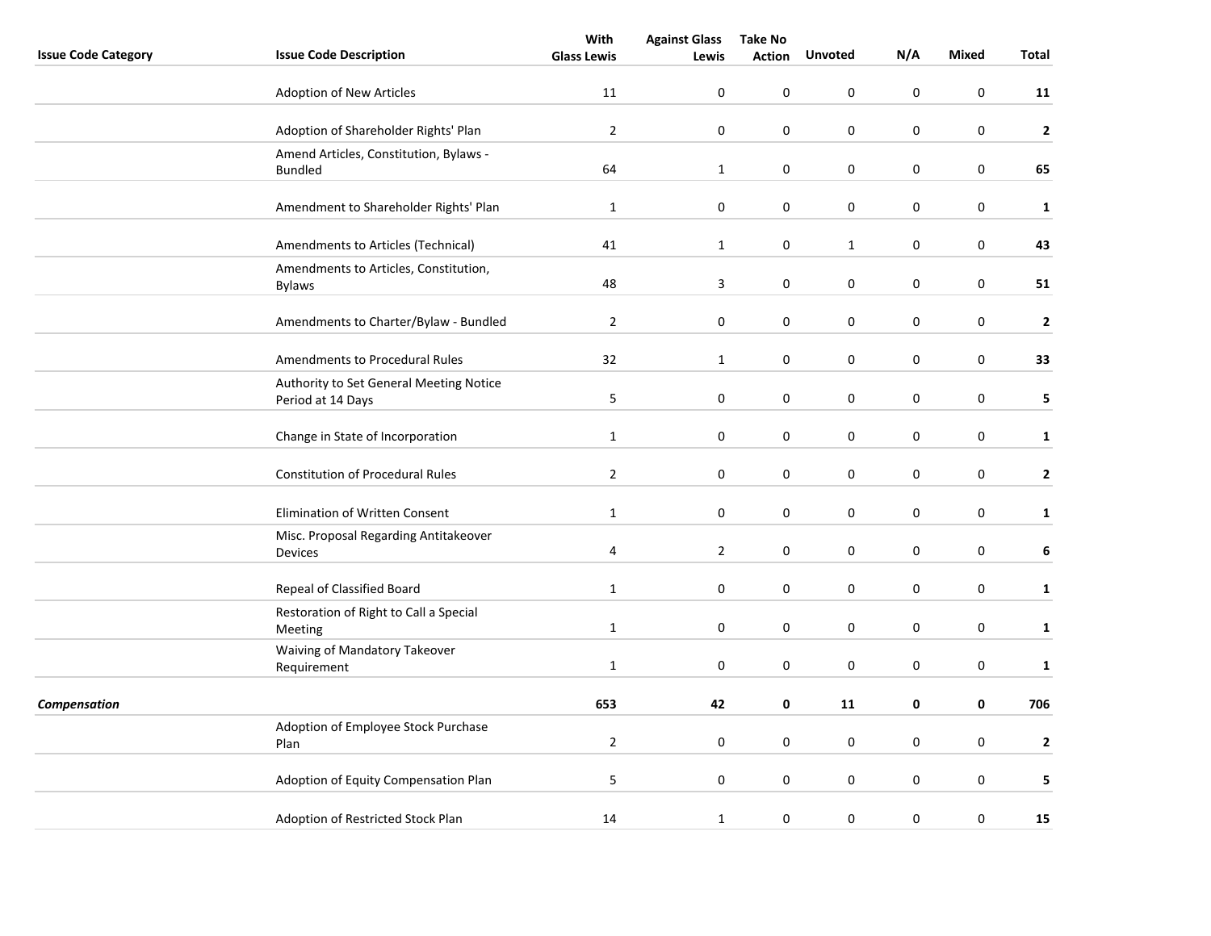|                            |                                                              | With               | <b>Against Glass</b> | <b>Take No</b> |                  |             |              |                |
|----------------------------|--------------------------------------------------------------|--------------------|----------------------|----------------|------------------|-------------|--------------|----------------|
| <b>Issue Code Category</b> | <b>Issue Code Description</b>                                | <b>Glass Lewis</b> | Lewis                | <b>Action</b>  | <b>Unvoted</b>   | N/A         | <b>Mixed</b> | Total          |
|                            | Adoption of New Articles                                     | 11                 | 0                    | 0              | 0                | $\mathbf 0$ | $\mathbf 0$  | 11             |
|                            | Adoption of Shareholder Rights' Plan                         | $\overline{2}$     | 0                    | 0              | 0                | $\pmb{0}$   | $\pmb{0}$    | $\mathbf{2}$   |
|                            | Amend Articles, Constitution, Bylaws -<br><b>Bundled</b>     | 64                 | $\mathbf{1}$         | $\pmb{0}$      | 0                | $\pmb{0}$   | $\pmb{0}$    | 65             |
|                            | Amendment to Shareholder Rights' Plan                        | $\mathbf{1}$       | 0                    | 0              | 0                | $\pmb{0}$   | 0            | $\mathbf{1}$   |
|                            | Amendments to Articles (Technical)                           | 41                 | $\mathbf{1}$         | 0              | $\mathbf{1}$     | $\mathbf 0$ | 0            | 43             |
|                            | Amendments to Articles, Constitution,<br><b>Bylaws</b>       | 48                 | 3                    | 0              | 0                | 0           | 0            | 51             |
|                            | Amendments to Charter/Bylaw - Bundled                        | $\overline{2}$     | 0                    | 0              | 0                | 0           | $\pmb{0}$    | $\mathbf{2}$   |
|                            | Amendments to Procedural Rules                               | 32                 | $\mathbf{1}$         | $\pmb{0}$      | $\boldsymbol{0}$ | $\pmb{0}$   | $\mathbf 0$  | 33             |
|                            | Authority to Set General Meeting Notice<br>Period at 14 Days | 5                  | 0                    | 0              | 0                | 0           | 0            | 5              |
|                            | Change in State of Incorporation                             | $\mathbf 1$        | $\pmb{0}$            | 0              | 0                | 0           | $\pmb{0}$    | $\mathbf 1$    |
|                            | <b>Constitution of Procedural Rules</b>                      | $\overline{2}$     | 0                    | 0              | 0                | $\pmb{0}$   | $\pmb{0}$    | $\mathbf{2}$   |
|                            | Elimination of Written Consent                               | $\mathbf{1}$       | 0                    | 0              | 0                | $\mathbf 0$ | $\pmb{0}$    | $\mathbf{1}$   |
|                            | Misc. Proposal Regarding Antitakeover<br>Devices             | 4                  | $\overline{2}$       | 0              | 0                | 0           | $\mathbf 0$  | 6              |
|                            | Repeal of Classified Board                                   | $\mathbf 1$        | $\pmb{0}$            | 0              | 0                | $\pmb{0}$   | $\pmb{0}$    | $\mathbf{1}$   |
|                            | Restoration of Right to Call a Special<br>Meeting            | $\mathbf 1$        | 0                    | 0              | 0                | 0           | $\pmb{0}$    | $\mathbf{1}$   |
|                            | Waiving of Mandatory Takeover<br>Requirement                 | $\mathbf{1}$       | 0                    | 0              | 0                | $\pmb{0}$   | $\pmb{0}$    | $\mathbf 1$    |
| Compensation               |                                                              | 653                | 42                   | 0              | 11               | $\mathbf 0$ | 0            | 706            |
|                            | Adoption of Employee Stock Purchase<br>Plan                  | $\overline{2}$     | 0                    | 0              | 0                | 0           | $\pmb{0}$    | $\overline{2}$ |
|                            | Adoption of Equity Compensation Plan                         | 5                  | 0                    | 0              | 0                | $\pmb{0}$   | $\pmb{0}$    | 5              |
|                            | Adoption of Restricted Stock Plan                            | 14                 | $\mathbf{1}$         | $\pmb{0}$      | 0                | $\pmb{0}$   | $\pmb{0}$    | 15             |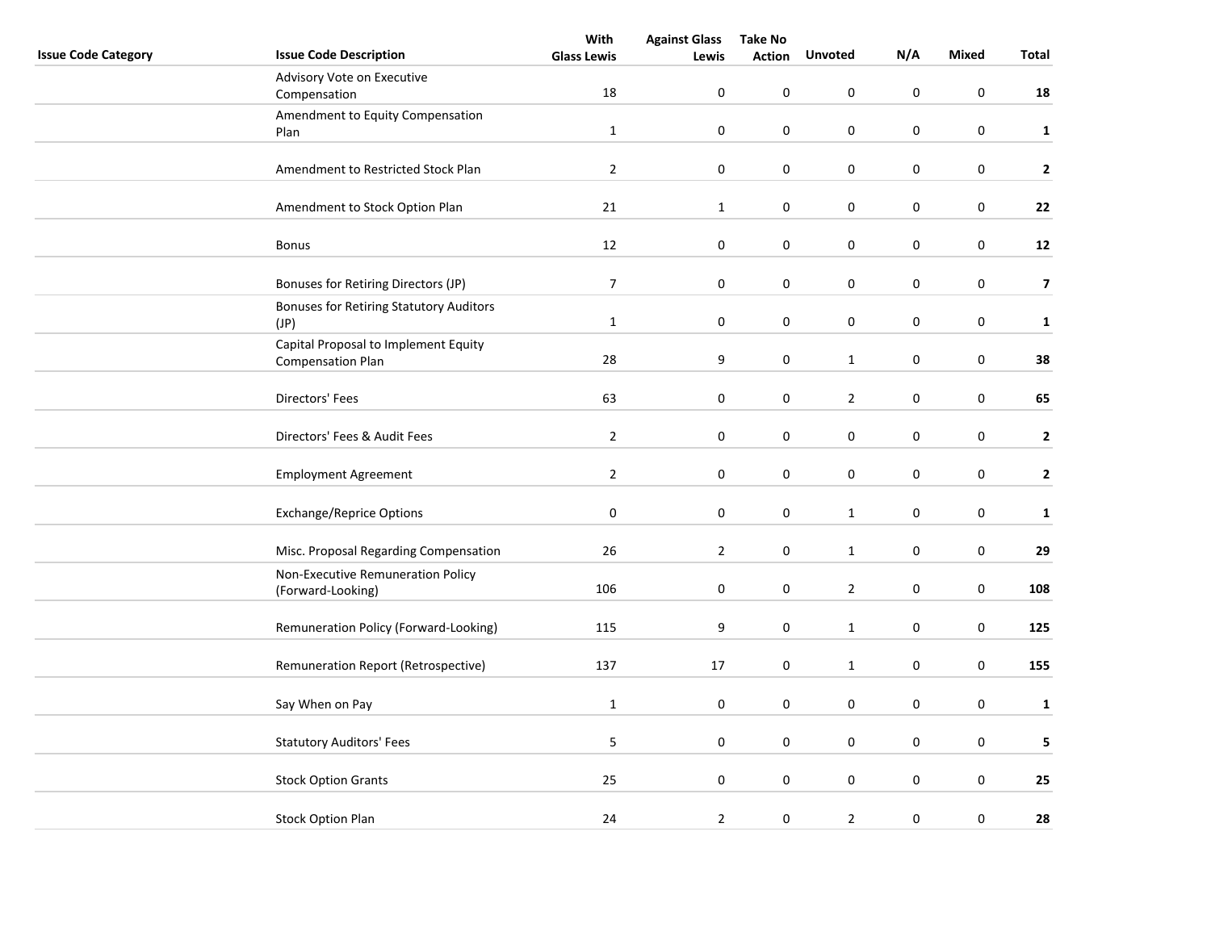|                            |                                                | With               | <b>Against Glass</b> | <b>Take No</b> |                  |                  |                  |                         |
|----------------------------|------------------------------------------------|--------------------|----------------------|----------------|------------------|------------------|------------------|-------------------------|
| <b>Issue Code Category</b> | <b>Issue Code Description</b>                  | <b>Glass Lewis</b> | Lewis                | <b>Action</b>  | <b>Unvoted</b>   | N/A              | <b>Mixed</b>     | Total                   |
|                            | Advisory Vote on Executive                     |                    |                      |                |                  |                  |                  |                         |
|                            | Compensation                                   | 18                 | $\boldsymbol{0}$     | 0              | 0                | $\boldsymbol{0}$ | $\pmb{0}$        | 18                      |
|                            | Amendment to Equity Compensation               |                    |                      |                |                  |                  |                  |                         |
|                            | Plan                                           | $\mathbf{1}$       | $\mathbf 0$          | 0              | 0                | 0                | 0                | $\mathbf{1}$            |
|                            |                                                |                    |                      |                |                  |                  |                  |                         |
|                            | Amendment to Restricted Stock Plan             | $\overline{2}$     | $\pmb{0}$            | 0              | $\boldsymbol{0}$ | $\pmb{0}$        | $\pmb{0}$        | $\mathbf{2}$            |
|                            |                                                |                    |                      |                |                  |                  |                  |                         |
|                            | Amendment to Stock Option Plan                 | 21                 | $\mathbf 1$          | 0              | 0                | 0                | $\pmb{0}$        | 22                      |
|                            |                                                |                    |                      |                |                  |                  |                  |                         |
|                            | <b>Bonus</b>                                   | 12                 | $\boldsymbol{0}$     | 0              | $\boldsymbol{0}$ | $\pmb{0}$        | $\mathbf 0$      | 12                      |
|                            |                                                |                    |                      |                |                  |                  |                  |                         |
|                            | Bonuses for Retiring Directors (JP)            | $\overline{7}$     | $\boldsymbol{0}$     | 0              | $\boldsymbol{0}$ | $\pmb{0}$        | $\mathbf 0$      | $\overline{\mathbf{z}}$ |
|                            | <b>Bonuses for Retiring Statutory Auditors</b> |                    |                      |                |                  |                  |                  |                         |
|                            | (JP)                                           | $\mathbf{1}$       | $\boldsymbol{0}$     | 0              | $\boldsymbol{0}$ | $\pmb{0}$        | $\mathbf 0$      | $\mathbf{1}$            |
|                            | Capital Proposal to Implement Equity           |                    |                      |                |                  |                  |                  |                         |
|                            | <b>Compensation Plan</b>                       | 28                 | 9                    | 0              | $\mathbf 1$      | $\pmb{0}$        | $\pmb{0}$        | 38                      |
|                            |                                                |                    |                      |                |                  |                  |                  |                         |
|                            | Directors' Fees                                | 63                 | $\boldsymbol{0}$     | 0              | $\mathbf{2}$     | 0                | $\pmb{0}$        | 65                      |
|                            |                                                |                    |                      |                |                  |                  |                  |                         |
|                            | Directors' Fees & Audit Fees                   | $\overline{2}$     | $\boldsymbol{0}$     | 0              | $\pmb{0}$        | 0                | $\mathbf 0$      | $\mathbf{2}$            |
|                            |                                                |                    |                      |                |                  |                  |                  |                         |
|                            | <b>Employment Agreement</b>                    | $\overline{2}$     | $\pmb{0}$            | 0              | $\boldsymbol{0}$ | $\boldsymbol{0}$ | $\mathbf 0$      | $\mathbf{2}$            |
|                            |                                                |                    |                      |                |                  |                  |                  |                         |
|                            | <b>Exchange/Reprice Options</b>                | 0                  | 0                    | 0              | $\mathbf{1}$     | 0                | $\mathbf 0$      | $\mathbf{1}$            |
|                            |                                                |                    |                      |                |                  |                  |                  |                         |
|                            | Misc. Proposal Regarding Compensation          | 26                 | $\mathbf{2}$         | 0              | $\mathbf{1}$     | $\pmb{0}$        | $\pmb{0}$        | 29                      |
|                            |                                                |                    |                      |                |                  |                  |                  |                         |
|                            | Non-Executive Remuneration Policy              | 106                | $\pmb{0}$            | 0              | $\overline{2}$   | $\pmb{0}$        | $\pmb{0}$        | 108                     |
|                            | (Forward-Looking)                              |                    |                      |                |                  |                  |                  |                         |
|                            | Remuneration Policy (Forward-Looking)          | 115                | 9                    | 0              | $\mathbf{1}$     | 0                | $\boldsymbol{0}$ | 125                     |
|                            |                                                |                    |                      |                |                  |                  |                  |                         |
|                            | Remuneration Report (Retrospective)            | 137                | 17                   | 0              | $\mathbf{1}$     | $\boldsymbol{0}$ | $\boldsymbol{0}$ | 155                     |
|                            |                                                |                    |                      |                |                  |                  |                  |                         |
|                            |                                                |                    |                      |                |                  |                  |                  |                         |
|                            | Say When on Pay                                | $\mathbf{1}$       | $\pmb{0}$            | 0              | 0                | 0                | $\mathbf 0$      | $\mathbf{1}$            |
|                            |                                                |                    |                      |                |                  |                  |                  |                         |
|                            | <b>Statutory Auditors' Fees</b>                | 5                  | $\pmb{0}$            | 0              | 0                | $\pmb{0}$        | $\pmb{0}$        | 5                       |
|                            |                                                |                    |                      |                |                  |                  |                  |                         |
|                            | <b>Stock Option Grants</b>                     | 25                 | $\pmb{0}$            | 0              | 0                | $\pmb{0}$        | $\boldsymbol{0}$ | 25                      |
|                            |                                                |                    |                      |                |                  |                  |                  |                         |
|                            | <b>Stock Option Plan</b>                       | 24                 | $\mathbf{2}$         | 0              | $\mathbf{2}$     | $\boldsymbol{0}$ | $\boldsymbol{0}$ | 28                      |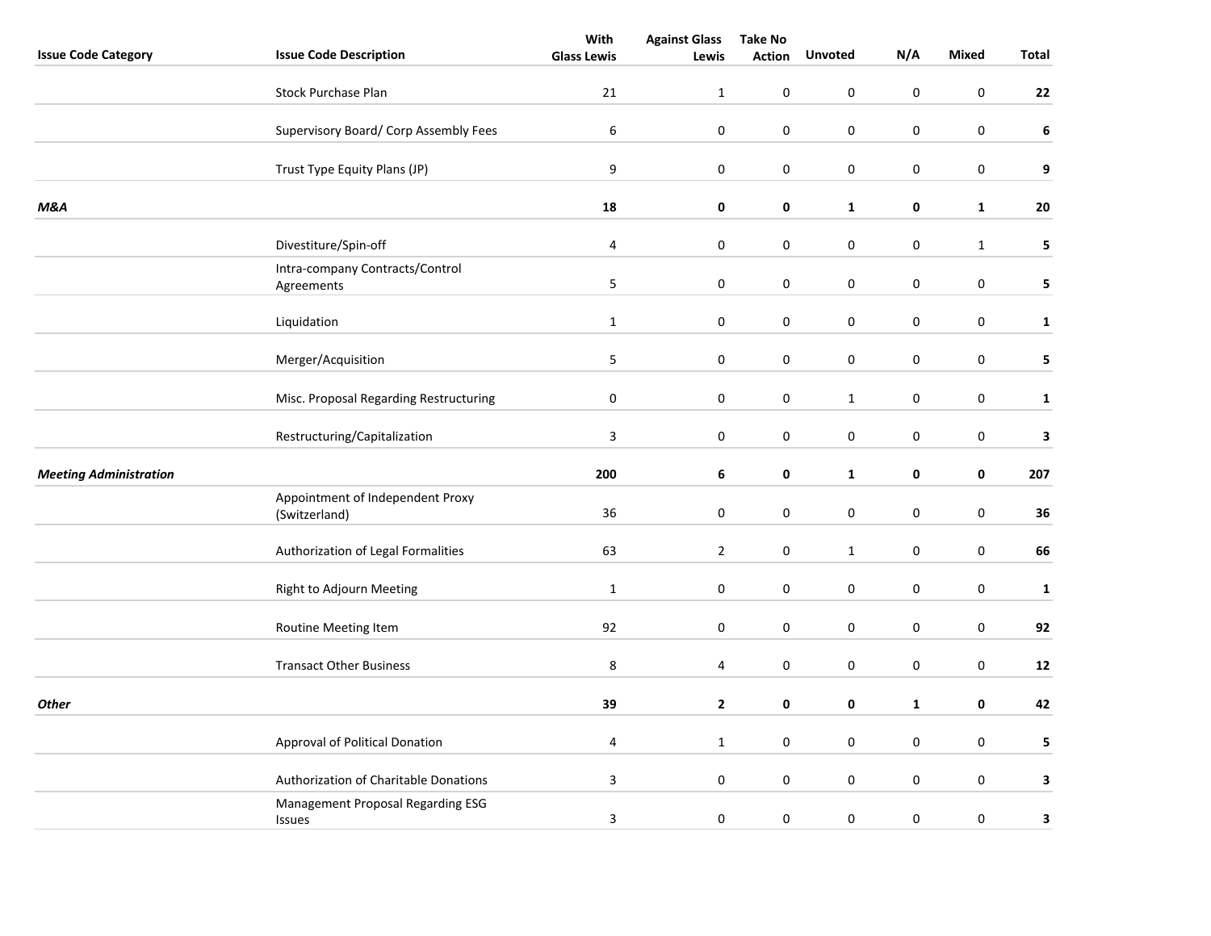|                               |                                                   | With               | <b>Against Glass</b> | <b>Take No</b> |                  |              |              |              |
|-------------------------------|---------------------------------------------------|--------------------|----------------------|----------------|------------------|--------------|--------------|--------------|
| <b>Issue Code Category</b>    | <b>Issue Code Description</b>                     | <b>Glass Lewis</b> | Lewis                | <b>Action</b>  | <b>Unvoted</b>   | N/A          | <b>Mixed</b> | Total        |
|                               | <b>Stock Purchase Plan</b>                        | 21                 | $\mathbf{1}$         | 0              | 0                | $\mathbf 0$  | $\mathbf 0$  | 22           |
|                               | Supervisory Board/ Corp Assembly Fees             | $\boldsymbol{6}$   | $\pmb{0}$            | $\pmb{0}$      | 0                | $\pmb{0}$    | $\pmb{0}$    | $\bf 6$      |
|                               | Trust Type Equity Plans (JP)                      | 9                  | 0                    | $\pmb{0}$      | $\boldsymbol{0}$ | $\pmb{0}$    | $\mathbf 0$  | 9            |
| <b>M&amp;A</b>                |                                                   | 18                 | 0                    | 0              | $\mathbf{1}$     | $\pmb{0}$    | ${\bf 1}$    | 20           |
|                               | Divestiture/Spin-off                              | $\overline{4}$     | $\boldsymbol{0}$     | $\pmb{0}$      | $\pmb{0}$        | $\pmb{0}$    | $\mathbf 1$  | 5            |
|                               | Intra-company Contracts/Control<br>Agreements     | 5                  | 0                    | 0              | $\mathbf 0$      | $\mathbf 0$  | 0            | 5            |
|                               | Liquidation                                       | $\mathbf 1$        | $\pmb{0}$            | $\pmb{0}$      | $\pmb{0}$        | $\pmb{0}$    | $\pmb{0}$    | $\mathbf{1}$ |
|                               | Merger/Acquisition                                | $\sqrt{5}$         | $\pmb{0}$            | $\pmb{0}$      | $\mathbf 0$      | $\pmb{0}$    | $\pmb{0}$    | 5            |
|                               | Misc. Proposal Regarding Restructuring            | $\pmb{0}$          | $\pmb{0}$            | 0              | $\mathbf{1}$     | 0            | $\pmb{0}$    | $\mathbf 1$  |
|                               | Restructuring/Capitalization                      | $\overline{3}$     | $\boldsymbol{0}$     | $\pmb{0}$      | $\pmb{0}$        | $\pmb{0}$    | $\mathbf 0$  | $\mathbf 3$  |
| <b>Meeting Administration</b> |                                                   | 200                | 6                    | $\pmb{0}$      | $\mathbf{1}$     | 0            | $\pmb{0}$    | 207          |
|                               | Appointment of Independent Proxy<br>(Switzerland) | 36                 | 0                    | 0              | $\mathbf 0$      | $\mathbf 0$  | $\mathbf 0$  | 36           |
|                               | Authorization of Legal Formalities                | 63                 | $\overline{2}$       | $\pmb{0}$      | $\mathbf{1}$     | $\pmb{0}$    | $\mathbf 0$  | 66           |
|                               | Right to Adjourn Meeting                          | $\mathbf{1}$       | 0                    | $\pmb{0}$      | 0                | $\pmb{0}$    | $\mathbf 0$  | $\mathbf{1}$ |
|                               | Routine Meeting Item                              | 92                 | $\boldsymbol{0}$     | $\pmb{0}$      | $\pmb{0}$        | $\pmb{0}$    | $\pmb{0}$    | 92           |
|                               | <b>Transact Other Business</b>                    | $\,8\,$            | 4                    | $\pmb{0}$      | $\pmb{0}$        | $\pmb{0}$    | $\pmb{0}$    | 12           |
| <b>Other</b>                  |                                                   | 39                 | $\mathbf{2}$         | 0              | 0                | $\mathbf{1}$ | 0            | 42           |
|                               | Approval of Political Donation                    | $\overline{4}$     | $\mathbf{1}$         | 0              | 0                | 0            | $\pmb{0}$    | 5            |
|                               | Authorization of Charitable Donations             | $\overline{3}$     | $\boldsymbol{0}$     | $\pmb{0}$      | $\pmb{0}$        | $\pmb{0}$    | $\pmb{0}$    | 3            |
|                               | Management Proposal Regarding ESG<br>Issues       | 3                  | 0                    | 0              | 0                | $\pmb{0}$    | $\pmb{0}$    | 3            |